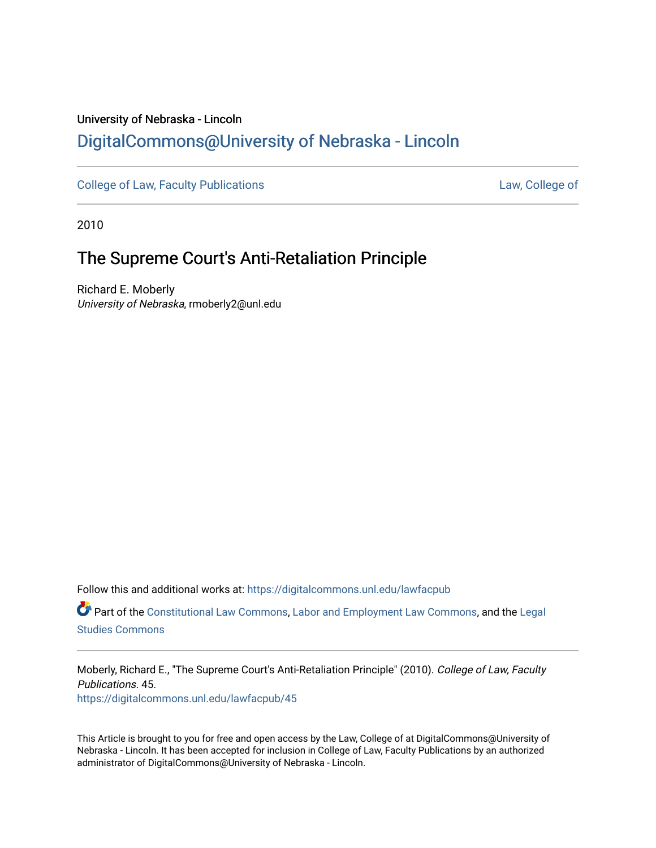# University of Nebraska - Lincoln [DigitalCommons@University of Nebraska - Lincoln](https://digitalcommons.unl.edu/)

[College of Law, Faculty Publications](https://digitalcommons.unl.edu/lawfacpub) [Law, College of](https://digitalcommons.unl.edu/law) Law, College of

2010

# The Supreme Court's Anti-Retaliation Principle

Richard E. Moberly University of Nebraska, rmoberly2@unl.edu

Follow this and additional works at: [https://digitalcommons.unl.edu/lawfacpub](https://digitalcommons.unl.edu/lawfacpub?utm_source=digitalcommons.unl.edu%2Flawfacpub%2F45&utm_medium=PDF&utm_campaign=PDFCoverPages) 

Part of the [Constitutional Law Commons,](http://network.bepress.com/hgg/discipline/589?utm_source=digitalcommons.unl.edu%2Flawfacpub%2F45&utm_medium=PDF&utm_campaign=PDFCoverPages) [Labor and Employment Law Commons](http://network.bepress.com/hgg/discipline/909?utm_source=digitalcommons.unl.edu%2Flawfacpub%2F45&utm_medium=PDF&utm_campaign=PDFCoverPages), and the [Legal](http://network.bepress.com/hgg/discipline/366?utm_source=digitalcommons.unl.edu%2Flawfacpub%2F45&utm_medium=PDF&utm_campaign=PDFCoverPages)  [Studies Commons](http://network.bepress.com/hgg/discipline/366?utm_source=digitalcommons.unl.edu%2Flawfacpub%2F45&utm_medium=PDF&utm_campaign=PDFCoverPages) 

Moberly, Richard E., "The Supreme Court's Anti-Retaliation Principle" (2010). College of Law, Faculty Publications. 45.

[https://digitalcommons.unl.edu/lawfacpub/45](https://digitalcommons.unl.edu/lawfacpub/45?utm_source=digitalcommons.unl.edu%2Flawfacpub%2F45&utm_medium=PDF&utm_campaign=PDFCoverPages)

This Article is brought to you for free and open access by the Law, College of at DigitalCommons@University of Nebraska - Lincoln. It has been accepted for inclusion in College of Law, Faculty Publications by an authorized administrator of DigitalCommons@University of Nebraska - Lincoln.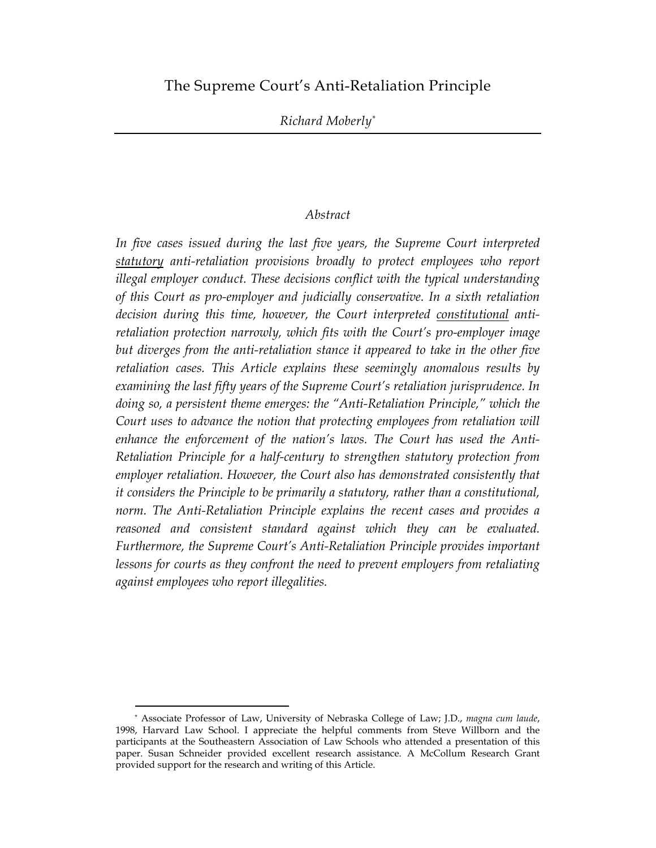## The Supreme Court's Anti-Retaliation Principle

#### *Abstract*

*In five cases issued during the last five years, the Supreme Court interpreted statutory anti-retaliation provisions broadly to protect employees who report illegal employer conduct. These decisions conflict with the typical understanding of this Court as pro-employer and judicially conservative. In a sixth retaliation decision during this time, however, the Court interpreted constitutional antiretaliation protection narrowly, which fits with the Court's pro-employer image* but diverges from the anti-retaliation stance it appeared to take in the other five *retaliation cases. This Article explains these seemingly anomalous results by examining the last fifty years of the Supreme Court's retaliation jurisprudence. In doing so, a persistent theme emerges: the "Anti-Retaliation Principle," which the Court uses to advance the notion that protecting employees from retaliation will enhance the enforcement of the nation's laws. The Court has used the Anti-Retaliation Principle for a half-century to strengthen statutory protection from employer retaliation. However, the Court also has demonstrated consistently that it considers the Principle to be primarily a statutory, rather than a constitutional, norm. The Anti-Retaliation Principle explains the recent cases and provides a reasoned and consistent standard against which they can be evaluated. Furthermore, the Supreme Court's Anti-Retaliation Principle provides important lessons for courts as they confront the need to prevent employers from retaliating against employees who report illegalities.*

 <sup>\*</sup> Associate Professor of Law, University of Nebraska College of Law; J.D., *magna cum laude*, 1998, Harvard Law School. I appreciate the helpful comments from Steve Willborn and the participants at the Southeastern Association of Law Schools who attended a presentation of this paper. Susan Schneider provided excellent research assistance. A McCollum Research Grant provided support for the research and writing of this Article.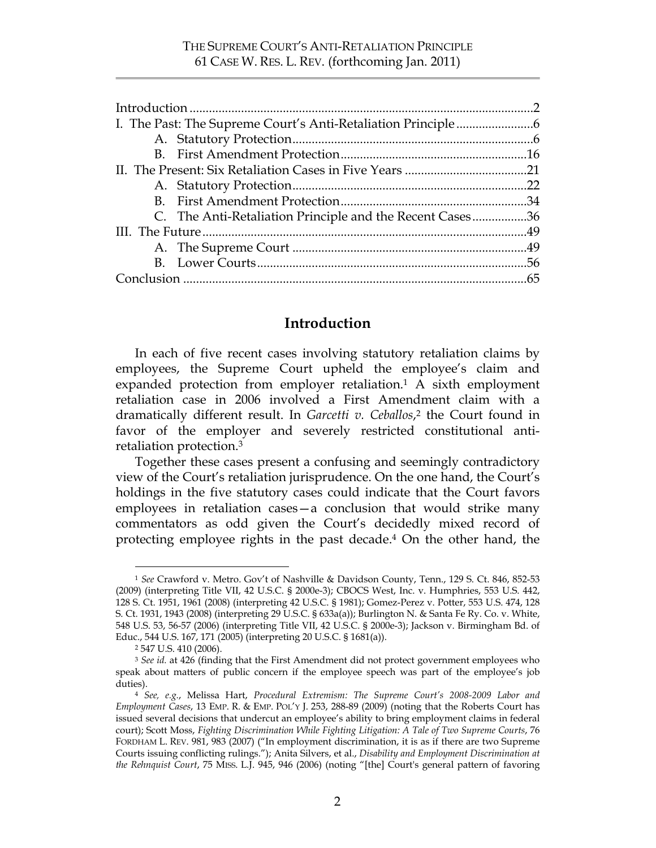|  | C. The Anti-Retaliation Principle and the Recent Cases36 |  |
|--|----------------------------------------------------------|--|
|  |                                                          |  |
|  |                                                          |  |
|  |                                                          |  |
|  |                                                          |  |

## **Introduction**

In each of five recent cases involving statutory retaliation claims by employees, the Supreme Court upheld the employee's claim and expanded protection from employer retaliation. <sup>1</sup> A sixth employment retaliation case in 2006 involved a First Amendment claim with a dramatically different result. In *Garcetti v. Ceballos*, 2 the Court found in favor of the employer and severely restricted constitutional antiretaliation protection. 3

Together these cases present a confusing and seemingly contradictory view of the Court's retaliation jurisprudence. On the one hand, the Court's holdings in the five statutory cases could indicate that the Court favors employees in retaliation cases—a conclusion that would strike many commentators as odd given the Court's decidedly mixed record of protecting employee rights in the past decade.4 On the other hand, the

 <sup>1</sup> *See* Crawford v. Metro. Gov't of Nashville & Davidson County, Tenn., 129 S. Ct. 846, 852-53 (2009) (interpreting Title VII, 42 U.S.C. § 2000e-3); CBOCS West, Inc. v. Humphries, 553 U.S. 442, 128 S. Ct. 1951, 1961 (2008) (interpreting 42 U.S.C. § 1981); Gomez-Perez v. Potter, 553 U.S. 474, 128 S. Ct. 1931, 1943 (2008) (interpreting 29 U.S.C. § 633a(a)); Burlington N. & Santa Fe Ry. Co. v. White, 548 U.S. 53, 56-57 (2006) (interpreting Title VII, 42 U.S.C. § 2000e-3); Jackson v. Birmingham Bd. of Educ., 544 U.S. 167, 171 (2005) (interpreting 20 U.S.C. § 1681(a)).

<sup>2 547</sup> U.S. 410 (2006).

<sup>3</sup> *See id.* at 426 (finding that the First Amendment did not protect government employees who speak about matters of public concern if the employee speech was part of the employee's job duties).

<sup>4</sup> *See, e.g.*, Melissa Hart, *Procedural Extremism: The Supreme Court's 2008-2009 Labor and Employment Cases*, 13 EMP. R. & EMP. POL'Y J. 253, 288-89 (2009) (noting that the Roberts Court has issued several decisions that undercut an employee's ability to bring employment claims in federal court); Scott Moss, *Fighting Discrimination While Fighting Litigation: A Tale of Two Supreme Courts*, 76 FORDHAM L. REV. 981, 983 (2007) ("In employment discrimination, it is as if there are two Supreme Courts issuing conflicting rulings."); Anita Silvers, et al., *Disability and Employment Discrimination at the Rehnquist Court*, 75 MISS. L.J. 945, 946 (2006) (noting "[the] Court's general pattern of favoring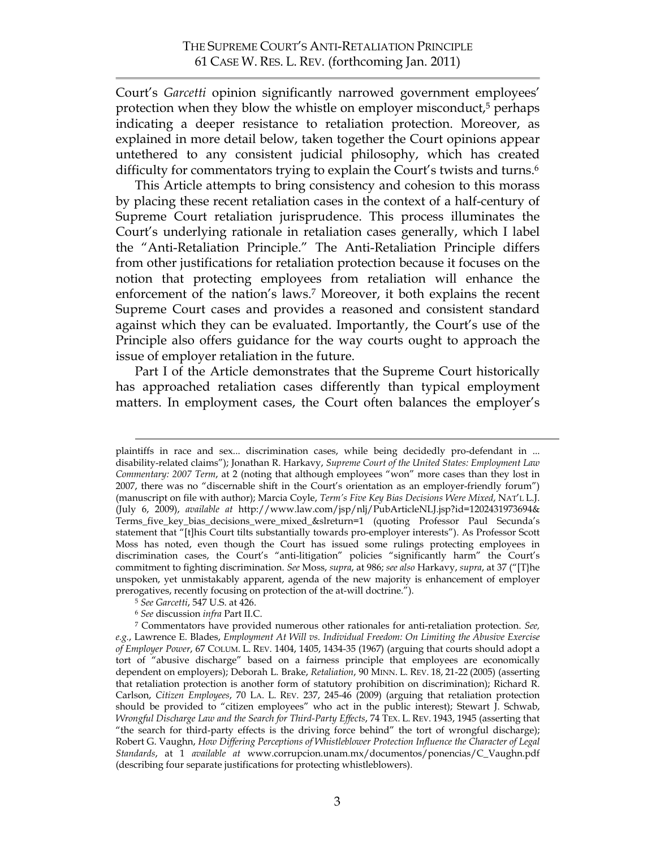Court's *Garcetti* opinion significantly narrowed government employees' protection when they blow the whistle on employer misconduct, 5 perhaps indicating a deeper resistance to retaliation protection. Moreover, as explained in more detail below, taken together the Court opinions appear untethered to any consistent judicial philosophy, which has created difficulty for commentators trying to explain the Court's twists and turns.<sup>6</sup>

This Article attempts to bring consistency and cohesion to this morass by placing these recent retaliation cases in the context of a half-century of Supreme Court retaliation jurisprudence. This process illuminates the Court's underlying rationale in retaliation cases generally, which I label the "Anti-Retaliation Principle." The Anti-Retaliation Principle differs from other justifications for retaliation protection because it focuses on the notion that protecting employees from retaliation will enhance the enforcement of the nation's laws.7 Moreover, it both explains the recent Supreme Court cases and provides a reasoned and consistent standard against which they can be evaluated. Importantly, the Court's use of the Principle also offers guidance for the way courts ought to approach the issue of employer retaliation in the future.

Part I of the Article demonstrates that the Supreme Court historically has approached retaliation cases differently than typical employment matters. In employment cases, the Court often balances the employer's

plaintiffs in race and sex... discrimination cases, while being decidedly pro-defendant in ... disability-related claims"); Jonathan R. Harkavy, *Supreme Court of the United States: Employment Law Commentary: 2007 Term*, at 2 (noting that although employees "won" more cases than they lost in 2007, there was no "discernable shift in the Court's orientation as an employer-friendly forum") (manuscript on file with author); Marcia Coyle, *Term's Five Key Bias Decisions Were Mixed*, NAT'L L.J. (July 6, 2009), *available at* http://www.law.com/jsp/nlj/PubArticleNLJ.jsp?id=1202431973694& Terms\_five\_key\_bias\_decisions\_were\_mixed\_&slreturn=1 (quoting Professor Paul Secunda's statement that "[t]his Court tilts substantially towards pro-employer interests"). As Professor Scott Moss has noted, even though the Court has issued some rulings protecting employees in discrimination cases, the Court's "anti-litigation" policies "significantly harm" the Court's commitment to fighting discrimination. *See* Moss, *supra*, at 986; *see also* Harkavy, *supra*, at 37 ("[T}he unspoken, yet unmistakably apparent, agenda of the new majority is enhancement of employer prerogatives, recently focusing on protection of the at-will doctrine.").

<sup>5</sup> *See Garcetti*, 547 U.S. at 426.

<sup>6</sup> *See* discussion *infra* Part II.C.

<sup>7</sup> Commentators have provided numerous other rationales for anti-retaliation protection. *See, e.g.*, Lawrence E. Blades, *Employment At Will vs. Individual Freedom: On Limiting the Abusive Exercise of Employer Power*, 67 COLUM. L. REV. 1404, 1405, 1434-35 (1967) (arguing that courts should adopt a tort of "abusive discharge" based on a fairness principle that employees are economically dependent on employers); Deborah L. Brake, *Retaliation*, 90 MINN. L. REV. 18, 21-22 (2005) (asserting that retaliation protection is another form of statutory prohibition on discrimination); Richard R. Carlson, *Citizen Employees*, 70 LA. L. REV. 237, 245-46 (2009) (arguing that retaliation protection should be provided to "citizen employees" who act in the public interest); Stewart J. Schwab, *Wrongful Discharge Law and the Search for Third-Party Effects*, 74 TEX. L. REV. 1943, 1945 (asserting that "the search for third-party effects is the driving force behind" the tort of wrongful discharge); Robert G. Vaughn, *How Differing Perceptions of Whistleblower Protection Influence the Character of Legal Standards*, at 1 *available at* www.corrupcion.unam.mx/documentos/ponencias/C\_Vaughn.pdf (describing four separate justifications for protecting whistleblowers).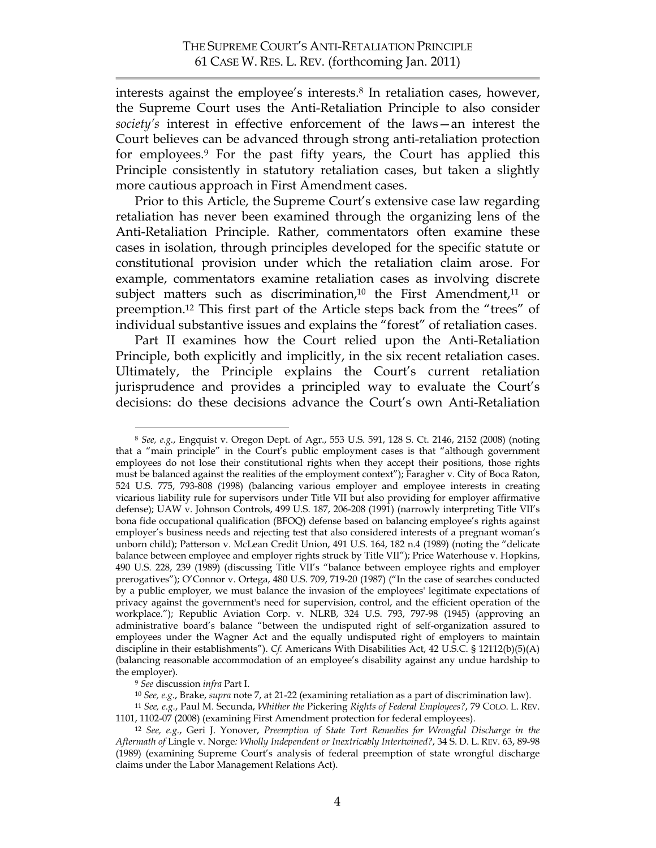interests against the employee's interests.<sup>8</sup> In retaliation cases, however, the Supreme Court uses the Anti-Retaliation Principle to also consider *society's* interest in effective enforcement of the laws—an interest the Court believes can be advanced through strong anti-retaliation protection for employees.9 For the past fifty years, the Court has applied this Principle consistently in statutory retaliation cases, but taken a slightly more cautious approach in First Amendment cases.

Prior to this Article, the Supreme Court's extensive case law regarding retaliation has never been examined through the organizing lens of the Anti-Retaliation Principle. Rather, commentators often examine these cases in isolation, through principles developed for the specific statute or constitutional provision under which the retaliation claim arose. For example, commentators examine retaliation cases as involving discrete subject matters such as discrimination,<sup>10</sup> the First Amendment,<sup>11</sup> or preemption. <sup>12</sup> This first part of the Article steps back from the "trees" of individual substantive issues and explains the "forest" of retaliation cases.

Part II examines how the Court relied upon the Anti-Retaliation Principle, both explicitly and implicitly, in the six recent retaliation cases. Ultimately, the Principle explains the Court's current retaliation jurisprudence and provides a principled way to evaluate the Court's decisions: do these decisions advance the Court's own Anti-Retaliation

 <sup>8</sup> *See, e.g.*, Engquist v. Oregon Dept. of Agr., 553 U.S. 591, 128 S. Ct. 2146, 2152 (2008) (noting that a "main principle" in the Court's public employment cases is that "although government employees do not lose their constitutional rights when they accept their positions, those rights must be balanced against the realities of the employment context"); Faragher v. City of Boca Raton, 524 U.S. 775, 793-808 (1998) (balancing various employer and employee interests in creating vicarious liability rule for supervisors under Title VII but also providing for employer affirmative defense); UAW v. Johnson Controls, 499 U.S. 187, 206-208 (1991) (narrowly interpreting Title VII's bona fide occupational qualification (BFOQ) defense based on balancing employee's rights against employer's business needs and rejecting test that also considered interests of a pregnant woman's unborn child); Patterson v. McLean Credit Union, 491 U.S. 164, 182 n.4 (1989) (noting the "delicate balance between employee and employer rights struck by Title VII"); Price Waterhouse v. Hopkins, 490 U.S. 228, 239 (1989) (discussing Title VII's "balance between employee rights and employer prerogatives"); O'Connor v. Ortega, 480 U.S. 709, 719-20 (1987) ("In the case of searches conducted by a public employer, we must balance the invasion of the employees' legitimate expectations of privacy against the government's need for supervision, control, and the efficient operation of the workplace."); Republic Aviation Corp. v. NLRB, 324 U.S. 793, 797-98 (1945) (approving an administrative board's balance "between the undisputed right of self-organization assured to employees under the Wagner Act and the equally undisputed right of employers to maintain discipline in their establishments"). *Cf.* Americans With Disabilities Act, 42 U.S.C. § 12112(b)(5)(A) (balancing reasonable accommodation of an employee's disability against any undue hardship to the employer).

<sup>9</sup> *See* discussion *infra* Part I.

<sup>10</sup> *See, e.g.*, Brake, *supra* note 7, at 21-22 (examining retaliation as a part of discrimination law).

<sup>11</sup> *See, e.g.*, Paul M. Secunda, *Whither the* Pickering *Rights of Federal Employees?*, 79 COLO. L. REV. 1101, 1102-07 (2008) (examining First Amendment protection for federal employees).

<sup>12</sup> *See, e.g.*, Geri J. Yonover, *Preemption of State Tort Remedies for Wrongful Discharge in the Aftermath of* Lingle v. Norge*: Wholly Independent or Inextricably Intertwined?*, 34 S. D. L. REV. 63, 89-98 (1989) (examining Supreme Court's analysis of federal preemption of state wrongful discharge claims under the Labor Management Relations Act).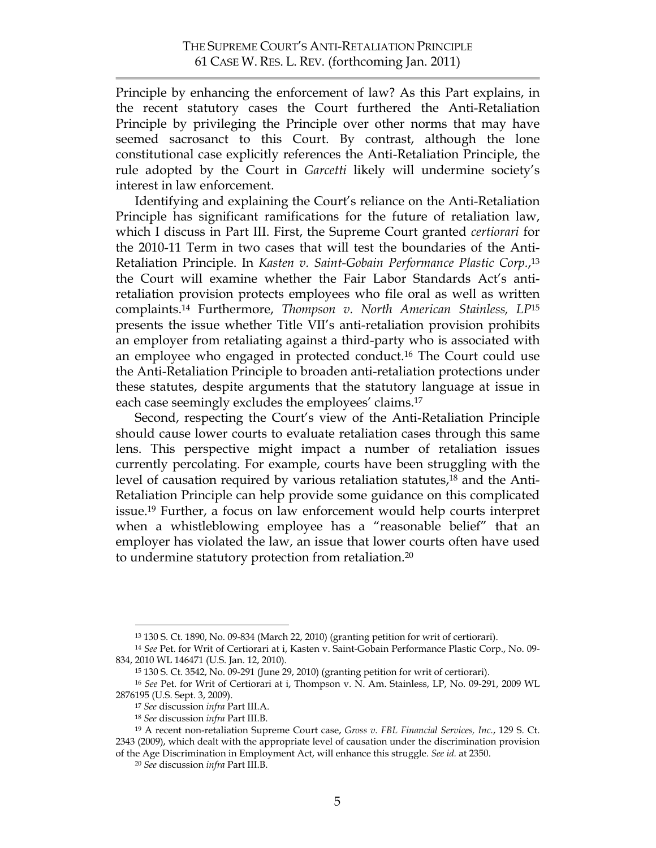Principle by enhancing the enforcement of law? As this Part explains, in the recent statutory cases the Court furthered the Anti-Retaliation Principle by privileging the Principle over other norms that may have seemed sacrosanct to this Court. By contrast, although the lone constitutional case explicitly references the Anti-Retaliation Principle, the rule adopted by the Court in *Garcetti* likely will undermine society's interest in law enforcement.

Identifying and explaining the Court's reliance on the Anti-Retaliation Principle has significant ramifications for the future of retaliation law, which I discuss in Part III. First, the Supreme Court granted *certiorari* for the 2010-11 Term in two cases that will test the boundaries of the Anti-Retaliation Principle. In *Kasten v. Saint-Gobain Performance Plastic Corp.*, 13 the Court will examine whether the Fair Labor Standards Act's antiretaliation provision protects employees who file oral as well as written complaints.14 Furthermore, *Thompson v. North American Stainless, LP*<sup>15</sup> presents the issue whether Title VII's anti-retaliation provision prohibits an employer from retaliating against a third-party who is associated with an employee who engaged in protected conduct. 16 The Court could use the Anti-Retaliation Principle to broaden anti-retaliation protections under these statutes, despite arguments that the statutory language at issue in each case seemingly excludes the employees' claims. 17

Second, respecting the Court's view of the Anti-Retaliation Principle should cause lower courts to evaluate retaliation cases through this same lens. This perspective might impact a number of retaliation issues currently percolating. For example, courts have been struggling with the level of causation required by various retaliation statutes,<sup>18</sup> and the Anti-Retaliation Principle can help provide some guidance on this complicated issue. <sup>19</sup> Further, a focus on law enforcement would help courts interpret when a whistleblowing employee has a "reasonable belief" that an employer has violated the law, an issue that lower courts often have used to undermine statutory protection from retaliation.20

 <sup>13 130</sup> S. Ct. 1890, No. 09-834 (March 22, 2010) (granting petition for writ of certiorari).

<sup>14</sup> *See* Pet. for Writ of Certiorari at i, Kasten v. Saint-Gobain Performance Plastic Corp., No. 09- 834, 2010 WL 146471 (U.S. Jan. 12, 2010).

<sup>15 130</sup> S. Ct. 3542, No. 09-291 (June 29, 2010) (granting petition for writ of certiorari).

<sup>16</sup> *See* Pet. for Writ of Certiorari at i, Thompson v. N. Am. Stainless, LP, No. 09-291, 2009 WL 2876195 (U.S. Sept. 3, 2009).

<sup>17</sup> *See* discussion *infra* Part III.A.

<sup>18</sup> *See* discussion *infra* Part III.B.

<sup>19</sup> A recent non-retaliation Supreme Court case, *Gross v. FBL Financial Services, Inc.*, 129 S. Ct. 2343 (2009), which dealt with the appropriate level of causation under the discrimination provision of the Age Discrimination in Employment Act, will enhance this struggle. *See id.* at 2350.

<sup>20</sup> *See* discussion *infra* Part III.B.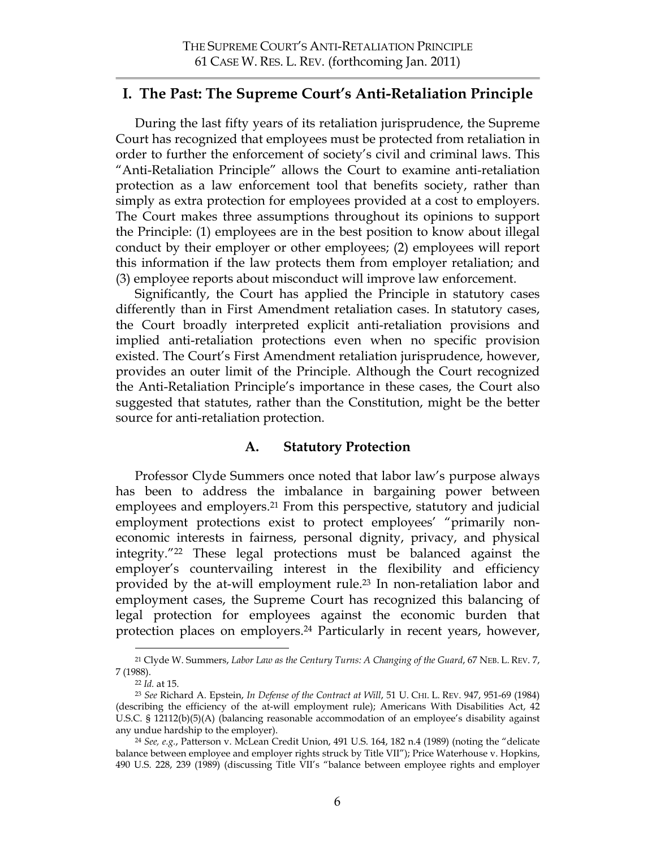## **I. The Past: The Supreme Court's Anti-Retaliation Principle**

During the last fifty years of its retaliation jurisprudence, the Supreme Court has recognized that employees must be protected from retaliation in order to further the enforcement of society's civil and criminal laws. This "Anti-Retaliation Principle" allows the Court to examine anti-retaliation protection as a law enforcement tool that benefits society, rather than simply as extra protection for employees provided at a cost to employers. The Court makes three assumptions throughout its opinions to support the Principle: (1) employees are in the best position to know about illegal conduct by their employer or other employees; (2) employees will report this information if the law protects them from employer retaliation; and (3) employee reports about misconduct will improve law enforcement.

Significantly, the Court has applied the Principle in statutory cases differently than in First Amendment retaliation cases. In statutory cases, the Court broadly interpreted explicit anti-retaliation provisions and implied anti-retaliation protections even when no specific provision existed. The Court's First Amendment retaliation jurisprudence, however, provides an outer limit of the Principle. Although the Court recognized the Anti-Retaliation Principle's importance in these cases, the Court also suggested that statutes, rather than the Constitution, might be the better source for anti-retaliation protection.

## **A. Statutory Protection**

Professor Clyde Summers once noted that labor law's purpose always has been to address the imbalance in bargaining power between employees and employers.21 From this perspective, statutory and judicial employment protections exist to protect employees' "primarily noneconomic interests in fairness, personal dignity, privacy, and physical integrity."22 These legal protections must be balanced against the employer's countervailing interest in the flexibility and efficiency provided by the at-will employment rule.23 In non-retaliation labor and employment cases, the Supreme Court has recognized this balancing of legal protection for employees against the economic burden that protection places on employers.24 Particularly in recent years, however,

 <sup>21</sup> Clyde W. Summers, *Labor Law as the Century Turns: A Changing of the Guard*, 67 NEB. L. REV. 7, 7 (1988).

<sup>22</sup> *Id.* at 15.

<sup>23</sup> *See* Richard A. Epstein, *In Defense of the Contract at Will*, 51 U. CHI. L. REV. 947, 951-69 (1984) (describing the efficiency of the at-will employment rule); Americans With Disabilities Act, 42 U.S.C. § 12112(b)(5)(A) (balancing reasonable accommodation of an employee's disability against any undue hardship to the employer).

<sup>24</sup> *See, e.g.*, Patterson v. McLean Credit Union, 491 U.S. 164, 182 n.4 (1989) (noting the "delicate balance between employee and employer rights struck by Title VII"); Price Waterhouse v. Hopkins, 490 U.S. 228, 239 (1989) (discussing Title VII's "balance between employee rights and employer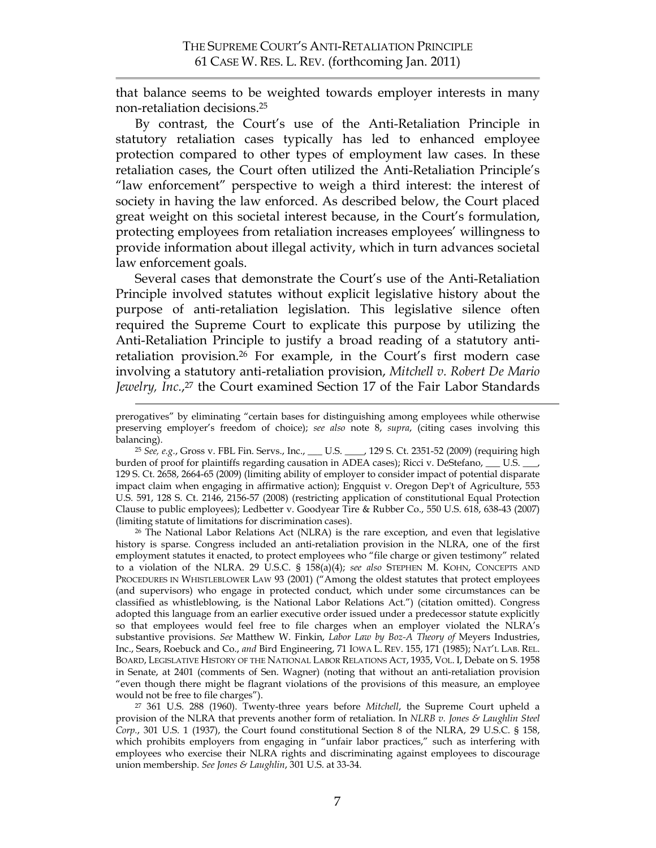that balance seems to be weighted towards employer interests in many non-retaliation decisions. 25

By contrast, the Court's use of the Anti-Retaliation Principle in statutory retaliation cases typically has led to enhanced employee protection compared to other types of employment law cases. In these retaliation cases, the Court often utilized the Anti-Retaliation Principle's "law enforcement" perspective to weigh a third interest: the interest of society in having the law enforced. As described below, the Court placed great weight on this societal interest because, in the Court's formulation, protecting employees from retaliation increases employees' willingness to provide information about illegal activity, which in turn advances societal law enforcement goals.

Several cases that demonstrate the Court's use of the Anti-Retaliation Principle involved statutes without explicit legislative history about the purpose of anti-retaliation legislation. This legislative silence often required the Supreme Court to explicate this purpose by utilizing the Anti-Retaliation Principle to justify a broad reading of a statutory antiretaliation provision. <sup>26</sup> For example, in the Court's first modern case involving a statutory anti-retaliation provision, *Mitchell v. Robert De Mario Jewelry, Inc.*, 27 the Court examined Section 17 of the Fair Labor Standards

26 The National Labor Relations Act (NLRA) is the rare exception, and even that legislative history is sparse. Congress included an anti-retaliation provision in the NLRA, one of the first employment statutes it enacted, to protect employees who "file charge or given testimony" related to a violation of the NLRA. 29 U.S.C. § 158(a)(4); *see also* STEPHEN M. KOHN, CONCEPTS AND PROCEDURES IN WHISTLEBLOWER LAW 93 (2001) ("Among the oldest statutes that protect employees (and supervisors) who engage in protected conduct, which under some circumstances can be classified as whistleblowing, is the National Labor Relations Act.") (citation omitted). Congress adopted this language from an earlier executive order issued under a predecessor statute explicitly so that employees would feel free to file charges when an employer violated the NLRA's substantive provisions. *See* Matthew W. Finkin, *Labor Law by Boz-A Theory of* Meyers Industries, Inc., Sears, Roebuck and Co., *and* Bird Engineering, 71 IOWA L. REV. 155, 171 (1985); NAT'L LAB. REL. BOARD, LEGISLATIVE HISTORY OF THE NATIONAL LABOR RELATIONS ACT, 1935, VOL. I, Debate on S. 1958 in Senate, at 2401 (comments of Sen. Wagner) (noting that without an anti-retaliation provision "even though there might be flagrant violations of the provisions of this measure, an employee would not be free to file charges").

27 361 U.S. 288 (1960). Twenty-three years before *Mitchell*, the Supreme Court upheld a provision of the NLRA that prevents another form of retaliation. In *NLRB v. Jones & Laughlin Steel*  Corp., 301 U.S. 1 (1937), the Court found constitutional Section 8 of the NLRA, 29 U.S.C. § 158, which prohibits employers from engaging in "unfair labor practices," such as interfering with employees who exercise their NLRA rights and discriminating against employees to discourage union membership. *See Jones & Laughlin*, 301 U.S. at 33-34.

prerogatives" by eliminating "certain bases for distinguishing among employees while otherwise preserving employer's freedom of choice); *see also* note 8, *supra*, (citing cases involving this balancing).

<sup>25</sup> *See, e.g.*, Gross v. FBL Fin. Servs., Inc., \_\_\_ U.S. \_\_\_\_, 129 S. Ct. 2351-52 (2009) (requiring high burden of proof for plaintiffs regarding causation in ADEA cases); Ricci v. DeStefano, \_\_\_\_ U.S. 129 S. Ct. 2658, 2664-65 (2009) (limiting ability of employer to consider impact of potential disparate impact claim when engaging in affirmative action); Engquist v. Oregon Dep't of Agriculture, 553 U.S. 591, 128 S. Ct. 2146, 2156-57 (2008) (restricting application of constitutional Equal Protection Clause to public employees); Ledbetter v. Goodyear Tire & Rubber Co., 550 U.S. 618, 638-43 (2007) (limiting statute of limitations for discrimination cases).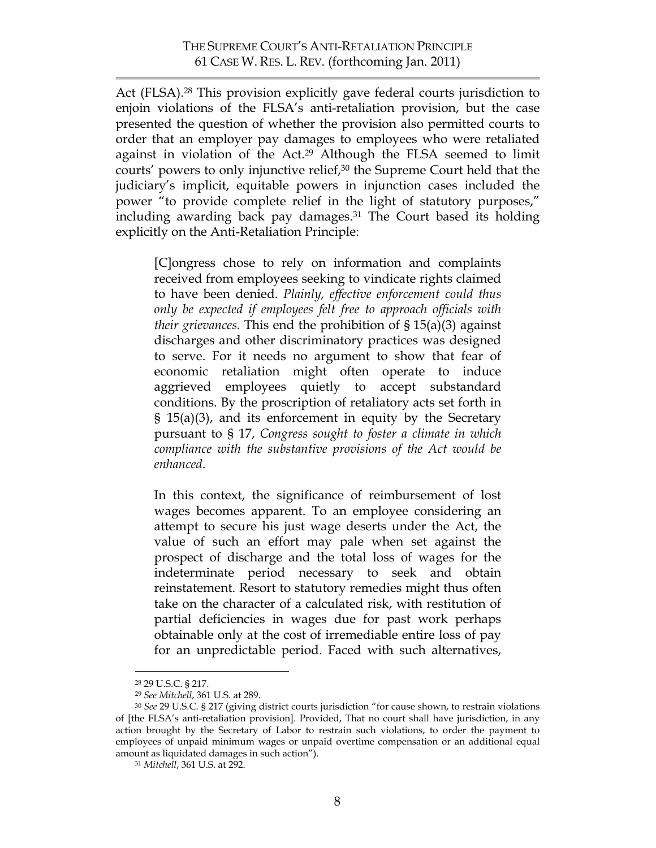Act (FLSA). <sup>28</sup> This provision explicitly gave federal courts jurisdiction to enjoin violations of the FLSA's anti-retaliation provision, but the case presented the question of whether the provision also permitted courts to order that an employer pay damages to employees who were retaliated against in violation of the Act. <sup>29</sup> Although the FLSA seemed to limit courts' powers to only injunctive relief,<sup>30</sup> the Supreme Court held that the judiciary's implicit, equitable powers in injunction cases included the power "to provide complete relief in the light of statutory purposes," including awarding back pay damages.<sup>31</sup> The Court based its holding explicitly on the Anti-Retaliation Principle:

[C]ongress chose to rely on information and complaints received from employees seeking to vindicate rights claimed to have been denied. *Plainly, effective enforcement could thus only be expected if employees felt free to approach officials with their grievances.* This end the prohibition of § 15(a)(3) against discharges and other discriminatory practices was designed to serve. For it needs no argument to show that fear of economic retaliation might often operate to induce aggrieved employees quietly to accept substandard conditions. By the proscription of retaliatory acts set forth in § 15(a)(3), and its enforcement in equity by the Secretary pursuant to § 17, *Congress sought to foster a climate in which compliance with the substantive provisions of the Act would be enhanced*.

In this context, the significance of reimbursement of lost wages becomes apparent. To an employee considering an attempt to secure his just wage deserts under the Act, the value of such an effort may pale when set against the prospect of discharge and the total loss of wages for the indeterminate period necessary to seek and obtain reinstatement. Resort to statutory remedies might thus often take on the character of a calculated risk, with restitution of partial deficiencies in wages due for past work perhaps obtainable only at the cost of irremediable entire loss of pay for an unpredictable period. Faced with such alternatives,

 <sup>28 29</sup> U.S.C. § 217.

<sup>29</sup> *See Mitchell*, 361 U.S. at 289.

<sup>30</sup> *See* 29 U.S.C. § 217 (giving district courts jurisdiction "for cause shown, to restrain violations of [the FLSA's anti-retaliation provision]. Provided, That no court shall have jurisdiction, in any action brought by the Secretary of Labor to restrain such violations, to order the payment to employees of unpaid minimum wages or unpaid overtime compensation or an additional equal amount as liquidated damages in such action").

<sup>31</sup> *Mitchell*, 361 U.S. at 292.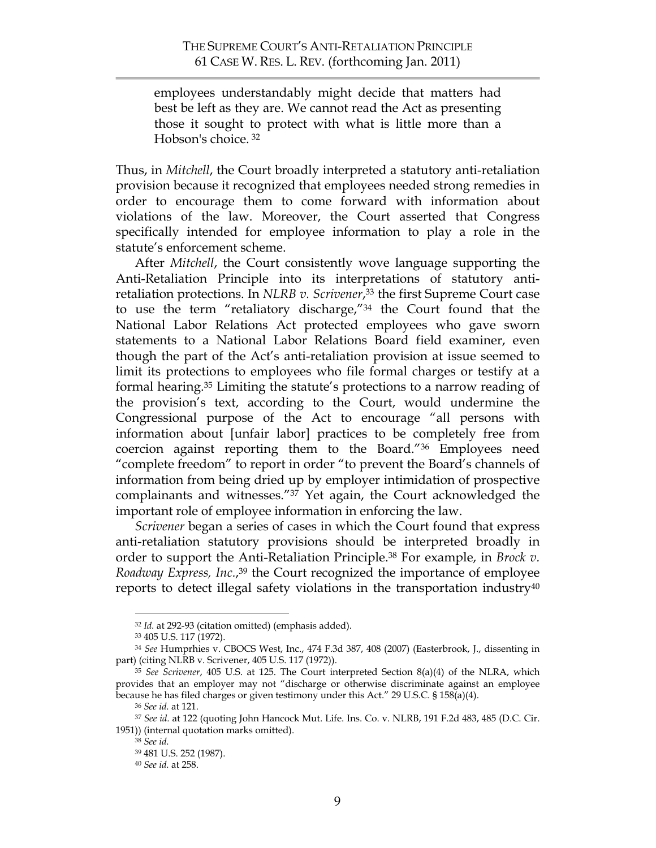employees understandably might decide that matters had best be left as they are. We cannot read the Act as presenting those it sought to protect with what is little more than a Hobson's choice. <sup>32</sup>

Thus, in *Mitchell*, the Court broadly interpreted a statutory anti-retaliation provision because it recognized that employees needed strong remedies in order to encourage them to come forward with information about violations of the law. Moreover, the Court asserted that Congress specifically intended for employee information to play a role in the statute's enforcement scheme.

After *Mitchell*, the Court consistently wove language supporting the Anti-Retaliation Principle into its interpretations of statutory antiretaliation protections. In *NLRB v. Scrivener*, <sup>33</sup> the first Supreme Court case to use the term "retaliatory discharge,"34 the Court found that the National Labor Relations Act protected employees who gave sworn statements to a National Labor Relations Board field examiner, even though the part of the Act's anti-retaliation provision at issue seemed to limit its protections to employees who file formal charges or testify at a formal hearing.35 Limiting the statute's protections to a narrow reading of the provision's text, according to the Court, would undermine the Congressional purpose of the Act to encourage "all persons with information about [unfair labor] practices to be completely free from coercion against reporting them to the Board."36 Employees need "complete freedom" to report in order "to prevent the Board's channels of information from being dried up by employer intimidation of prospective complainants and witnesses."37 Yet again, the Court acknowledged the important role of employee information in enforcing the law.

*Scrivener* began a series of cases in which the Court found that express anti-retaliation statutory provisions should be interpreted broadly in order to support the Anti-Retaliation Principle.38 For example, in *Brock v. Roadway Express, Inc.*, 39 the Court recognized the importance of employee reports to detect illegal safety violations in the transportation industry $40$ 

 <sup>32</sup> *Id.* at 292-93 (citation omitted) (emphasis added).

<sup>33 405</sup> U.S. 117 (1972).

<sup>34</sup> *See* Humprhies v. CBOCS West, Inc., 474 F.3d 387, 408 (2007) (Easterbrook, J., dissenting in part) (citing NLRB v. Scrivener, 405 U.S. 117 (1972)).

<sup>35</sup> *See Scrivener*, 405 U.S. at 125. The Court interpreted Section 8(a)(4) of the NLRA, which provides that an employer may not "discharge or otherwise discriminate against an employee because he has filed charges or given testimony under this Act." 29 U.S.C. § 158(a)(4).

<sup>36</sup> *See id.* at 121.

<sup>37</sup> *See id.* at 122 (quoting John Hancock Mut. Life. Ins. Co. v. NLRB, 191 F.2d 483, 485 (D.C. Cir. 1951)) (internal quotation marks omitted).

<sup>38</sup> *See id.*

<sup>39 481</sup> U.S. 252 (1987).

<sup>40</sup> *See id.* at 258.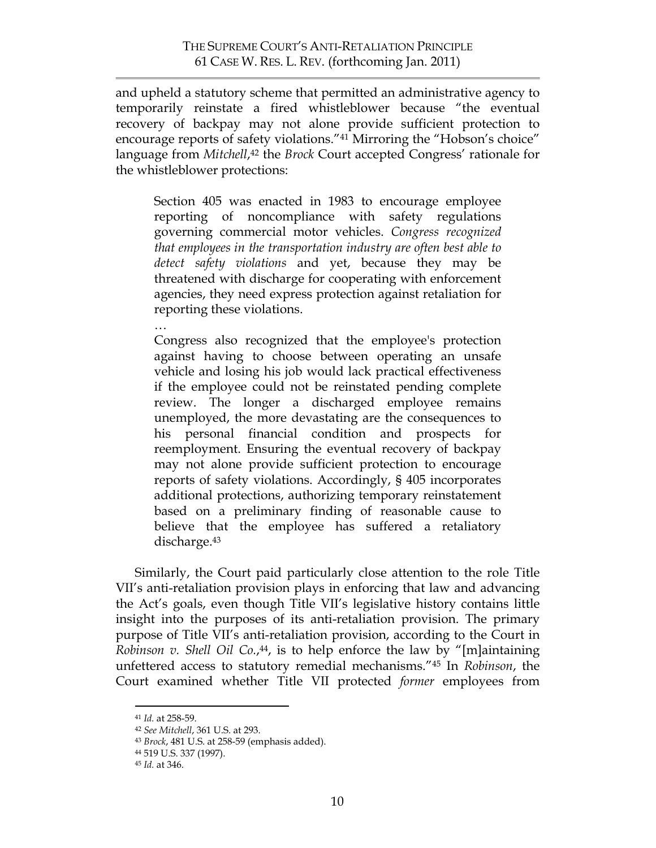and upheld a statutory scheme that permitted an administrative agency to temporarily reinstate a fired whistleblower because "the eventual recovery of backpay may not alone provide sufficient protection to encourage reports of safety violations."41 Mirroring the "Hobson's choice" language from *Mitchell*,<sup>42</sup> the *Brock* Court accepted Congress' rationale for the whistleblower protections:

Section 405 was enacted in 1983 to encourage employee reporting of noncompliance with safety regulations governing commercial motor vehicles. *Congress recognized that employees in the transportation industry are often best able to detect safety violations* and yet, because they may be threatened with discharge for cooperating with enforcement agencies, they need express protection against retaliation for reporting these violations.

…

Congress also recognized that the employee's protection against having to choose between operating an unsafe vehicle and losing his job would lack practical effectiveness if the employee could not be reinstated pending complete review. The longer a discharged employee remains unemployed, the more devastating are the consequences to his personal financial condition and prospects for reemployment. Ensuring the eventual recovery of backpay may not alone provide sufficient protection to encourage reports of safety violations. Accordingly, § 405 incorporates additional protections, authorizing temporary reinstatement based on a preliminary finding of reasonable cause to believe that the employee has suffered a retaliatory discharge. 43

Similarly, the Court paid particularly close attention to the role Title VII's anti-retaliation provision plays in enforcing that law and advancing the Act's goals, even though Title VII's legislative history contains little insight into the purposes of its anti-retaliation provision. The primary purpose of Title VII's anti-retaliation provision, according to the Court in *Robinson v. Shell Oil Co.*,44, is to help enforce the law by "[m]aintaining unfettered access to statutory remedial mechanisms."45 In *Robinson*, the Court examined whether Title VII protected *former* employees from

 <sup>41</sup> *Id.* at 258-59.

<sup>42</sup> *See Mitchell*, 361 U.S. at 293.

<sup>43</sup> *Brock*, 481 U.S. at 258-59 (emphasis added).

<sup>44 519</sup> U.S. 337 (1997).

<sup>45</sup> *Id.* at 346.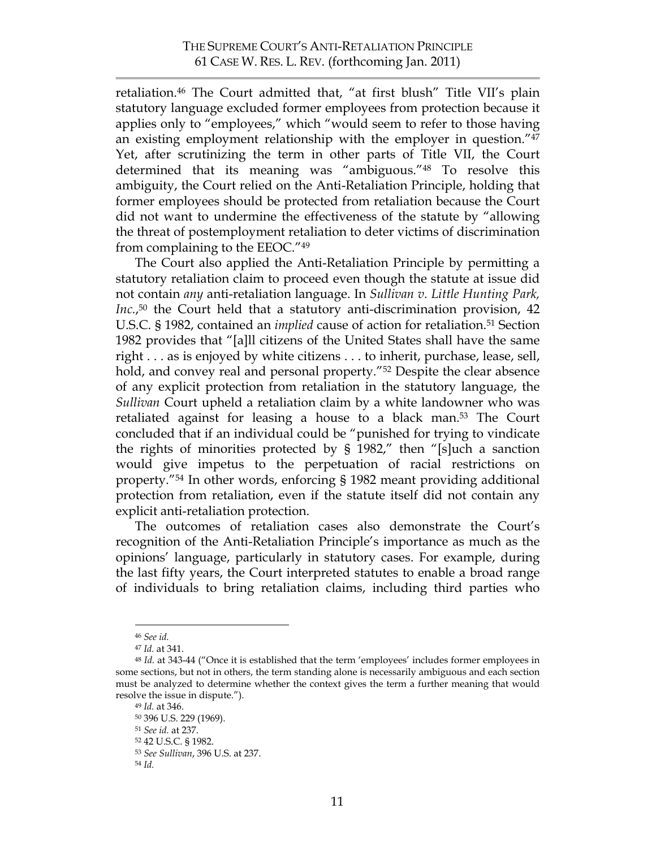retaliation.46 The Court admitted that, "at first blush" Title VII's plain statutory language excluded former employees from protection because it applies only to "employees," which "would seem to refer to those having an existing employment relationship with the employer in question."47 Yet, after scrutinizing the term in other parts of Title VII, the Court determined that its meaning was "ambiguous."48 To resolve this ambiguity, the Court relied on the Anti-Retaliation Principle, holding that former employees should be protected from retaliation because the Court did not want to undermine the effectiveness of the statute by "allowing the threat of postemployment retaliation to deter victims of discrimination from complaining to the EEOC."49

The Court also applied the Anti-Retaliation Principle by permitting a statutory retaliation claim to proceed even though the statute at issue did not contain *any* anti-retaliation language. In *Sullivan v. Little Hunting Park, Inc.*,<sup>50</sup> the Court held that a statutory anti-discrimination provision, 42 U.S.C. § 1982, contained an *implied* cause of action for retaliation.51 Section 1982 provides that "[a]ll citizens of the United States shall have the same right . . . as is enjoyed by white citizens . . . to inherit, purchase, lease, sell, hold, and convey real and personal property."<sup>52</sup> Despite the clear absence of any explicit protection from retaliation in the statutory language, the *Sullivan* Court upheld a retaliation claim by a white landowner who was retaliated against for leasing a house to a black man.53 The Court concluded that if an individual could be "punished for trying to vindicate the rights of minorities protected by § 1982," then "[s]uch a sanction would give impetus to the perpetuation of racial restrictions on property."54 In other words, enforcing § 1982 meant providing additional protection from retaliation, even if the statute itself did not contain any explicit anti-retaliation protection.

The outcomes of retaliation cases also demonstrate the Court's recognition of the Anti-Retaliation Principle's importance as much as the opinions' language, particularly in statutory cases. For example, during the last fifty years, the Court interpreted statutes to enable a broad range of individuals to bring retaliation claims, including third parties who

 <sup>46</sup> *See id.*

<sup>47</sup> *Id.* at 341.

<sup>48</sup> *Id.* at 343-44 ("Once it is established that the term 'employees' includes former employees in some sections, but not in others, the term standing alone is necessarily ambiguous and each section must be analyzed to determine whether the context gives the term a further meaning that would resolve the issue in dispute.").

<sup>49</sup> *Id.* at 346.

<sup>50 396</sup> U.S. 229 (1969).

<sup>51</sup> *See id.* at 237.

<sup>52 42</sup> U.S.C. § 1982.

<sup>53</sup> *See Sullivan*, 396 U.S. at 237.

<sup>54</sup> *Id.*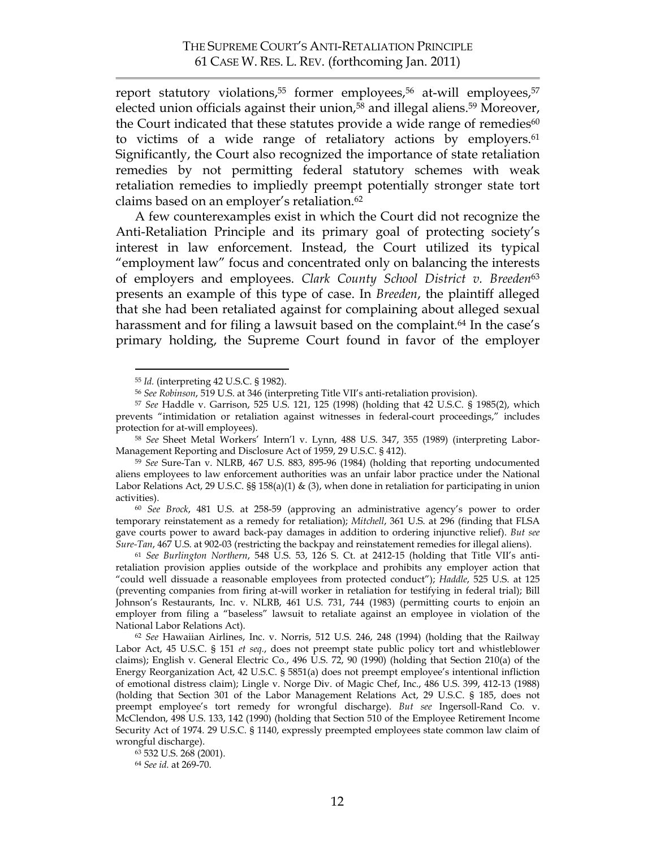report statutory violations,<sup>55</sup> former employees,<sup>56</sup> at-will employees,<sup>57</sup> elected union officials against their union,<sup>58</sup> and illegal aliens.<sup>59</sup> Moreover, the Court indicated that these statutes provide a wide range of remedies<sup>60</sup> to victims of a wide range of retaliatory actions by employers.<sup>61</sup> Significantly, the Court also recognized the importance of state retaliation remedies by not permitting federal statutory schemes with weak retaliation remedies to impliedly preempt potentially stronger state tort claims based on an employer's retaliation.62

A few counterexamples exist in which the Court did not recognize the Anti-Retaliation Principle and its primary goal of protecting society's interest in law enforcement. Instead, the Court utilized its typical "employment law" focus and concentrated only on balancing the interests of employers and employees. *Clark County School District v. Breeden*<sup>63</sup> presents an example of this type of case. In *Breeden*, the plaintiff alleged that she had been retaliated against for complaining about alleged sexual harassment and for filing a lawsuit based on the complaint. <sup>64</sup> In the case's primary holding, the Supreme Court found in favor of the employer

 <sup>55</sup> *Id.* (interpreting 42 U.S.C. § 1982).

<sup>56</sup> *See Robinson*, 519 U.S. at 346 (interpreting Title VII's anti-retaliation provision).

<sup>57</sup> *See* Haddle v. Garrison, 525 U.S. 121, 125 (1998) (holding that 42 U.S.C. § 1985(2), which prevents "intimidation or retaliation against witnesses in federal-court proceedings," includes protection for at-will employees).

<sup>58</sup> *See* Sheet Metal Workers' Intern'l v. Lynn, 488 U.S. 347, 355 (1989) (interpreting Labor-Management Reporting and Disclosure Act of 1959, 29 U.S.C. § 412).

<sup>59</sup> *See* Sure-Tan v. NLRB, 467 U.S. 883, 895-96 (1984) (holding that reporting undocumented aliens employees to law enforcement authorities was an unfair labor practice under the National Labor Relations Act, 29 U.S.C. §§ 158(a)(1) & (3), when done in retaliation for participating in union activities).

<sup>60</sup> *See Brock*, 481 U.S. at 258-59 (approving an administrative agency's power to order temporary reinstatement as a remedy for retaliation); *Mitchell*, 361 U.S. at 296 (finding that FLSA gave courts power to award back-pay damages in addition to ordering injunctive relief). *But see Sure-Tan*, 467 U.S. at 902-03 (restricting the backpay and reinstatement remedies for illegal aliens).

<sup>61</sup> *See Burlington Northern*, 548 U.S. 53, 126 S. Ct. at 2412-15 (holding that Title VII's antiretaliation provision applies outside of the workplace and prohibits any employer action that "could well dissuade a reasonable employees from protected conduct"); *Haddle*, 525 U.S. at 125 (preventing companies from firing at-will worker in retaliation for testifying in federal trial); Bill Johnson's Restaurants, Inc. v. NLRB, 461 U.S. 731, 744 (1983) (permitting courts to enjoin an employer from filing a "baseless" lawsuit to retaliate against an employee in violation of the National Labor Relations Act).

<sup>62</sup> *See* Hawaiian Airlines, Inc. v. Norris, 512 U.S. 246, 248 (1994) (holding that the Railway Labor Act, 45 U.S.C. § 151 *et seq.*, does not preempt state public policy tort and whistleblower claims); English v. General Electric Co., 496 U.S. 72, 90 (1990) (holding that Section 210(a) of the Energy Reorganization Act, 42 U.S.C. § 5851(a) does not preempt employee's intentional infliction of emotional distress claim); Lingle v. Norge Div. of Magic Chef, Inc., 486 U.S. 399, 412-13 (1988) (holding that Section 301 of the Labor Management Relations Act, 29 U.S.C. § 185, does not preempt employee's tort remedy for wrongful discharge). *But see* Ingersoll-Rand Co. v. McClendon, 498 U.S. 133, 142 (1990) (holding that Section 510 of the Employee Retirement Income Security Act of 1974. 29 U.S.C. § 1140, expressly preempted employees state common law claim of wrongful discharge).

<sup>63 532</sup> U.S. 268 (2001).

<sup>64</sup> *See id.* at 269-70.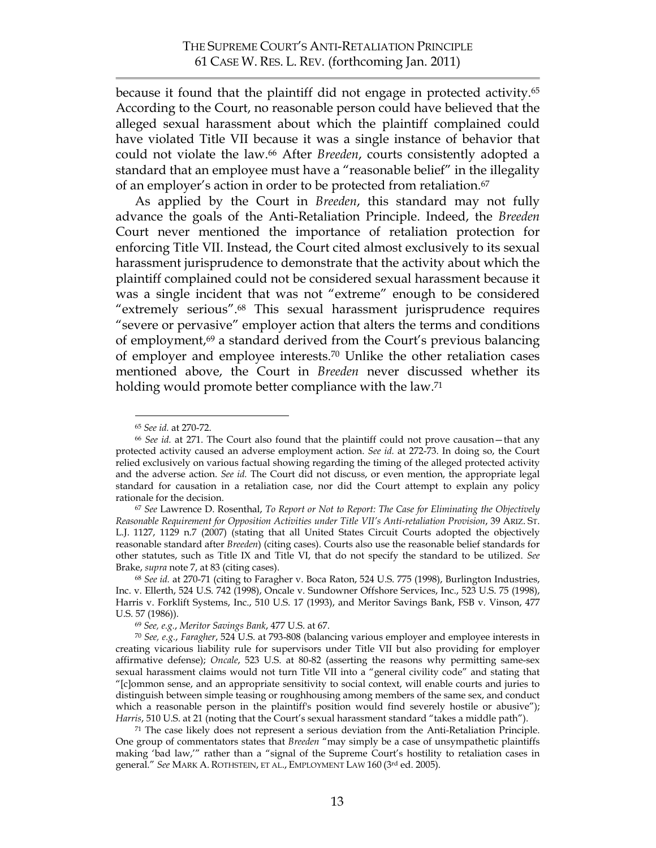because it found that the plaintiff did not engage in protected activity.65 According to the Court, no reasonable person could have believed that the alleged sexual harassment about which the plaintiff complained could have violated Title VII because it was a single instance of behavior that could not violate the law. <sup>66</sup> After *Breeden*, courts consistently adopted a standard that an employee must have a "reasonable belief" in the illegality of an employer's action in order to be protected from retaliation.<sup>67</sup>

As applied by the Court in *Breeden*, this standard may not fully advance the goals of the Anti-Retaliation Principle. Indeed, the *Breeden* Court never mentioned the importance of retaliation protection for enforcing Title VII. Instead, the Court cited almost exclusively to its sexual harassment jurisprudence to demonstrate that the activity about which the plaintiff complained could not be considered sexual harassment because it was a single incident that was not "extreme" enough to be considered "extremely serious".68 This sexual harassment jurisprudence requires "severe or pervasive" employer action that alters the terms and conditions of employment, 69 a standard derived from the Court's previous balancing of employer and employee interests.70 Unlike the other retaliation cases mentioned above, the Court in *Breeden* never discussed whether its holding would promote better compliance with the law. 71

 <sup>65</sup> *See id.* at 270-72.

<sup>66</sup> *See id.* at 271. The Court also found that the plaintiff could not prove causation—that any protected activity caused an adverse employment action. *See id.* at 272-73. In doing so, the Court relied exclusively on various factual showing regarding the timing of the alleged protected activity and the adverse action. *See id.* The Court did not discuss, or even mention, the appropriate legal standard for causation in a retaliation case, nor did the Court attempt to explain any policy rationale for the decision.

<sup>67</sup> *See* Lawrence D. Rosenthal, *To Report or Not to Report: The Case for Eliminating the Objectively Reasonable Requirement for Opposition Activities under Title VII's Anti-retaliation Provision*, 39 ARIZ. ST. L.J. 1127, 1129 n.7 (2007) (stating that all United States Circuit Courts adopted the objectively reasonable standard after *Breeden*) (citing cases). Courts also use the reasonable belief standards for other statutes, such as Title IX and Title VI, that do not specify the standard to be utilized. *See* Brake, *supra* note 7, at 83 (citing cases).

<sup>68</sup> *See id.* at 270-71 (citing to Faragher v. Boca Raton, 524 U.S. 775 (1998), Burlington Industries, Inc. v. Ellerth, 524 U.S. 742 (1998), Oncale v. Sundowner Offshore Services, Inc., 523 U.S. 75 (1998), Harris v. Forklift Systems, Inc., 510 U.S. 17 (1993), and Meritor Savings Bank, FSB v. Vinson, 477 U.S. 57 (1986)).

<sup>69</sup> *See, e.g.*, *Meritor Savings Bank*, 477 U.S. at 67.

<sup>70</sup> *See, e.g.*, *Faragher*, 524 U.S. at 793-808 (balancing various employer and employee interests in creating vicarious liability rule for supervisors under Title VII but also providing for employer affirmative defense); *Oncale*, 523 U.S. at 80-82 (asserting the reasons why permitting same-sex sexual harassment claims would not turn Title VII into a "general civility code" and stating that "[c]ommon sense, and an appropriate sensitivity to social context, will enable courts and juries to distinguish between simple teasing or roughhousing among members of the same sex, and conduct which a reasonable person in the plaintiff's position would find severely hostile or abusive"); Harris, 510 U.S. at 21 (noting that the Court's sexual harassment standard "takes a middle path").

<sup>71</sup> The case likely does not represent a serious deviation from the Anti-Retaliation Principle. One group of commentators states that *Breeden* "may simply be a case of unsympathetic plaintiffs making 'bad law,'" rather than a "signal of the Supreme Court's hostility to retaliation cases in general." *See* MARK A. ROTHSTEIN, ET AL., EMPLOYMENT LAW 160 (3rd ed. 2005).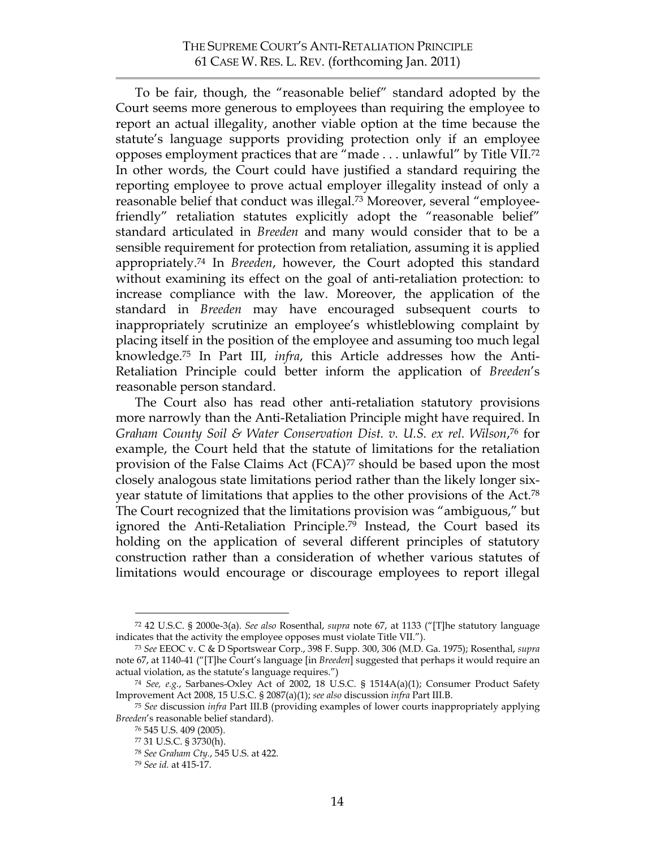To be fair, though, the "reasonable belief" standard adopted by the Court seems more generous to employees than requiring the employee to report an actual illegality, another viable option at the time because the statute's language supports providing protection only if an employee opposes employment practices that are "made . . . unlawful" by Title VII.72 In other words, the Court could have justified a standard requiring the reporting employee to prove actual employer illegality instead of only a reasonable belief that conduct was illegal.73 Moreover, several "employeefriendly" retaliation statutes explicitly adopt the "reasonable belief" standard articulated in *Breeden* and many would consider that to be a sensible requirement for protection from retaliation, assuming it is applied appropriately. <sup>74</sup> In *Breeden*, however, the Court adopted this standard without examining its effect on the goal of anti-retaliation protection: to increase compliance with the law. Moreover, the application of the standard in *Breeden* may have encouraged subsequent courts to inappropriately scrutinize an employee's whistleblowing complaint by placing itself in the position of the employee and assuming too much legal knowledge.75 In Part III, *infra*, this Article addresses how the Anti-Retaliation Principle could better inform the application of *Breeden*'s reasonable person standard.

The Court also has read other anti-retaliation statutory provisions more narrowly than the Anti-Retaliation Principle might have required. In *Graham County Soil & Water Conservation Dist. v. U.S. ex rel. Wilson*,76 for example, the Court held that the statute of limitations for the retaliation provision of the False Claims Act (FCA)<sup>77</sup> should be based upon the most closely analogous state limitations period rather than the likely longer sixyear statute of limitations that applies to the other provisions of the Act. 78 The Court recognized that the limitations provision was "ambiguous," but ignored the Anti-Retaliation Principle. <sup>79</sup> Instead, the Court based its holding on the application of several different principles of statutory construction rather than a consideration of whether various statutes of limitations would encourage or discourage employees to report illegal

 <sup>72 42</sup> U.S.C. § 2000e-3(a). *See also* Rosenthal, *supra* note 67, at 1133 ("[T]he statutory language indicates that the activity the employee opposes must violate Title VII.").

<sup>73</sup> *See* EEOC v. C & D Sportswear Corp., 398 F. Supp. 300, 306 (M.D. Ga. 1975); Rosenthal, *supra* note 67, at 1140-41 ("[T]he Court's language [in *Breeden*] suggested that perhaps it would require an actual violation, as the statute's language requires.")

<sup>74</sup> *See, e.g.*, Sarbanes-Oxley Act of 2002, 18 U.S.C. § 1514A(a)(1); Consumer Product Safety Improvement Act 2008, 15 U.S.C. § 2087(a)(1); *see also* discussion *infra* Part III.B.

<sup>75</sup> *See* discussion *infra* Part III.B (providing examples of lower courts inappropriately applying *Breeden*'s reasonable belief standard).

<sup>76 545</sup> U.S. 409 (2005).

<sup>77 31</sup> U.S.C. § 3730(h).

<sup>78</sup> *See Graham Cty.*, 545 U.S. at 422.

<sup>79</sup> *See id.* at 415-17.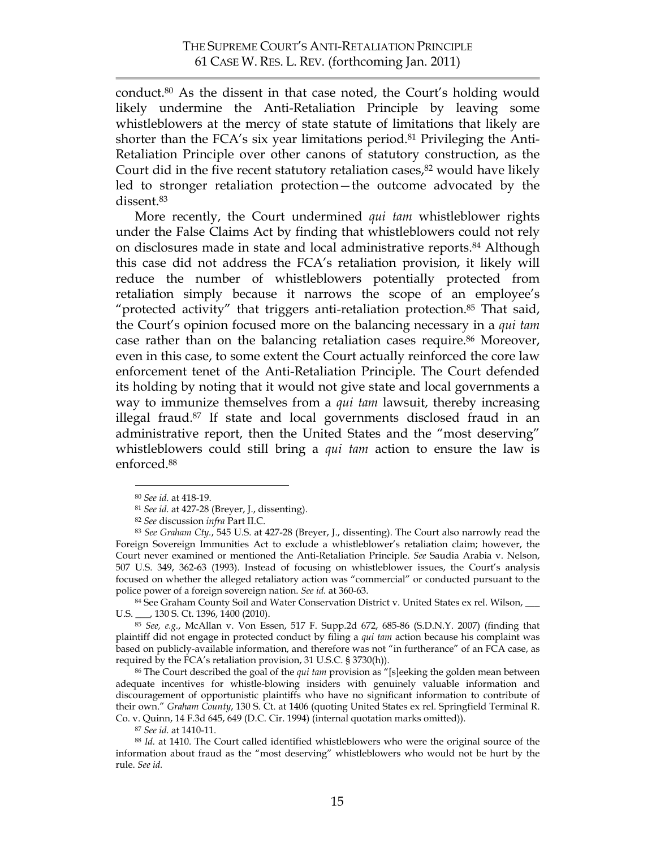conduct.80 As the dissent in that case noted, the Court's holding would likely undermine the Anti-Retaliation Principle by leaving some whistleblowers at the mercy of state statute of limitations that likely are shorter than the FCA's six year limitations period. <sup>81</sup> Privileging the Anti-Retaliation Principle over other canons of statutory construction, as the Court did in the five recent statutory retaliation cases, $82$  would have likely led to stronger retaliation protection—the outcome advocated by the dissent.83

More recently, the Court undermined *qui tam* whistleblower rights under the False Claims Act by finding that whistleblowers could not rely on disclosures made in state and local administrative reports.84 Although this case did not address the FCA's retaliation provision, it likely will reduce the number of whistleblowers potentially protected from retaliation simply because it narrows the scope of an employee's "protected activity" that triggers anti-retaliation protection.<sup>85</sup> That said, the Court's opinion focused more on the balancing necessary in a *qui tam* case rather than on the balancing retaliation cases require.<sup>86</sup> Moreover, even in this case, to some extent the Court actually reinforced the core law enforcement tenet of the Anti-Retaliation Principle. The Court defended its holding by noting that it would not give state and local governments a way to immunize themselves from a *qui tam* lawsuit, thereby increasing illegal fraud. 87 If state and local governments disclosed fraud in an administrative report, then the United States and the "most deserving" whistleblowers could still bring a *qui tam* action to ensure the law is enforced.88

U.S. \_\_\_, 130 S. Ct. 1396, 1400 (2010).

<sup>85</sup> *See, e.g.*, McAllan v. Von Essen, 517 F. Supp.2d 672, 685-86 (S.D.N.Y. 2007) (finding that plaintiff did not engage in protected conduct by filing a *qui tam* action because his complaint was based on publicly-available information, and therefore was not "in furtherance" of an FCA case, as required by the FCA's retaliation provision, 31 U.S.C. § 3730(h)).

86 The Court described the goal of the *qui tam* provision as "[s]eeking the golden mean between adequate incentives for whistle-blowing insiders with genuinely valuable information and discouragement of opportunistic plaintiffs who have no significant information to contribute of their own." *Graham County*, 130 S. Ct. at 1406 (quoting United States ex rel. Springfield Terminal R. Co. v. Quinn, 14 F.3d 645, 649 (D.C. Cir. 1994) (internal quotation marks omitted)).

<sup>87</sup> *See id.* at 1410-11.

<sup>88</sup> *Id.* at 1410. The Court called identified whistleblowers who were the original source of the information about fraud as the "most deserving" whistleblowers who would not be hurt by the rule. *See id.*

 <sup>80</sup> *See id.* at 418-19.

<sup>81</sup> *See id.* at 427-28 (Breyer, J., dissenting).

<sup>82</sup> *See* discussion *infra* Part II.C.

<sup>83</sup> *See Graham Cty.*, 545 U.S. at 427-28 (Breyer, J., dissenting). The Court also narrowly read the Foreign Sovereign Immunities Act to exclude a whistleblower's retaliation claim; however, the Court never examined or mentioned the Anti-Retaliation Principle. *See* Saudia Arabia v. Nelson, 507 U.S. 349, 362-63 (1993). Instead of focusing on whistleblower issues, the Court's analysis focused on whether the alleged retaliatory action was "commercial" or conducted pursuant to the police power of a foreign sovereign nation. *See id.* at 360-63.<br><sup>84</sup> See Graham County Soil and Water Conservation District v. United States ex rel. Wilson,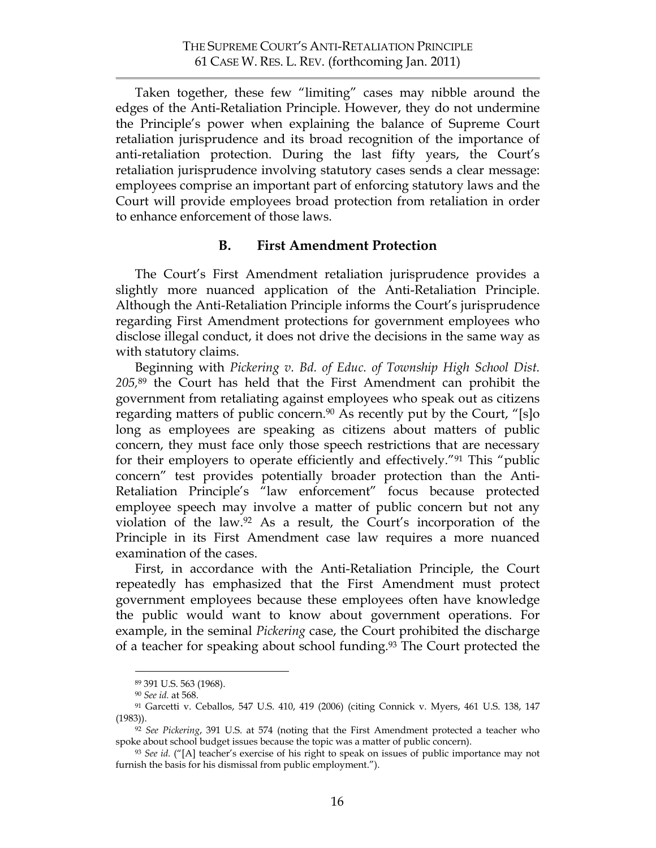Taken together, these few "limiting" cases may nibble around the edges of the Anti-Retaliation Principle. However, they do not undermine the Principle's power when explaining the balance of Supreme Court retaliation jurisprudence and its broad recognition of the importance of anti-retaliation protection. During the last fifty years, the Court's retaliation jurisprudence involving statutory cases sends a clear message: employees comprise an important part of enforcing statutory laws and the Court will provide employees broad protection from retaliation in order to enhance enforcement of those laws.

### **B. First Amendment Protection**

The Court's First Amendment retaliation jurisprudence provides a slightly more nuanced application of the Anti-Retaliation Principle. Although the Anti-Retaliation Principle informs the Court's jurisprudence regarding First Amendment protections for government employees who disclose illegal conduct, it does not drive the decisions in the same way as with statutory claims.

Beginning with *Pickering v. Bd. of Educ. of Township High School Dist. 205,*89 the Court has held that the First Amendment can prohibit the government from retaliating against employees who speak out as citizens regarding matters of public concern.<sup>90</sup> As recently put by the Court, "[s]o long as employees are speaking as citizens about matters of public concern, they must face only those speech restrictions that are necessary for their employers to operate efficiently and effectively."91 This "public concern" test provides potentially broader protection than the Anti-Retaliation Principle's "law enforcement" focus because protected employee speech may involve a matter of public concern but not any violation of the law.92 As a result, the Court's incorporation of the Principle in its First Amendment case law requires a more nuanced examination of the cases.

First, in accordance with the Anti-Retaliation Principle, the Court repeatedly has emphasized that the First Amendment must protect government employees because these employees often have knowledge the public would want to know about government operations. For example, in the seminal *Pickering* case, the Court prohibited the discharge of a teacher for speaking about school funding. <sup>93</sup> The Court protected the

 <sup>89 391</sup> U.S. 563 (1968).

<sup>90</sup> *See id.* at 568.

<sup>91</sup> Garcetti v. Ceballos, 547 U.S. 410, 419 (2006) (citing Connick v. Myers, 461 U.S. 138, 147 (1983)).

<sup>92</sup> *See Pickering*, 391 U.S. at 574 (noting that the First Amendment protected a teacher who spoke about school budget issues because the topic was a matter of public concern).

<sup>93</sup> *See id.* ("[A] teacher's exercise of his right to speak on issues of public importance may not furnish the basis for his dismissal from public employment.").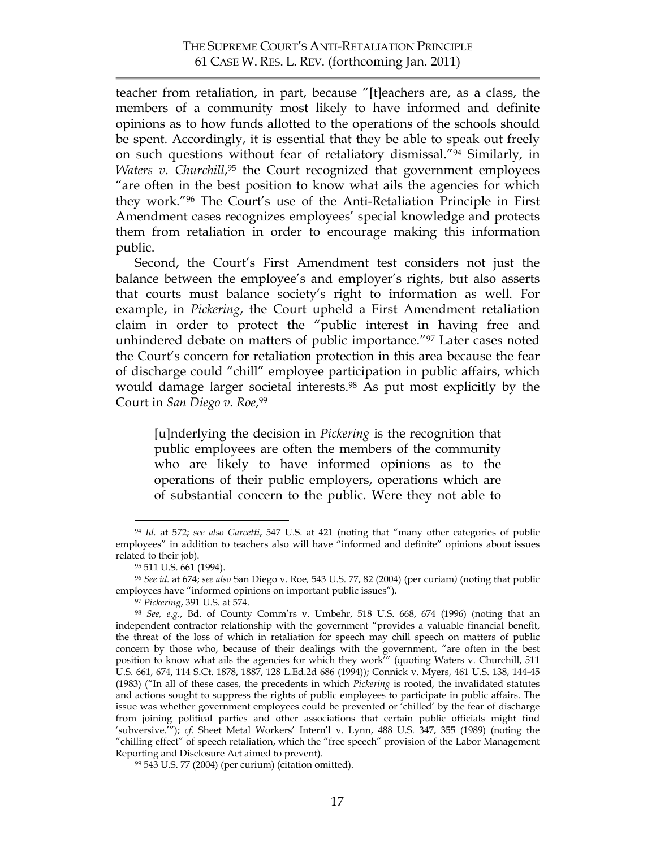teacher from retaliation, in part, because "[t]eachers are, as a class, the members of a community most likely to have informed and definite opinions as to how funds allotted to the operations of the schools should be spent. Accordingly, it is essential that they be able to speak out freely on such questions without fear of retaliatory dismissal."94 Similarly, in *Waters v. Churchill*, 95 the Court recognized that government employees "are often in the best position to know what ails the agencies for which they work."96 The Court's use of the Anti-Retaliation Principle in First Amendment cases recognizes employees' special knowledge and protects them from retaliation in order to encourage making this information public.

Second, the Court's First Amendment test considers not just the balance between the employee's and employer's rights, but also asserts that courts must balance society's right to information as well. For example, in *Pickering*, the Court upheld a First Amendment retaliation claim in order to protect the "public interest in having free and unhindered debate on matters of public importance."97 Later cases noted the Court's concern for retaliation protection in this area because the fear of discharge could "chill" employee participation in public affairs, which would damage larger societal interests.98 As put most explicitly by the Court in *San Diego v. Roe*,99

[u]nderlying the decision in *Pickering* is the recognition that public employees are often the members of the community who are likely to have informed opinions as to the operations of their public employers, operations which are of substantial concern to the public. Were they not able to

 <sup>94</sup> *Id.* at 572; *see also Garcetti*, 547 U.S. at 421 (noting that "many other categories of public employees" in addition to teachers also will have "informed and definite" opinions about issues related to their job).

<sup>95 511</sup> U.S. 661 (1994).

<sup>96</sup> *See id.* at 674; *see also* San Diego v. Roe*,* 543 U.S. 77, 82 (2004) (per curiam*)* (noting that public employees have "informed opinions on important public issues").

<sup>97</sup> *Pickering*, 391 U.S. at 574.

<sup>98</sup> *See, e.g.*, Bd. of County Comm'rs v. Umbehr, 518 U.S. 668, 674 (1996) (noting that an independent contractor relationship with the government "provides a valuable financial benefit, the threat of the loss of which in retaliation for speech may chill speech on matters of public concern by those who, because of their dealings with the government, "are often in the best position to know what ails the agencies for which they work'" (quoting Waters v. Churchill, 511 U.S. 661, 674, 114 S.Ct. 1878, 1887, 128 L.Ed.2d 686 (1994)); Connick v. Myers, 461 U.S. 138, 144-45 (1983) ("In all of these cases, the precedents in which *Pickering* is rooted, the invalidated statutes and actions sought to suppress the rights of public employees to participate in public affairs. The issue was whether government employees could be prevented or 'chilled' by the fear of discharge from joining political parties and other associations that certain public officials might find 'subversive.'"); *cf.* Sheet Metal Workers' Intern'l v. Lynn, 488 U.S. 347, 355 (1989) (noting the "chilling effect" of speech retaliation, which the "free speech" provision of the Labor Management Reporting and Disclosure Act aimed to prevent).

<sup>99 543</sup> U.S. 77 (2004) (per curium) (citation omitted).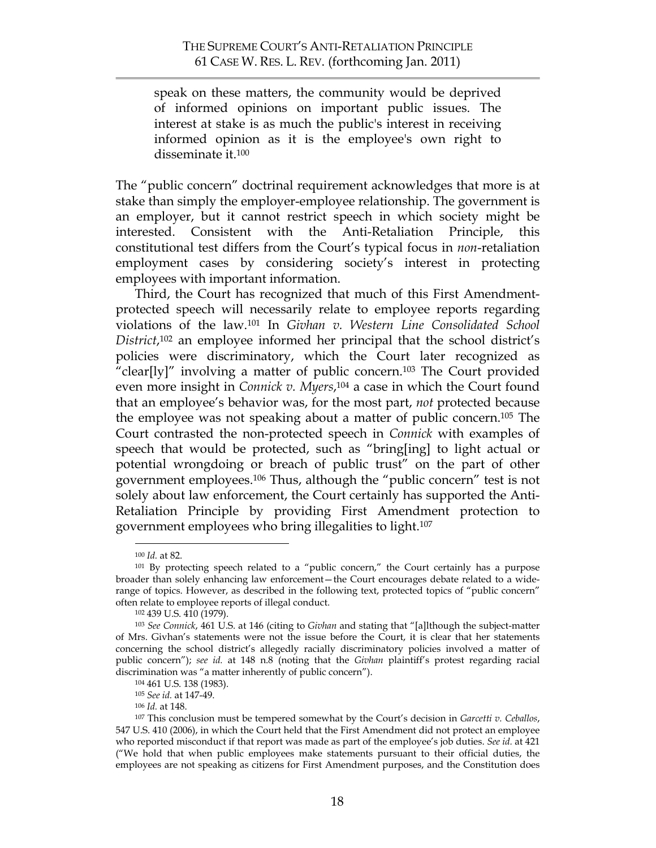speak on these matters, the community would be deprived of informed opinions on important public issues. The interest at stake is as much the public's interest in receiving informed opinion as it is the employee's own right to disseminate it.100

The "public concern" doctrinal requirement acknowledges that more is at stake than simply the employer-employee relationship. The government is an employer, but it cannot restrict speech in which society might be interested. Consistent with the Anti-Retaliation Principle, this constitutional test differs from the Court's typical focus in *non*-retaliation employment cases by considering society's interest in protecting employees with important information.

Third, the Court has recognized that much of this First Amendmentprotected speech will necessarily relate to employee reports regarding violations of the law.101 In *Givhan v. Western Line Consolidated School District*,102 an employee informed her principal that the school district's policies were discriminatory, which the Court later recognized as "clear[ly]" involving a matter of public concern.103 The Court provided even more insight in *Connick v. Myers*, 104 a case in which the Court found that an employee's behavior was, for the most part, *not* protected because the employee was not speaking about a matter of public concern.105 The Court contrasted the non-protected speech in *Connick* with examples of speech that would be protected, such as "bring[ing] to light actual or potential wrongdoing or breach of public trust" on the part of other government employees.106 Thus, although the "public concern" test is not solely about law enforcement, the Court certainly has supported the Anti-Retaliation Principle by providing First Amendment protection to government employees who bring illegalities to light.107

 <sup>100</sup> *Id.* at 82.

<sup>&</sup>lt;sup>101</sup> By protecting speech related to a "public concern," the Court certainly has a purpose broader than solely enhancing law enforcement—the Court encourages debate related to a widerange of topics. However, as described in the following text, protected topics of "public concern" often relate to employee reports of illegal conduct.

<sup>102 439</sup> U.S. 410 (1979).

<sup>103</sup> *See Connick*, 461 U.S. at 146 (citing to *Givhan* and stating that "[a]lthough the subject-matter of Mrs. Givhan's statements were not the issue before the Court, it is clear that her statements concerning the school district's allegedly racially discriminatory policies involved a matter of public concern"); *see id.* at 148 n.8 (noting that the *Givhan* plaintiff's protest regarding racial discrimination was "a matter inherently of public concern").

<sup>104 461</sup> U.S. 138 (1983).

<sup>105</sup> *See id.* at 147-49.

<sup>106</sup> *Id.* at 148.

<sup>107</sup> This conclusion must be tempered somewhat by the Court's decision in *Garcetti v. Ceballos*, 547 U.S. 410 (2006), in which the Court held that the First Amendment did not protect an employee who reported misconduct if that report was made as part of the employee's job duties. *See id.* at 421 ("We hold that when public employees make statements pursuant to their official duties, the employees are not speaking as citizens for First Amendment purposes, and the Constitution does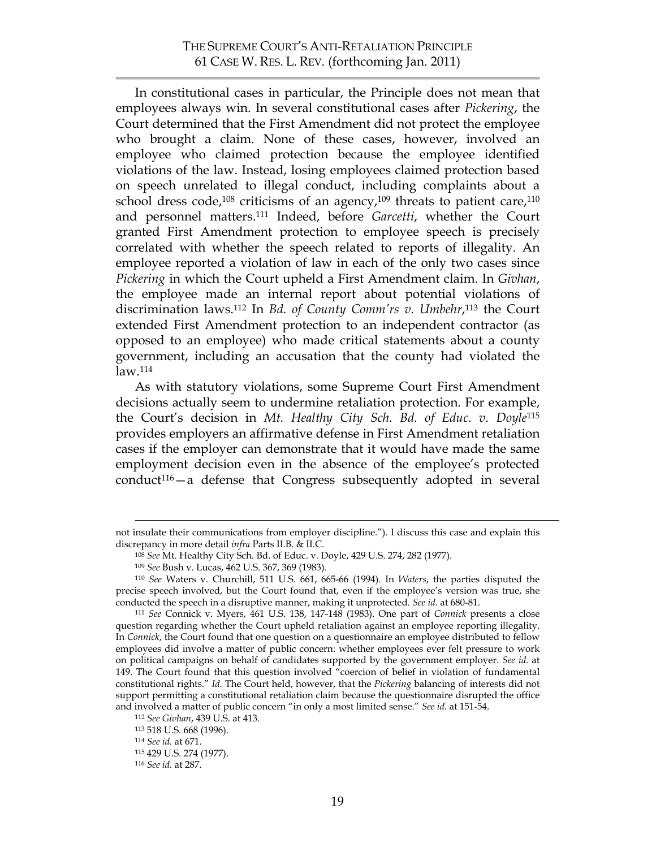In constitutional cases in particular, the Principle does not mean that employees always win. In several constitutional cases after *Pickering*, the Court determined that the First Amendment did not protect the employee who brought a claim. None of these cases, however, involved an employee who claimed protection because the employee identified violations of the law. Instead, losing employees claimed protection based on speech unrelated to illegal conduct, including complaints about a school dress code,<sup>108</sup> criticisms of an agency,<sup>109</sup> threats to patient care,<sup>110</sup> and personnel matters.111 Indeed, before *Garcetti*, whether the Court granted First Amendment protection to employee speech is precisely correlated with whether the speech related to reports of illegality. An employee reported a violation of law in each of the only two cases since *Pickering* in which the Court upheld a First Amendment claim. In *Givhan*, the employee made an internal report about potential violations of discrimination laws.112 In *Bd. of County Comm'rs v. Umbehr*, <sup>113</sup> the Court extended First Amendment protection to an independent contractor (as opposed to an employee) who made critical statements about a county government, including an accusation that the county had violated the law.114

As with statutory violations, some Supreme Court First Amendment decisions actually seem to undermine retaliation protection. For example, the Court's decision in *Mt. Healthy City Sch. Bd. of Educ. v. Doyle*<sup>115</sup> provides employers an affirmative defense in First Amendment retaliation cases if the employer can demonstrate that it would have made the same employment decision even in the absence of the employee's protected  $\text{conduct}^{116}-\text{a}$  defense that Congress subsequently adopted in several

not insulate their communications from employer discipline."). I discuss this case and explain this discrepancy in more detail *infra* Parts II.B. & II.C.

<sup>108</sup> *See* Mt. Healthy City Sch. Bd. of Educ. v. Doyle, 429 U.S. 274, 282 (1977).

<sup>109</sup> *See* Bush v. Lucas, 462 U.S. 367, 369 (1983).

<sup>110</sup> *See* Waters v. Churchill, 511 U.S. 661, 665-66 (1994). In *Waters*, the parties disputed the precise speech involved, but the Court found that, even if the employee's version was true, she conducted the speech in a disruptive manner, making it unprotected. *See id.* at 680-81.

<sup>111</sup> *See* Connick v. Myers, 461 U.S. 138, 147-148 (1983). One part of *Connick* presents a close question regarding whether the Court upheld retaliation against an employee reporting illegality. In *Connick*, the Court found that one question on a questionnaire an employee distributed to fellow employees did involve a matter of public concern: whether employees ever felt pressure to work on political campaigns on behalf of candidates supported by the government employer. *See id.* at 149. The Court found that this question involved "coercion of belief in violation of fundamental constitutional rights." *Id.* The Court held, however, that the *Pickering* balancing of interests did not support permitting a constitutional retaliation claim because the questionnaire disrupted the office and involved a matter of public concern "in only a most limited sense." *See id.* at 151-54.

<sup>112</sup> *See Givhan*, 439 U.S. at 413.

<sup>113 518</sup> U.S. 668 (1996).

<sup>114</sup> *See id.* at 671.

<sup>115 429</sup> U.S. 274 (1977).

<sup>116</sup> *See id.* at 287.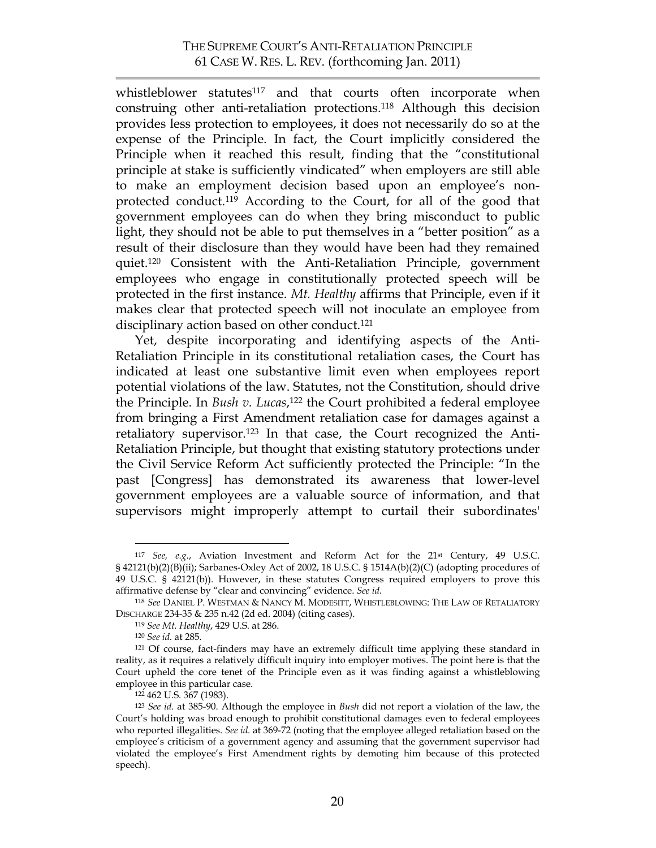## THE SUPREME COURT'S ANTI-RETALIATION PRINCIPLE 61 CASE W. RES. L. REV. (forthcoming Jan. 2011)

whistleblower statutes<sup>117</sup> and that courts often incorporate when construing other anti-retaliation protections.118 Although this decision provides less protection to employees, it does not necessarily do so at the expense of the Principle. In fact, the Court implicitly considered the Principle when it reached this result, finding that the "constitutional principle at stake is sufficiently vindicated" when employers are still able to make an employment decision based upon an employee's nonprotected conduct.119 According to the Court, for all of the good that government employees can do when they bring misconduct to public light, they should not be able to put themselves in a "better position" as a result of their disclosure than they would have been had they remained quiet.120 Consistent with the Anti-Retaliation Principle, government employees who engage in constitutionally protected speech will be protected in the first instance. *Mt. Healthy* affirms that Principle, even if it makes clear that protected speech will not inoculate an employee from disciplinary action based on other conduct.121

Yet, despite incorporating and identifying aspects of the Anti-Retaliation Principle in its constitutional retaliation cases, the Court has indicated at least one substantive limit even when employees report potential violations of the law. Statutes, not the Constitution, should drive the Principle. In *Bush v. Lucas*, 122 the Court prohibited a federal employee from bringing a First Amendment retaliation case for damages against a retaliatory supervisor.123 In that case, the Court recognized the Anti-Retaliation Principle, but thought that existing statutory protections under the Civil Service Reform Act sufficiently protected the Principle: "In the past [Congress] has demonstrated its awareness that lower-level government employees are a valuable source of information, and that supervisors might improperly attempt to curtail their subordinates'

 <sup>117</sup> *See, e.g.*, Aviation Investment and Reform Act for the 21st Century, 49 U.S.C. § 42121(b)(2)(B)(ii); Sarbanes-Oxley Act of 2002, 18 U.S.C. § 1514A(b)(2)(C) (adopting procedures of 49 U.S.C. § 42121(b)). However, in these statutes Congress required employers to prove this affirmative defense by "clear and convincing" evidence. *See id.*

<sup>118</sup> *See* DANIEL P. WESTMAN & NANCY M. MODESITT, WHISTLEBLOWING: THE LAW OF RETALIATORY DISCHARGE 234-35 & 235 n.42 (2d ed. 2004) (citing cases).

<sup>119</sup> *See Mt. Healthy*, 429 U.S. at 286.

<sup>120</sup> *See id.* at 285.

<sup>121</sup> Of course, fact-finders may have an extremely difficult time applying these standard in reality, as it requires a relatively difficult inquiry into employer motives. The point here is that the Court upheld the core tenet of the Principle even as it was finding against a whistleblowing employee in this particular case.

<sup>122 462</sup> U.S. 367 (1983).

<sup>123</sup> *See id.* at 385-90. Although the employee in *Bush* did not report a violation of the law, the Court's holding was broad enough to prohibit constitutional damages even to federal employees who reported illegalities. *See id.* at 369-72 (noting that the employee alleged retaliation based on the employee's criticism of a government agency and assuming that the government supervisor had violated the employee's First Amendment rights by demoting him because of this protected speech).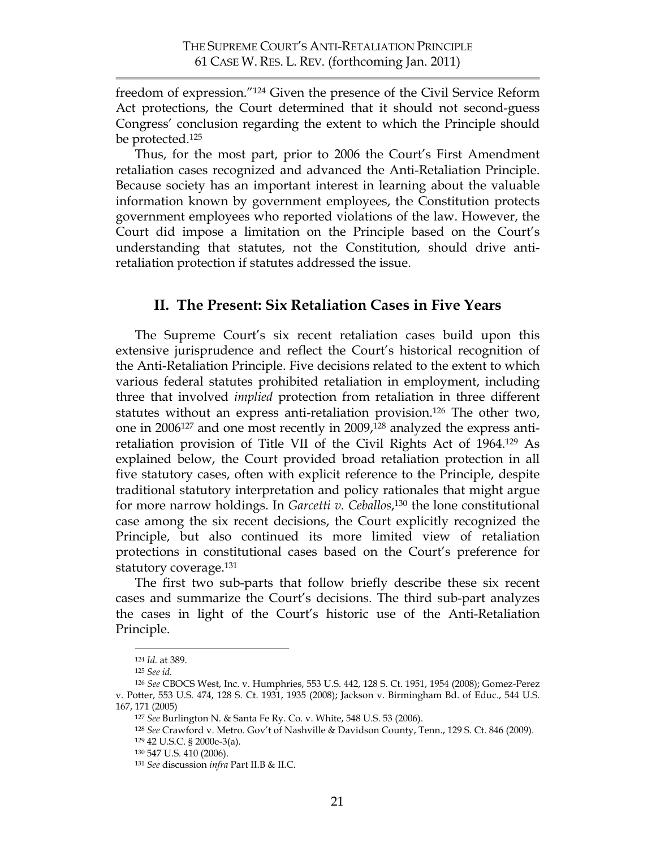freedom of expression."124 Given the presence of the Civil Service Reform Act protections, the Court determined that it should not second-guess Congress' conclusion regarding the extent to which the Principle should be protected.125

Thus, for the most part, prior to 2006 the Court's First Amendment retaliation cases recognized and advanced the Anti-Retaliation Principle. Because society has an important interest in learning about the valuable information known by government employees, the Constitution protects government employees who reported violations of the law. However, the Court did impose a limitation on the Principle based on the Court's understanding that statutes, not the Constitution, should drive antiretaliation protection if statutes addressed the issue.

## **II. The Present: Six Retaliation Cases in Five Years**

The Supreme Court's six recent retaliation cases build upon this extensive jurisprudence and reflect the Court's historical recognition of the Anti-Retaliation Principle. Five decisions related to the extent to which various federal statutes prohibited retaliation in employment, including three that involved *implied* protection from retaliation in three different statutes without an express anti-retaliation provision.126 The other two, one in 2006127 and one most recently in 2009,128 analyzed the express antiretaliation provision of Title VII of the Civil Rights Act of 1964.129 As explained below, the Court provided broad retaliation protection in all five statutory cases, often with explicit reference to the Principle, despite traditional statutory interpretation and policy rationales that might argue for more narrow holdings. In *Garcetti v. Ceballos*, 130 the lone constitutional case among the six recent decisions, the Court explicitly recognized the Principle, but also continued its more limited view of retaliation protections in constitutional cases based on the Court's preference for statutory coverage.<sup>131</sup>

The first two sub-parts that follow briefly describe these six recent cases and summarize the Court's decisions. The third sub-part analyzes the cases in light of the Court's historic use of the Anti-Retaliation Principle.

 <sup>124</sup> *Id.* at 389.

<sup>125</sup> *See id.*

<sup>126</sup> *See* CBOCS West, Inc. v. Humphries, 553 U.S. 442, 128 S. Ct. 1951, 1954 (2008); Gomez-Perez v. Potter, 553 U.S. 474, 128 S. Ct. 1931, 1935 (2008); Jackson v. Birmingham Bd. of Educ., 544 U.S. 167, 171 (2005)

<sup>127</sup> *See* Burlington N. & Santa Fe Ry. Co. v. White, 548 U.S. 53 (2006).

<sup>128</sup> *See* Crawford v. Metro. Gov't of Nashville & Davidson County, Tenn., 129 S. Ct. 846 (2009). 129 42 U.S.C. § 2000e-3(a).

<sup>130 547</sup> U.S. 410 (2006).

<sup>131</sup> *See* discussion *infra* Part II.B & II.C.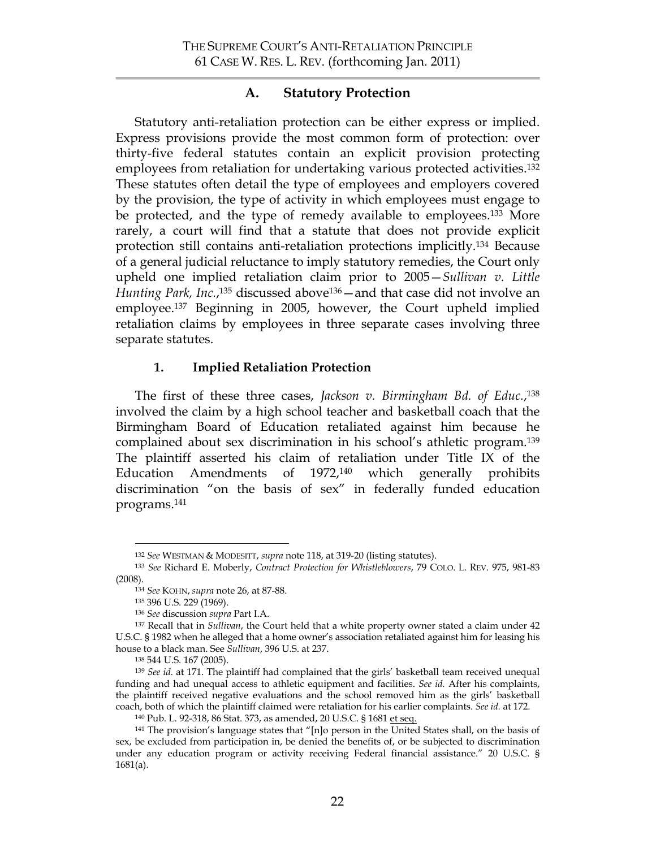## **A. Statutory Protection**

Statutory anti-retaliation protection can be either express or implied. Express provisions provide the most common form of protection: over thirty-five federal statutes contain an explicit provision protecting employees from retaliation for undertaking various protected activities.<sup>132</sup> These statutes often detail the type of employees and employers covered by the provision, the type of activity in which employees must engage to be protected, and the type of remedy available to employees.<sup>133</sup> More rarely, a court will find that a statute that does not provide explicit protection still contains anti-retaliation protections implicitly. <sup>134</sup> Because of a general judicial reluctance to imply statutory remedies, the Court only upheld one implied retaliation claim prior to 2005—*Sullivan v. Little*  Hunting Park, Inc.,<sup>135</sup> discussed above<sup>136</sup> — and that case did not involve an employee. 137 Beginning in 2005, however, the Court upheld implied retaliation claims by employees in three separate cases involving three separate statutes.

### **1. Implied Retaliation Protection**

The first of these three cases, *Jackson v. Birmingham Bd. of Educ.*,138 involved the claim by a high school teacher and basketball coach that the Birmingham Board of Education retaliated against him because he complained about sex discrimination in his school's athletic program.139 The plaintiff asserted his claim of retaliation under Title IX of the Education Amendments of 1972,<sup>140</sup> which generally prohibits discrimination "on the basis of sex" in federally funded education programs.141

 <sup>132</sup> *See* WESTMAN & MODESITT, *supra* note 118, at 319-20 (listing statutes).

<sup>133</sup> *See* Richard E. Moberly, *Contract Protection for Whistleblowers*, 79 COLO. L. REV. 975, 981-83 (2008).

<sup>134</sup> *See* KOHN,*supra* note 26, at 87-88.

<sup>135 396</sup> U.S. 229 (1969).

<sup>136</sup> *See* discussion *supra* Part I.A.

<sup>137</sup> Recall that in *Sullivan*, the Court held that a white property owner stated a claim under 42 U.S.C. § 1982 when he alleged that a home owner's association retaliated against him for leasing his house to a black man. See *Sullivan*, 396 U.S. at 237.

<sup>&</sup>lt;sup>139</sup> See id. at 171. The plaintiff had complained that the girls' basketball team received unequal funding and had unequal access to athletic equipment and facilities. *See id.* After his complaints, the plaintiff received negative evaluations and the school removed him as the girls' basketball coach, both of which the plaintiff claimed were retaliation for his earlier complaints. *See id.* at 172. 140 Pub. L. 92-318, 86 Stat. 373, as amended, 20 U.S.C. § 1681 et seq.

<sup>141</sup> The provision's language states that "[n]o person in the United States shall, on the basis of sex, be excluded from participation in, be denied the benefits of, or be subjected to discrimination under any education program or activity receiving Federal financial assistance." 20 U.S.C. § 1681(a).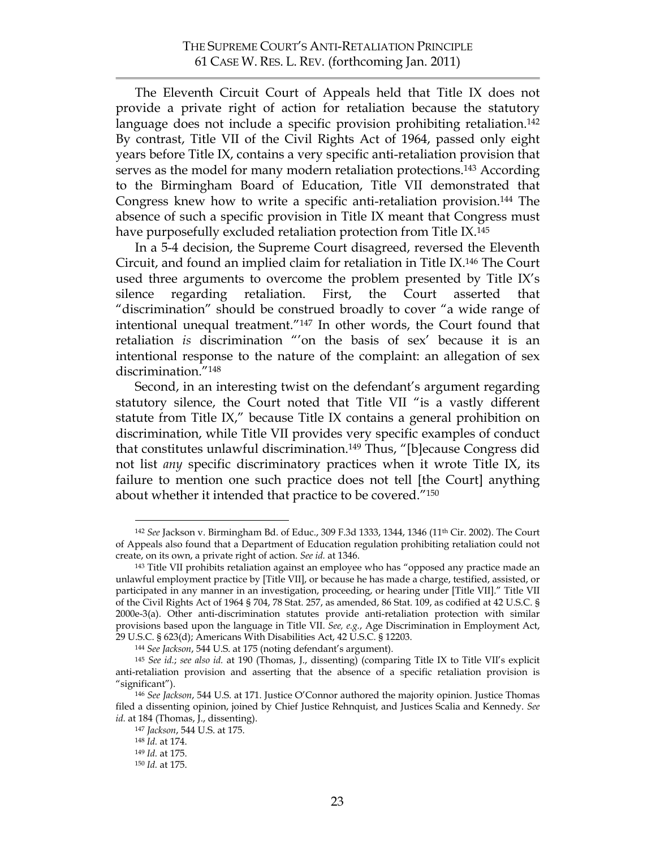The Eleventh Circuit Court of Appeals held that Title IX does not provide a private right of action for retaliation because the statutory language does not include a specific provision prohibiting retaliation.<sup>142</sup> By contrast, Title VII of the Civil Rights Act of 1964, passed only eight years before Title IX, contains a very specific anti-retaliation provision that serves as the model for many modern retaliation protections. <sup>143</sup> According to the Birmingham Board of Education, Title VII demonstrated that Congress knew how to write a specific anti-retaliation provision.144 The absence of such a specific provision in Title IX meant that Congress must have purposefully excluded retaliation protection from Title IX.<sup>145</sup>

In a 5-4 decision, the Supreme Court disagreed, reversed the Eleventh Circuit, and found an implied claim for retaliation in Title IX. <sup>146</sup> The Court used three arguments to overcome the problem presented by Title IX's silence regarding retaliation. First, the Court asserted that "discrimination" should be construed broadly to cover "a wide range of intentional unequal treatment."147 In other words, the Court found that retaliation *is* discrimination "'on the basis of sex' because it is an intentional response to the nature of the complaint: an allegation of sex discrimination."148

Second, in an interesting twist on the defendant's argument regarding statutory silence, the Court noted that Title VII "is a vastly different statute from Title IX," because Title IX contains a general prohibition on discrimination, while Title VII provides very specific examples of conduct that constitutes unlawful discrimination.149 Thus, "[b]ecause Congress did not list *any* specific discriminatory practices when it wrote Title IX, its failure to mention one such practice does not tell [the Court] anything about whether it intended that practice to be covered."150

 <sup>142</sup> *See* Jackson v. Birmingham Bd. of Educ., 309 F.3d 1333, 1344, 1346 (11th Cir. 2002). The Court of Appeals also found that a Department of Education regulation prohibiting retaliation could not create, on its own, a private right of action. *See id.* at 1346.

<sup>143</sup> Title VII prohibits retaliation against an employee who has "opposed any practice made an unlawful employment practice by [Title VII], or because he has made a charge, testified, assisted, or participated in any manner in an investigation, proceeding, or hearing under [Title VII]." Title VII of the Civil Rights Act of 1964 § 704, 78 Stat. 257, as amended, 86 Stat. 109, as codified at 42 U.S.C. § 2000e-3(a). Other anti-discrimination statutes provide anti-retaliation protection with similar provisions based upon the language in Title VII. *See, e.g.*, Age Discrimination in Employment Act, 29 U.S.C. § 623(d); Americans With Disabilities Act, 42 U.S.C. § 12203.

<sup>144</sup> *See Jackson*, 544 U.S. at 175 (noting defendant's argument).

<sup>145</sup> *See id.*; *see also id.* at 190 (Thomas, J., dissenting) (comparing Title IX to Title VII's explicit anti-retaliation provision and asserting that the absence of a specific retaliation provision is "significant"). 146 *See Jackson*, 544 U.S. at 171. Justice O'Connor authored the majority opinion. Justice Thomas

filed a dissenting opinion, joined by Chief Justice Rehnquist, and Justices Scalia and Kennedy. *See id.* at 184 (Thomas, J., dissenting).

<sup>147</sup> *Jackson*, 544 U.S. at 175.

<sup>148</sup> *Id.* at 174.

<sup>149</sup> *Id.* at 175.

<sup>150</sup> *Id.* at 175.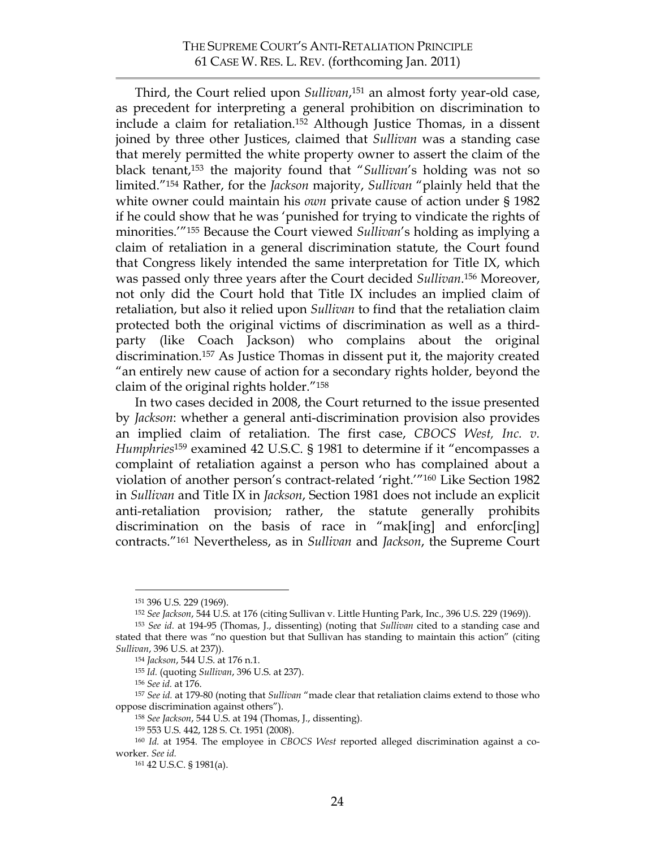Third, the Court relied upon *Sullivan*, <sup>151</sup> an almost forty year-old case, as precedent for interpreting a general prohibition on discrimination to include a claim for retaliation.152 Although Justice Thomas, in a dissent joined by three other Justices, claimed that *Sullivan* was a standing case that merely permitted the white property owner to assert the claim of the black tenant,153 the majority found that "*Sullivan*'s holding was not so limited."154 Rather, for the *Jackson* majority, *Sullivan* "plainly held that the white owner could maintain his *own* private cause of action under § 1982 if he could show that he was 'punished for trying to vindicate the rights of minorities.'"155 Because the Court viewed *Sullivan*'s holding as implying a claim of retaliation in a general discrimination statute, the Court found that Congress likely intended the same interpretation for Title IX, which was passed only three years after the Court decided *Sullivan*. <sup>156</sup> Moreover, not only did the Court hold that Title IX includes an implied claim of retaliation, but also it relied upon *Sullivan* to find that the retaliation claim protected both the original victims of discrimination as well as a thirdparty (like Coach Jackson) who complains about the original discrimination.157 As Justice Thomas in dissent put it, the majority created "an entirely new cause of action for a secondary rights holder, beyond the claim of the original rights holder."158

In two cases decided in 2008, the Court returned to the issue presented by *Jackson*: whether a general anti-discrimination provision also provides an implied claim of retaliation. The first case, *CBOCS West, Inc. v. Humphries*159 examined 42 U.S.C. § 1981 to determine if it "encompasses a complaint of retaliation against a person who has complained about a violation of another person's contract-related 'right.'"160 Like Section 1982 in *Sullivan* and Title IX in *Jackson*, Section 1981 does not include an explicit anti-retaliation provision; rather, the statute generally prohibits discrimination on the basis of race in "mak[ing] and enforc[ing] contracts."161 Nevertheless, as in *Sullivan* and *Jackson*, the Supreme Court

<sup>155</sup> *Id.* (quoting *Sullivan*, 396 U.S. at 237). 156 *See id.* at 176.

 <sup>151 396</sup> U.S. 229 (1969).

<sup>152</sup> *See Jackson*, 544 U.S. at 176 (citing Sullivan v. Little Hunting Park, Inc., 396 U.S. 229 (1969)).

<sup>153</sup> *See id.* at 194-95 (Thomas, J., dissenting) (noting that *Sullivan* cited to a standing case and stated that there was "no question but that Sullivan has standing to maintain this action" (citing *Sullivan*, 396 U.S. at 237)).

<sup>154</sup> *Jackson*, 544 U.S. at 176 n.1.

<sup>157</sup> *See id.* at 179-80 (noting that *Sullivan* "made clear that retaliation claims extend to those who oppose discrimination against others").

<sup>158</sup> *See Jackson*, 544 U.S. at 194 (Thomas, J., dissenting).

<sup>159 553</sup> U.S. 442, 128 S. Ct. 1951 (2008).

<sup>160</sup> *Id.* at 1954. The employee in *CBOCS West* reported alleged discrimination against a coworker. *See id.*

<sup>161 42</sup> U.S.C. § 1981(a).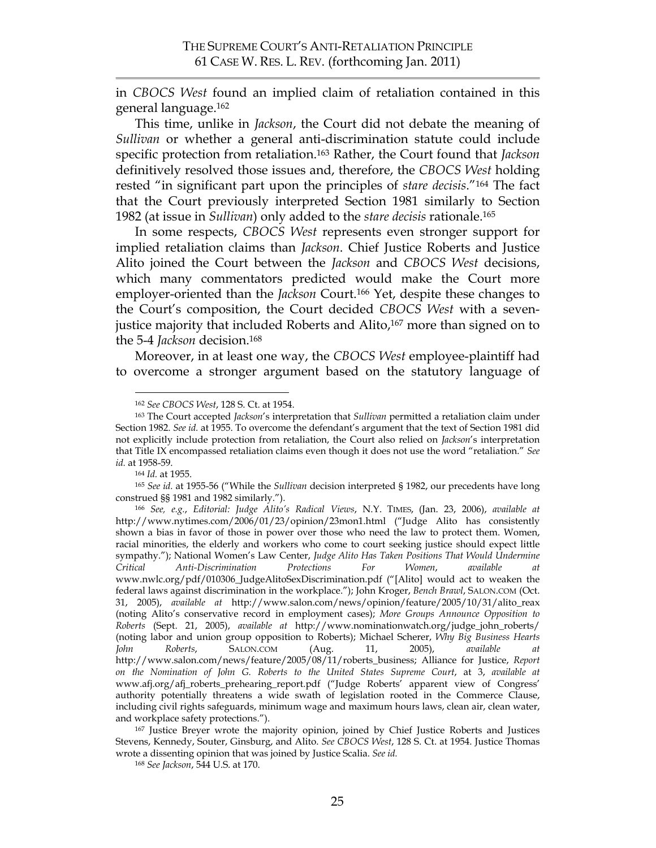in *CBOCS West* found an implied claim of retaliation contained in this general language.162

This time, unlike in *Jackson*, the Court did not debate the meaning of *Sullivan* or whether a general anti-discrimination statute could include specific protection from retaliation.163 Rather, the Court found that *Jackson* definitively resolved those issues and, therefore, the *CBOCS West* holding rested "in significant part upon the principles of *stare decisis*."164 The fact that the Court previously interpreted Section 1981 similarly to Section 1982 (at issue in *Sullivan*) only added to the *stare decisis* rationale.165

In some respects, *CBOCS West* represents even stronger support for implied retaliation claims than *Jackson*. Chief Justice Roberts and Justice Alito joined the Court between the *Jackson* and *CBOCS West* decisions, which many commentators predicted would make the Court more employer-oriented than the *Jackson* Court.<sup>166</sup> Yet, despite these changes to the Court's composition, the Court decided *CBOCS West* with a sevenjustice majority that included Roberts and Alito, 167 more than signed on to the 5-4 *Jackson* decision.168

Moreover, in at least one way, the *CBOCS West* employee-plaintiff had to overcome a stronger argument based on the statutory language of

<sup>164</sup> *Id.* at 1955.

<sup>165</sup> *See id.* at 1955-56 ("While the *Sullivan* decision interpreted § 1982, our precedents have long construed §§ 1981 and 1982 similarly.").

<sup>168</sup> *See Jackson*, 544 U.S. at 170.

 <sup>162</sup> *See CBOCS West*, 128 S. Ct. at 1954.

<sup>163</sup> The Court accepted *Jackson*'s interpretation that *Sullivan* permitted a retaliation claim under Section 1982. *See id.* at 1955. To overcome the defendant's argument that the text of Section 1981 did not explicitly include protection from retaliation, the Court also relied on *Jackson*'s interpretation that Title IX encompassed retaliation claims even though it does not use the word "retaliation." *See id.* at 1958-59.

<sup>166</sup> *See, e.g.*, *Editorial: Judge Alito's Radical Views*, N.Y. TIMES, (Jan. 23, 2006), *available at* http://www.nytimes.com/2006/01/23/opinion/23mon1.html ("Judge Alito has consistently shown a bias in favor of those in power over those who need the law to protect them. Women, racial minorities, the elderly and workers who come to court seeking justice should expect little sympathy."); National Women's Law Center, *Judge Alito Has Taken Positions That Would Undermine Critical Anti-Discrimination Protections For Women*, *available at*  www.nwlc.org/pdf/010306\_JudgeAlitoSexDiscrimination.pdf ("[Alito] would act to weaken the federal laws against discrimination in the workplace."); John Kroger, *Bench Brawl*, SALON.COM (Oct. 31, 2005), *available at* http://www.salon.com/news/opinion/feature/2005/10/31/alito\_reax (noting Alito's conservative record in employment cases); *More Groups Announce Opposition to Roberts* (Sept. 21, 2005), *available at* http://www.nominationwatch.org/judge\_john\_roberts/ (noting labor and union group opposition to Roberts); Michael Scherer, *Why Big Business Hearts John* Roberts, SALON.COM (Aug. 11, 2005), *available* http://www.salon.com/news/feature/2005/08/11/roberts\_business; Alliance for Justice, *Report on the Nomination of John G. Roberts to the United States Supreme Court*, at 3, *available at* www.afj.org/afj\_roberts\_prehearing\_report.pdf ("Judge Roberts' apparent view of Congress' authority potentially threatens a wide swath of legislation rooted in the Commerce Clause, including civil rights safeguards, minimum wage and maximum hours laws, clean air, clean water, and workplace safety protections.").

<sup>&</sup>lt;sup>167</sup> Justice Breyer wrote the majority opinion, joined by Chief Justice Roberts and Justices Stevens, Kennedy, Souter, Ginsburg, and Alito. *See CBOCS West*, 128 S. Ct. at 1954. Justice Thomas wrote a dissenting opinion that was joined by Justice Scalia. *See id.*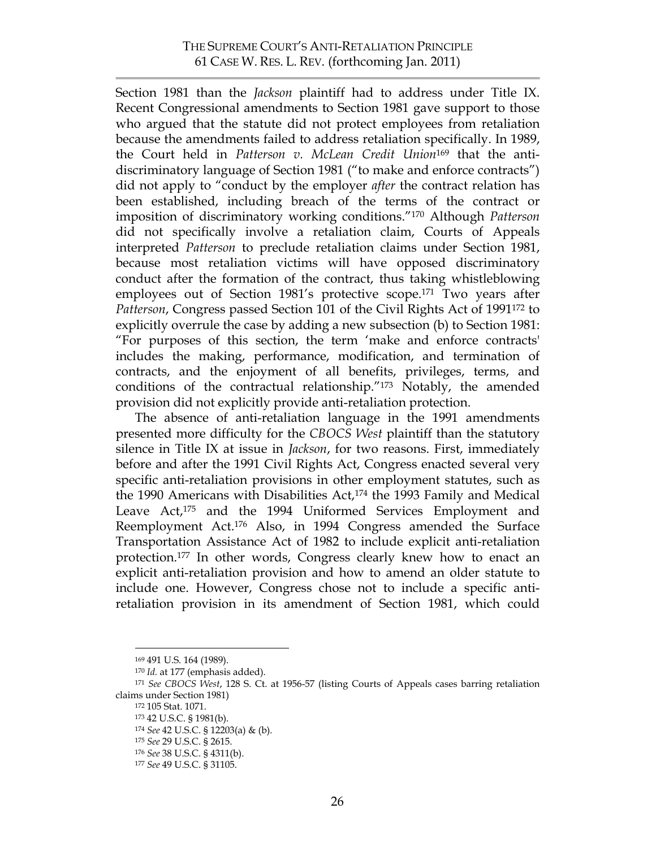Section 1981 than the *Jackson* plaintiff had to address under Title IX. Recent Congressional amendments to Section 1981 gave support to those who argued that the statute did not protect employees from retaliation because the amendments failed to address retaliation specifically. In 1989, the Court held in *Patterson v. McLean Credit Union*169 that the antidiscriminatory language of Section 1981 ("to make and enforce contracts") did not apply to "conduct by the employer *after* the contract relation has been established, including breach of the terms of the contract or imposition of discriminatory working conditions."170 Although *Patterson* did not specifically involve a retaliation claim, Courts of Appeals interpreted *Patterson* to preclude retaliation claims under Section 1981, because most retaliation victims will have opposed discriminatory conduct after the formation of the contract, thus taking whistleblowing employees out of Section 1981's protective scope.<sup>171</sup> Two years after *Patterson*, Congress passed Section 101 of the Civil Rights Act of 1991172 to explicitly overrule the case by adding a new subsection (b) to Section 1981: "For purposes of this section, the term 'make and enforce contracts' includes the making, performance, modification, and termination of contracts, and the enjoyment of all benefits, privileges, terms, and conditions of the contractual relationship."173 Notably, the amended provision did not explicitly provide anti-retaliation protection.

The absence of anti-retaliation language in the 1991 amendments presented more difficulty for the *CBOCS West* plaintiff than the statutory silence in Title IX at issue in *Jackson*, for two reasons. First, immediately before and after the 1991 Civil Rights Act, Congress enacted several very specific anti-retaliation provisions in other employment statutes, such as the 1990 Americans with Disabilities Act,<sup>174</sup> the 1993 Family and Medical Leave Act,<sup>175</sup> and the 1994 Uniformed Services Employment and Reemployment Act.176 Also, in 1994 Congress amended the Surface Transportation Assistance Act of 1982 to include explicit anti-retaliation protection.177 In other words, Congress clearly knew how to enact an explicit anti-retaliation provision and how to amend an older statute to include one. However, Congress chose not to include a specific antiretaliation provision in its amendment of Section 1981, which could

 <sup>169 491</sup> U.S. 164 (1989).

<sup>170</sup> *Id.* at 177 (emphasis added).

<sup>171</sup> *See CBOCS West*, 128 S. Ct. at 1956-57 (listing Courts of Appeals cases barring retaliation claims under Section 1981)

<sup>172 105</sup> Stat. 1071.

<sup>173 42</sup> U.S.C. § 1981(b).

<sup>174</sup> *See* 42 U.S.C. § 12203(a) & (b).

<sup>175</sup> *See* 29 U.S.C. § 2615.

<sup>176</sup> *See* 38 U.S.C. § 4311(b).

<sup>177</sup> *See* 49 U.S.C. § 31105.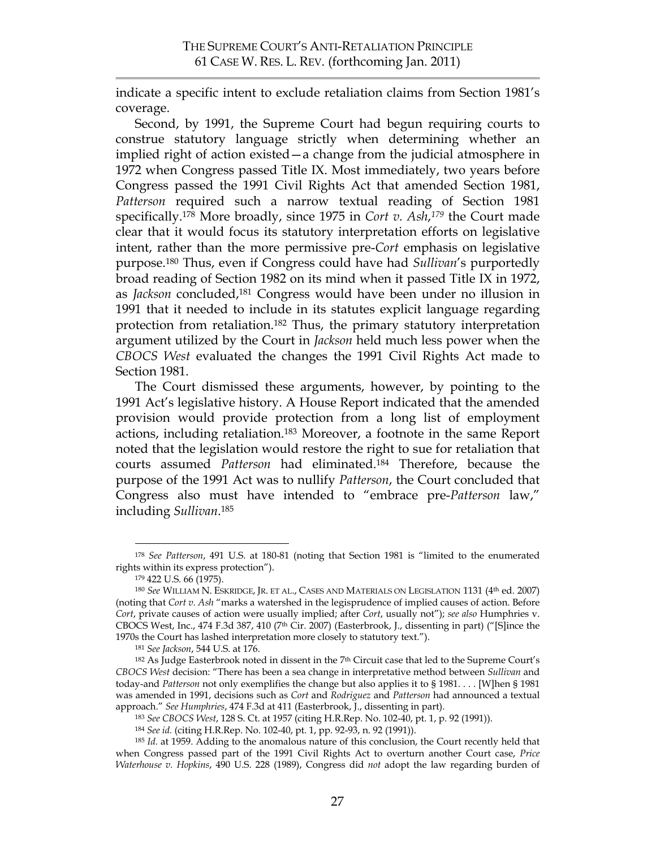indicate a specific intent to exclude retaliation claims from Section 1981's coverage.

Second, by 1991, the Supreme Court had begun requiring courts to construe statutory language strictly when determining whether an implied right of action existed—a change from the judicial atmosphere in 1972 when Congress passed Title IX. Most immediately, two years before Congress passed the 1991 Civil Rights Act that amended Section 1981, *Patterson* required such a narrow textual reading of Section 1981 specifically. <sup>178</sup> More broadly, since 1975 in *Cort v. Ash*,*179* the Court made clear that it would focus its statutory interpretation efforts on legislative intent, rather than the more permissive pre-*Cort* emphasis on legislative purpose.180 Thus, even if Congress could have had *Sullivan*'s purportedly broad reading of Section 1982 on its mind when it passed Title IX in 1972, as *Jackson* concluded,181 Congress would have been under no illusion in 1991 that it needed to include in its statutes explicit language regarding protection from retaliation.182 Thus, the primary statutory interpretation argument utilized by the Court in *Jackson* held much less power when the *CBOCS West* evaluated the changes the 1991 Civil Rights Act made to Section 1981.

The Court dismissed these arguments, however, by pointing to the 1991 Act's legislative history. A House Report indicated that the amended provision would provide protection from a long list of employment actions, including retaliation.183 Moreover, a footnote in the same Report noted that the legislation would restore the right to sue for retaliation that courts assumed *Patterson* had eliminated.184 Therefore, because the purpose of the 1991 Act was to nullify *Patterson*, the Court concluded that Congress also must have intended to "embrace pre-*Patterson* law," including *Sullivan*.185

 <sup>178</sup> *See Patterson*, 491 U.S. at 180-81 (noting that Section 1981 is "limited to the enumerated rights within its express protection").

<sup>179 422</sup> U.S. 66 (1975).

<sup>180</sup> *See* WILLIAM N. ESKRIDGE, JR. ET AL., CASES AND MATERIALS ON LEGISLATION 1131 (4th ed. 2007) (noting that *Cort v. Ash* "marks a watershed in the legisprudence of implied causes of action. Before *Cort*, private causes of action were usually implied; after *Cort*, usually not"); *see also* Humphries v. CBOCS West, Inc., 474 F.3d 387, 410 (7<sup>th</sup> Cir. 2007) (Easterbrook, J., dissenting in part) ("[S]ince the 1970s the Court has lashed interpretation more closely to statutory text.").

<sup>181</sup> *See Jackson*, 544 U.S. at 176.

 $182$  As Judge Easterbrook noted in dissent in the  $7<sup>th</sup>$  Circuit case that led to the Supreme Court's *CBOCS West* decision: "There has been a sea change in interpretative method between *Sullivan* and today-and *Patterson* not only exemplifies the change but also applies it to § 1981. . . . [W]hen § 1981 was amended in 1991, decisions such as *Cort* and *Rodriguez* and *Patterson* had announced a textual approach." *See Humphries*, 474 F.3d at 411 (Easterbrook, J., dissenting in part).

<sup>183</sup> *See CBOCS West*, 128 S. Ct. at 1957 (citing H.R.Rep. No. 102-40, pt. 1, p. 92 (1991)).

<sup>184</sup> *See id.* (citing H.R.Rep. No. 102-40, pt. 1, pp. 92-93, n. 92 (1991)).

<sup>185</sup> *Id.* at 1959. Adding to the anomalous nature of this conclusion, the Court recently held that when Congress passed part of the 1991 Civil Rights Act to overturn another Court case, *Price Waterhouse v. Hopkins*, 490 U.S. 228 (1989), Congress did *not* adopt the law regarding burden of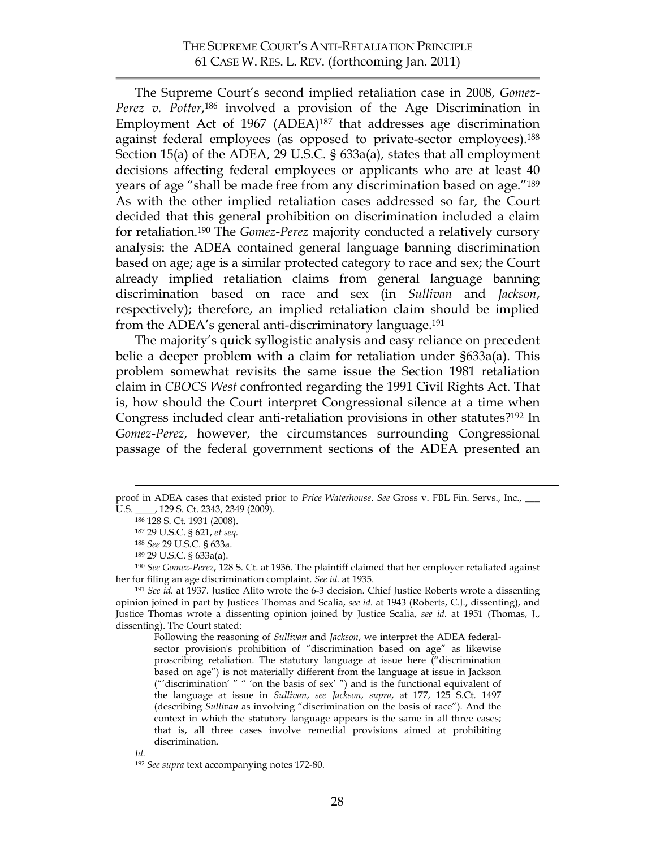The Supreme Court's second implied retaliation case in 2008, *Gomez-Perez v. Potter*,186 involved a provision of the Age Discrimination in Employment Act of 1967 (ADEA)187 that addresses age discrimination against federal employees (as opposed to private-sector employees).<sup>188</sup> Section 15(a) of the ADEA, 29 U.S.C. § 633a(a), states that all employment decisions affecting federal employees or applicants who are at least 40 years of age "shall be made free from any discrimination based on age."189 As with the other implied retaliation cases addressed so far, the Court decided that this general prohibition on discrimination included a claim for retaliation.190 The *Gomez-Perez* majority conducted a relatively cursory analysis: the ADEA contained general language banning discrimination based on age; age is a similar protected category to race and sex; the Court already implied retaliation claims from general language banning discrimination based on race and sex (in *Sullivan* and *Jackson*, respectively); therefore, an implied retaliation claim should be implied from the ADEA's general anti-discriminatory language.<sup>191</sup>

The majority's quick syllogistic analysis and easy reliance on precedent belie a deeper problem with a claim for retaliation under §633a(a). This problem somewhat revisits the same issue the Section 1981 retaliation claim in *CBOCS West* confronted regarding the 1991 Civil Rights Act. That is, how should the Court interpret Congressional silence at a time when Congress included clear anti-retaliation provisions in other statutes?192 In *Gomez-Perez*, however, the circumstances surrounding Congressional passage of the federal government sections of the ADEA presented an

Following the reasoning of *Sullivan* and *Jackson*, we interpret the ADEA federalsector provision's prohibition of "discrimination based on age" as likewise proscribing retaliation. The statutory language at issue here ("discrimination based on age") is not materially different from the language at issue in Jackson ("'discrimination' " " 'on the basis of sex' ") and is the functional equivalent of the language at issue in *Sullivan*, *see Jackson*, *supra*, at 177, 125 S.Ct. 1497 (describing *Sullivan* as involving "discrimination on the basis of race"). And the context in which the statutory language appears is the same in all three cases; that is, all three cases involve remedial provisions aimed at prohibiting discrimination.

proof in ADEA cases that existed prior to *Price Waterhouse*. *See* Gross v. FBL Fin. Servs., Inc., \_\_\_ U.S. \_\_\_\_, 129 S. Ct. 2343, 2349 (2009).

<sup>186 128</sup> S. Ct. 1931 (2008).

<sup>187 29</sup> U.S.C. § 621, *et seq.*

<sup>188</sup> *See* 29 U.S.C. § 633a.

<sup>189 29</sup> U.S.C. § 633a(a).

<sup>190</sup> *See Gomez-Perez*, 128 S. Ct. at 1936. The plaintiff claimed that her employer retaliated against her for filing an age discrimination complaint. *See id.* at 1935.

<sup>191</sup> *See id.* at 1937. Justice Alito wrote the 6-3 decision. Chief Justice Roberts wrote a dissenting opinion joined in part by Justices Thomas and Scalia, *see id.* at 1943 (Roberts, C.J., dissenting), and Justice Thomas wrote a dissenting opinion joined by Justice Scalia, *see id.* at 1951 (Thomas, J., dissenting). The Court stated:

*Id.*

<sup>192</sup> *See supra* text accompanying notes 172-80.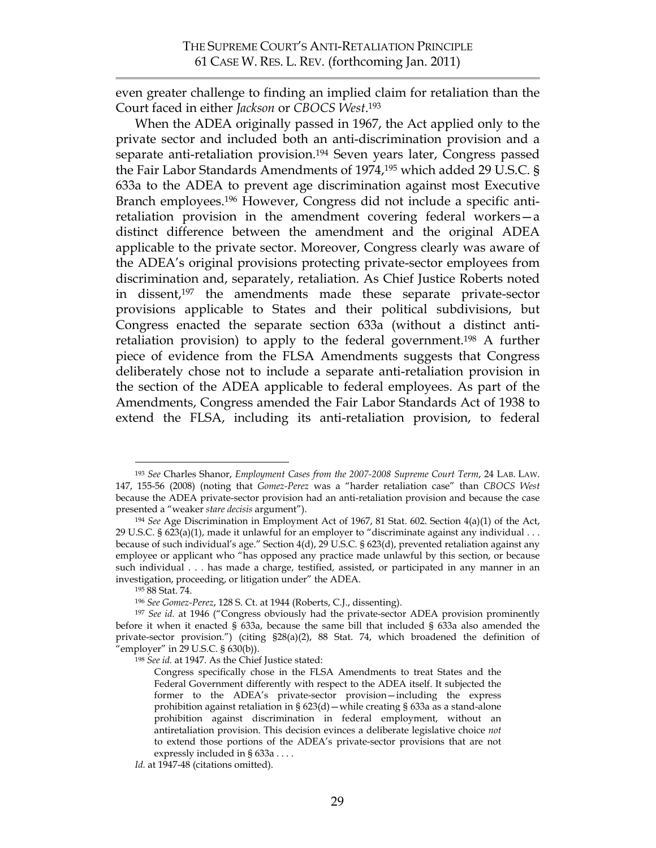even greater challenge to finding an implied claim for retaliation than the Court faced in either *Jackson* or *CBOCS West*. 193

When the ADEA originally passed in 1967, the Act applied only to the private sector and included both an anti-discrimination provision and a separate anti-retaliation provision.<sup>194</sup> Seven years later, Congress passed the Fair Labor Standards Amendments of 1974,195 which added 29 U.S.C. § 633a to the ADEA to prevent age discrimination against most Executive Branch employees.196 However, Congress did not include a specific antiretaliation provision in the amendment covering federal workers—a distinct difference between the amendment and the original ADEA applicable to the private sector. Moreover, Congress clearly was aware of the ADEA's original provisions protecting private-sector employees from discrimination and, separately, retaliation. As Chief Justice Roberts noted in dissent,<sup>197</sup> the amendments made these separate private-sector provisions applicable to States and their political subdivisions, but Congress enacted the separate section 633a (without a distinct antiretaliation provision) to apply to the federal government.198 A further piece of evidence from the FLSA Amendments suggests that Congress deliberately chose not to include a separate anti-retaliation provision in the section of the ADEA applicable to federal employees. As part of the Amendments, Congress amended the Fair Labor Standards Act of 1938 to extend the FLSA, including its anti-retaliation provision, to federal

 <sup>193</sup> *See* Charles Shanor, *Employment Cases from the 2007-2008 Supreme Court Term*, 24 LAB. LAW. 147, 155-56 (2008) (noting that *Gomez-Perez* was a "harder retaliation case" than *CBOCS West* because the ADEA private-sector provision had an anti-retaliation provision and because the case presented a "weaker *stare decisis* argument").

<sup>194</sup> *See* Age Discrimination in Employment Act of 1967, 81 Stat. 602. Section 4(a)(1) of the Act, 29 U.S.C.  $\S 623(a)(1)$ , made it unlawful for an employer to "discriminate against any individual . . . because of such individual's age." Section 4(d), 29 U.S.C. § 623(d), prevented retaliation against any employee or applicant who "has opposed any practice made unlawful by this section, or because such individual . . . has made a charge, testified, assisted, or participated in any manner in an investigation, proceeding, or litigation under" the ADEA.

<sup>195 88</sup> Stat. 74.

<sup>196</sup> *See Gomez-Perez*, 128 S. Ct. at 1944 (Roberts, C.J., dissenting).

<sup>197</sup> *See id.* at 1946 ("Congress obviously had the private-sector ADEA provision prominently before it when it enacted § 633a, because the same bill that included § 633a also amended the private-sector provision.") (citing §28(a)(2), 88 Stat. 74, which broadened the definition of "employer" in 29 U.S.C. § 630(b)).

<sup>198</sup> *See id.* at 1947. As the Chief Justice stated:

Congress specifically chose in the FLSA Amendments to treat States and the Federal Government differently with respect to the ADEA itself. It subjected the former to the ADEA's private-sector provision—including the express prohibition against retaliation in § 623(d)—while creating § 633a as a stand-alone prohibition against discrimination in federal employment, without an antiretaliation provision. This decision evinces a deliberate legislative choice *not* to extend those portions of the ADEA's private-sector provisions that are not expressly included in § 633a . . . .

Id. at 1947-48 (citations omitted).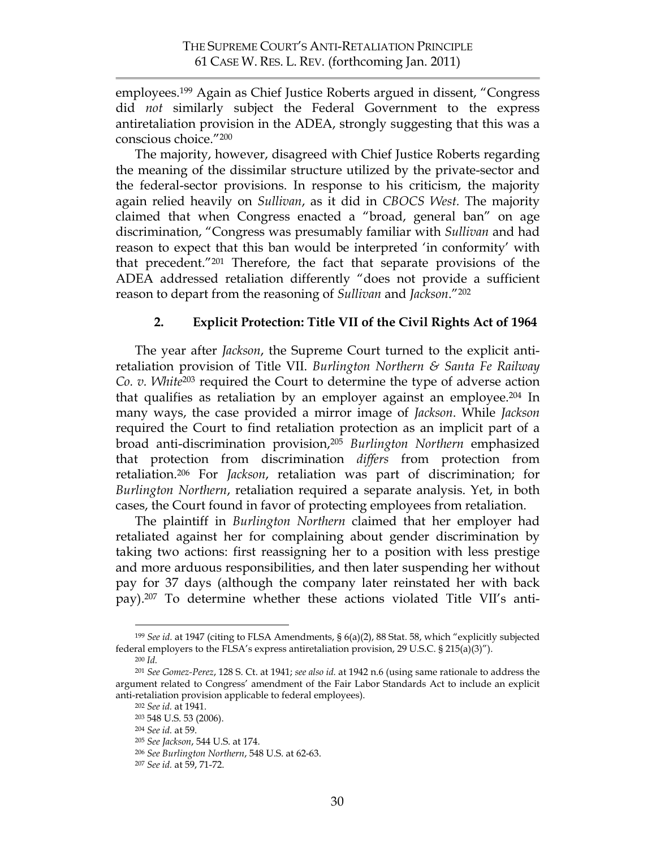employees.199 Again as Chief Justice Roberts argued in dissent, "Congress did *not* similarly subject the Federal Government to the express antiretaliation provision in the ADEA, strongly suggesting that this was a conscious choice."200

The majority, however, disagreed with Chief Justice Roberts regarding the meaning of the dissimilar structure utilized by the private-sector and the federal-sector provisions. In response to his criticism, the majority again relied heavily on *Sullivan*, as it did in *CBOCS West.* The majority claimed that when Congress enacted a "broad, general ban" on age discrimination, "Congress was presumably familiar with *Sullivan* and had reason to expect that this ban would be interpreted 'in conformity' with that precedent."201 Therefore, the fact that separate provisions of the ADEA addressed retaliation differently "does not provide a sufficient reason to depart from the reasoning of *Sullivan* and *Jackson*."202

## **2. Explicit Protection: Title VII of the Civil Rights Act of 1964**

The year after *Jackson*, the Supreme Court turned to the explicit antiretaliation provision of Title VII. *Burlington Northern & Santa Fe Railway Co. v. White*<sup>203</sup> required the Court to determine the type of adverse action that qualifies as retaliation by an employer against an employee. <sup>204</sup> In many ways, the case provided a mirror image of *Jackson*. While *Jackson* required the Court to find retaliation protection as an implicit part of a broad anti-discrimination provision,205 *Burlington Northern* emphasized that protection from discrimination *differs* from protection from retaliation.206 For *Jackson*, retaliation was part of discrimination; for *Burlington Northern*, retaliation required a separate analysis. Yet, in both cases, the Court found in favor of protecting employees from retaliation.

The plaintiff in *Burlington Northern* claimed that her employer had retaliated against her for complaining about gender discrimination by taking two actions: first reassigning her to a position with less prestige and more arduous responsibilities, and then later suspending her without pay for 37 days (although the company later reinstated her with back pay).207 To determine whether these actions violated Title VII's anti-

 <sup>199</sup> *See id.* at 1947 (citing to FLSA Amendments, § 6(a)(2), 88 Stat. 58, which "explicitly subjected federal employers to the FLSA's express antiretaliation provision, 29 U.S.C. § 215(a)(3)").

<sup>200</sup> *Id.*

<sup>201</sup> *See Gomez-Perez*, 128 S. Ct. at 1941; *see also id.* at 1942 n.6 (using same rationale to address the argument related to Congress' amendment of the Fair Labor Standards Act to include an explicit anti-retaliation provision applicable to federal employees).

<sup>202</sup> *See id.* at 1941.

<sup>203 548</sup> U.S. 53 (2006). 204 *See id.* at 59.

<sup>205</sup> *See Jackson*, 544 U.S. at 174.

<sup>206</sup> *See Burlington Northern*, 548 U.S. at 62-63. <sup>207</sup> *See id.* at 59, 71-72.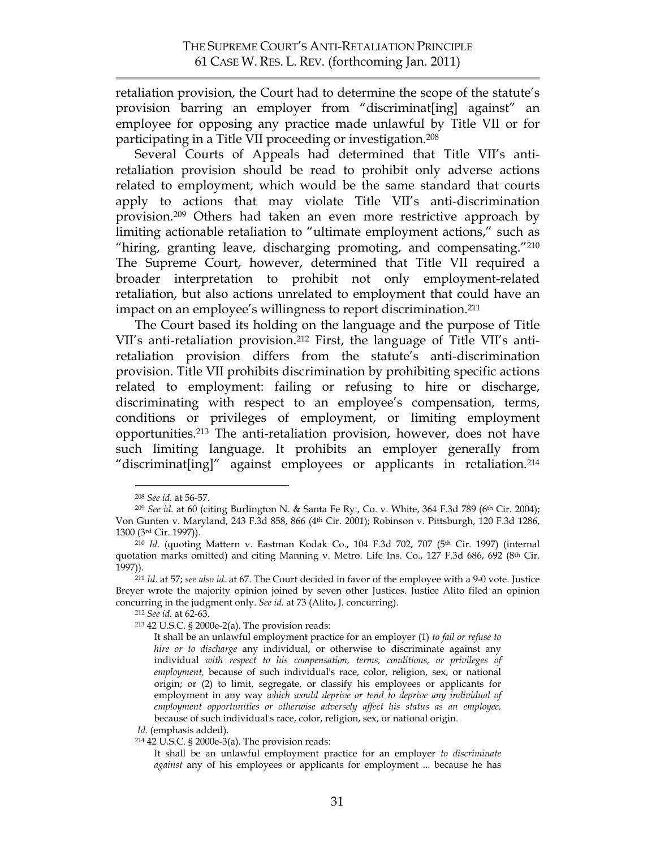retaliation provision, the Court had to determine the scope of the statute's provision barring an employer from "discriminat[ing] against" an employee for opposing any practice made unlawful by Title VII or for participating in a Title VII proceeding or investigation.208

Several Courts of Appeals had determined that Title VII's antiretaliation provision should be read to prohibit only adverse actions related to employment, which would be the same standard that courts apply to actions that may violate Title VII's anti-discrimination provision.209 Others had taken an even more restrictive approach by limiting actionable retaliation to "ultimate employment actions," such as "hiring, granting leave, discharging promoting, and compensating."210 The Supreme Court, however, determined that Title VII required a broader interpretation to prohibit not only employment-related retaliation, but also actions unrelated to employment that could have an impact on an employee's willingness to report discrimination.211

The Court based its holding on the language and the purpose of Title VII's anti-retaliation provision.212 First, the language of Title VII's antiretaliation provision differs from the statute's anti-discrimination provision. Title VII prohibits discrimination by prohibiting specific actions related to employment: failing or refusing to hire or discharge, discriminating with respect to an employee's compensation, terms, conditions or privileges of employment, or limiting employment opportunities.213 The anti-retaliation provision, however, does not have such limiting language. It prohibits an employer generally from "discriminat[ing]" against employees or applicants in retaliation.214

<sup>208</sup> *See id.* at 56-57. 209 *See id.* at 60 (citing Burlington N. & Santa Fe Ry., Co. v. White, 364 F.3d 789 (6th Cir. 2004); Von Gunten v. Maryland, 243 F.3d 858, 866 (4th Cir. 2001); Robinson v. Pittsburgh, 120 F.3d 1286, 1300 (3rd Cir. 1997)).

<sup>210</sup> *Id.* (quoting Mattern v. Eastman Kodak Co., 104 F.3d 702, 707 (5th Cir. 1997) (internal quotation marks omitted) and citing Manning v. Metro. Life Ins. Co., 127 F.3d 686, 692 (8<sup>th</sup> Cir. 1997)).

<sup>211</sup> *Id.* at 57; *see also id.* at 67. The Court decided in favor of the employee with a 9-0 vote. Justice Breyer wrote the majority opinion joined by seven other Justices. Justice Alito filed an opinion concurring in the judgment only. *See id.* at 73 (Alito, J. concurring).

<sup>212</sup> *See id.* at 62-63.

<sup>213 42</sup> U.S.C. § 2000e-2(a). The provision reads:

It shall be an unlawful employment practice for an employer (1) *to fail or refuse to hire or to discharge* any individual, or otherwise to discriminate against any individual *with respect to his compensation, terms, conditions, or privileges of employment,* because of such individual's race, color, religion, sex, or national origin; or (2) to limit, segregate, or classify his employees or applicants for employment in any way *which would deprive or tend to deprive any individual of employment opportunities or otherwise adversely affect his status as an employee,* because of such individual's race, color, religion, sex, or national origin.

*Id.* (emphasis added).

<sup>214 42</sup> U.S.C. § 2000e-3(a). The provision reads:

It shall be an unlawful employment practice for an employer *to discriminate against* any of his employees or applicants for employment ... because he has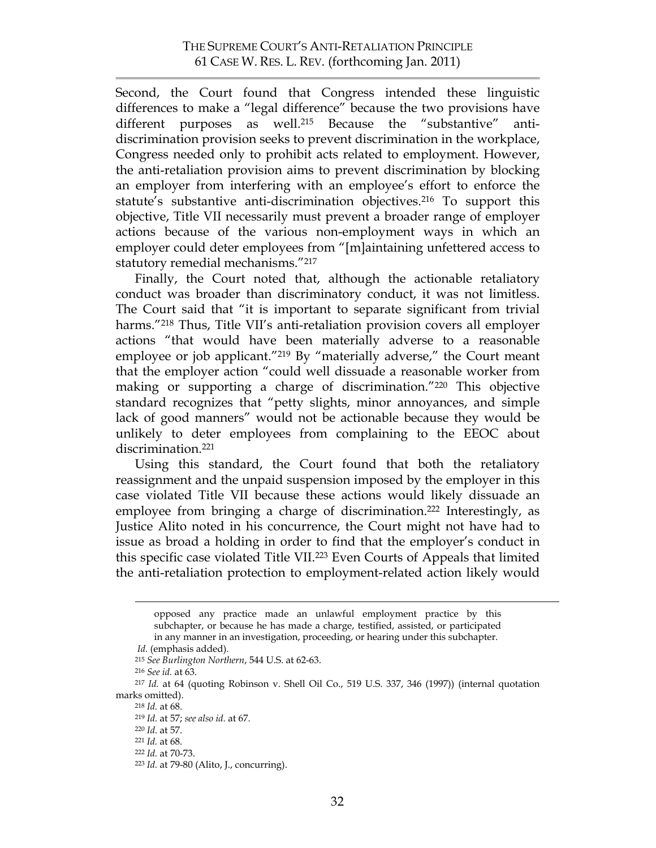Second, the Court found that Congress intended these linguistic differences to make a "legal difference" because the two provisions have different purposes as well.215 Because the "substantive" antidiscrimination provision seeks to prevent discrimination in the workplace, Congress needed only to prohibit acts related to employment. However, the anti-retaliation provision aims to prevent discrimination by blocking an employer from interfering with an employee's effort to enforce the statute's substantive anti-discrimination objectives.<sup>216</sup> To support this objective, Title VII necessarily must prevent a broader range of employer actions because of the various non-employment ways in which an employer could deter employees from "[m]aintaining unfettered access to statutory remedial mechanisms."217

Finally, the Court noted that, although the actionable retaliatory conduct was broader than discriminatory conduct, it was not limitless. The Court said that "it is important to separate significant from trivial harms."<sup>218</sup> Thus, Title VII's anti-retaliation provision covers all employer actions "that would have been materially adverse to a reasonable employee or job applicant."219 By "materially adverse," the Court meant that the employer action "could well dissuade a reasonable worker from making or supporting a charge of discrimination."220 This objective standard recognizes that "petty slights, minor annoyances, and simple lack of good manners" would not be actionable because they would be unlikely to deter employees from complaining to the EEOC about discrimination.221

Using this standard, the Court found that both the retaliatory reassignment and the unpaid suspension imposed by the employer in this case violated Title VII because these actions would likely dissuade an employee from bringing a charge of discrimination.<sup>222</sup> Interestingly, as Justice Alito noted in his concurrence, the Court might not have had to issue as broad a holding in order to find that the employer's conduct in this specific case violated Title VII.223 Even Courts of Appeals that limited the anti-retaliation protection to employment-related action likely would

opposed any practice made an unlawful employment practice by this subchapter, or because he has made a charge, testified, assisted, or participated in any manner in an investigation, proceeding, or hearing under this subchapter.

*Id.* (emphasis added).

<sup>215</sup> *See Burlington Northern*, 544 U.S. at 62-63.

<sup>216</sup> *See id.* at 63.

<sup>217</sup> *Id.* at 64 (quoting Robinson v. Shell Oil Co., 519 U.S. 337, 346 (1997)) (internal quotation marks omitted).

<sup>218</sup> *Id.* at 68.

<sup>219</sup> *Id.* at 57; *see also id.* at 67.

<sup>220</sup> *Id.* at 57.

<sup>221</sup> *Id.* at 68.

<sup>222</sup> *Id.* at 70-73.

<sup>223</sup> *Id.* at 79-80 (Alito, J., concurring).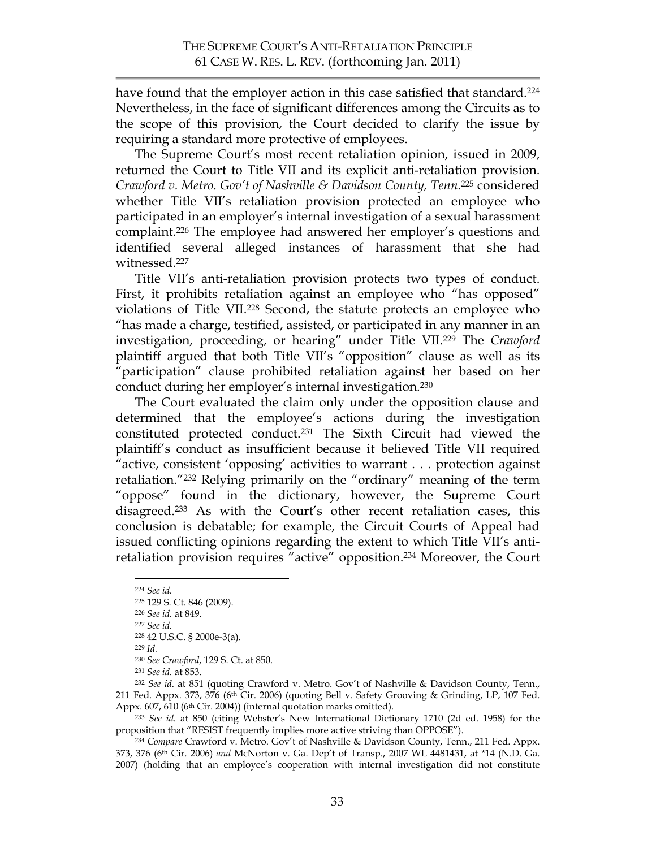have found that the employer action in this case satisfied that standard.<sup>224</sup> Nevertheless, in the face of significant differences among the Circuits as to the scope of this provision, the Court decided to clarify the issue by requiring a standard more protective of employees.

The Supreme Court's most recent retaliation opinion, issued in 2009, returned the Court to Title VII and its explicit anti-retaliation provision. *Crawford v. Metro. Gov't of Nashville & Davidson County, Tenn.*<sup>225</sup> considered whether Title VII's retaliation provision protected an employee who participated in an employer's internal investigation of a sexual harassment complaint. <sup>226</sup> The employee had answered her employer's questions and identified several alleged instances of harassment that she had witnessed.227

Title VII's anti-retaliation provision protects two types of conduct. First, it prohibits retaliation against an employee who "has opposed" violations of Title VII.228 Second, the statute protects an employee who "has made a charge, testified, assisted, or participated in any manner in an investigation, proceeding, or hearing" under Title VII.229 The *Crawford* plaintiff argued that both Title VII's "opposition" clause as well as its "participation" clause prohibited retaliation against her based on her conduct during her employer's internal investigation.230

The Court evaluated the claim only under the opposition clause and determined that the employee's actions during the investigation constituted protected conduct.231 The Sixth Circuit had viewed the plaintiff's conduct as insufficient because it believed Title VII required "active, consistent 'opposing' activities to warrant . . . protection against retaliation."232 Relying primarily on the "ordinary" meaning of the term "oppose" found in the dictionary, however, the Supreme Court disagreed.233 As with the Court's other recent retaliation cases, this conclusion is debatable; for example, the Circuit Courts of Appeal had issued conflicting opinions regarding the extent to which Title VII's antiretaliation provision requires "active" opposition.234 Moreover, the Court

 <sup>224</sup> *See id.*

<sup>225 129</sup> S. Ct. 846 (2009).

<sup>226</sup> *See id.* at 849.

<sup>227</sup> *See id.*

<sup>228 42</sup> U.S.C. § 2000e-3(a).

<sup>229</sup> *Id.*

<sup>230</sup> *See Crawford*, 129 S. Ct. at 850.

<sup>231</sup> *See id.* at 853.

<sup>232</sup> *See id.* at 851 (quoting Crawford v. Metro. Gov't of Nashville & Davidson County, Tenn., 211 Fed. Appx. 373, 376 (6th Cir. 2006) (quoting Bell v. Safety Grooving & Grinding, LP, 107 Fed. Appx. 607, 610 (6<sup>th</sup> Cir. 2004)) (internal quotation marks omitted).

<sup>233</sup> *See id.* at 850 (citing Webster's New International Dictionary 1710 (2d ed. 1958) for the proposition that "RESIST frequently implies more active striving than OPPOSE").

<sup>234</sup> *Compare* Crawford v. Metro. Gov't of Nashville & Davidson County, Tenn., 211 Fed. Appx. 373, 376 (6th Cir. 2006) *and* McNorton v. Ga. Dep't of Transp., 2007 WL 4481431, at \*14 (N.D. Ga. 2007) (holding that an employee's cooperation with internal investigation did not constitute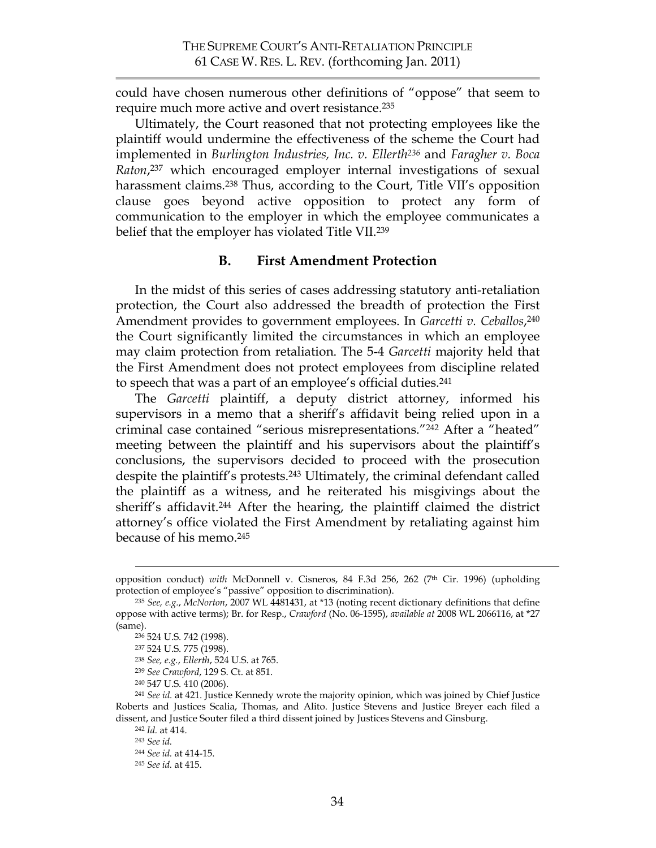could have chosen numerous other definitions of "oppose" that seem to require much more active and overt resistance.<sup>235</sup>

Ultimately, the Court reasoned that not protecting employees like the plaintiff would undermine the effectiveness of the scheme the Court had implemented in *Burlington Industries, Inc. v. Ellerth236* and *Faragher v. Boca Raton*, 237 which encouraged employer internal investigations of sexual harassment claims.<sup>238</sup> Thus, according to the Court, Title VII's opposition clause goes beyond active opposition to protect any form of communication to the employer in which the employee communicates a belief that the employer has violated Title VII.<sup>239</sup>

### **B. First Amendment Protection**

In the midst of this series of cases addressing statutory anti-retaliation protection, the Court also addressed the breadth of protection the First Amendment provides to government employees. In *Garcetti v. Ceballos*, 240 the Court significantly limited the circumstances in which an employee may claim protection from retaliation. The 5-4 *Garcetti* majority held that the First Amendment does not protect employees from discipline related to speech that was a part of an employee's official duties.241

The *Garcetti* plaintiff, a deputy district attorney, informed his supervisors in a memo that a sheriff's affidavit being relied upon in a criminal case contained "serious misrepresentations."242 After a "heated" meeting between the plaintiff and his supervisors about the plaintiff's conclusions, the supervisors decided to proceed with the prosecution despite the plaintiff's protests. <sup>243</sup> Ultimately, the criminal defendant called the plaintiff as a witness, and he reiterated his misgivings about the sheriff's affidavit.244 After the hearing, the plaintiff claimed the district attorney's office violated the First Amendment by retaliating against him because of his memo.245

<sup>239</sup> *See Crawford*, 129 S. Ct. at 851.

opposition conduct) *with* McDonnell v. Cisneros, 84 F.3d 256, 262 (7th Cir. 1996) (upholding protection of employee's "passive" opposition to discrimination).

<sup>235</sup> *See, e.g.*, *McNorton*, 2007 WL 4481431, at \*13 (noting recent dictionary definitions that define oppose with active terms); Br. for Resp., *Crawford* (No. 06-1595), *available at* 2008 WL 2066116, at \*27 (same).

<sup>236</sup> 524 U.S. 742 (1998).

<sup>237</sup> 524 U.S. 775 (1998).

<sup>238</sup> *See, e.g.*, *Ellerth*, 524 U.S. at 765.

<sup>240 547</sup> U.S. 410 (2006).

<sup>241</sup> *See id.* at 421. Justice Kennedy wrote the majority opinion, which was joined by Chief Justice Roberts and Justices Scalia, Thomas, and Alito. Justice Stevens and Justice Breyer each filed a dissent, and Justice Souter filed a third dissent joined by Justices Stevens and Ginsburg.

<sup>242</sup> *Id.* at 414.

<sup>243</sup> *See id.*

<sup>244</sup> *See id.* at 414-15.

<sup>245</sup> *See id.* at 415.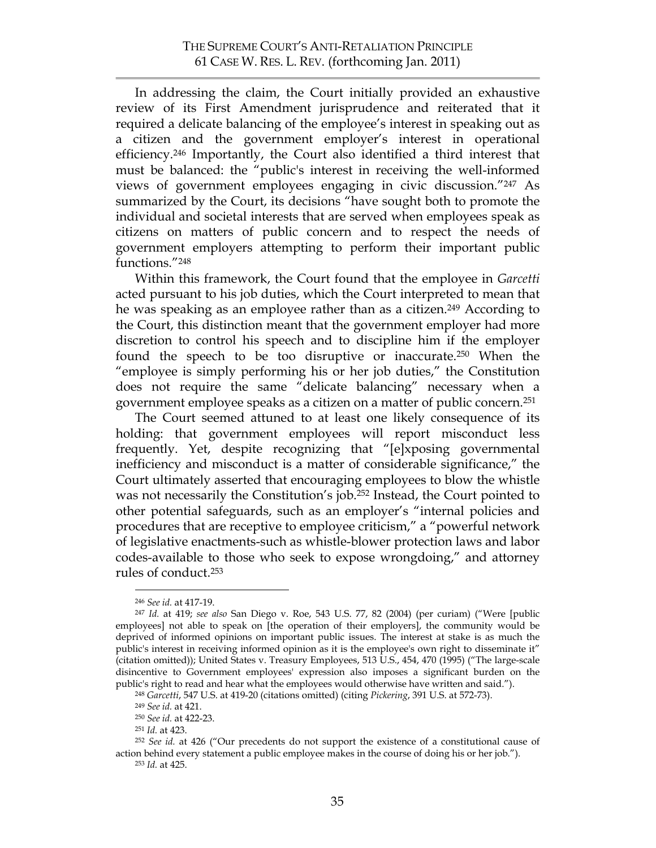In addressing the claim, the Court initially provided an exhaustive review of its First Amendment jurisprudence and reiterated that it required a delicate balancing of the employee's interest in speaking out as a citizen and the government employer's interest in operational efficiency.246 Importantly, the Court also identified a third interest that must be balanced: the "public's interest in receiving the well-informed views of government employees engaging in civic discussion."247 As summarized by the Court, its decisions "have sought both to promote the individual and societal interests that are served when employees speak as citizens on matters of public concern and to respect the needs of government employers attempting to perform their important public functions."248

Within this framework, the Court found that the employee in *Garcetti* acted pursuant to his job duties, which the Court interpreted to mean that he was speaking as an employee rather than as a citizen.<sup>249</sup> According to the Court, this distinction meant that the government employer had more discretion to control his speech and to discipline him if the employer found the speech to be too disruptive or inaccurate. <sup>250</sup> When the "employee is simply performing his or her job duties," the Constitution does not require the same "delicate balancing" necessary when a government employee speaks as a citizen on a matter of public concern.251

The Court seemed attuned to at least one likely consequence of its holding: that government employees will report misconduct less frequently. Yet, despite recognizing that "[e]xposing governmental inefficiency and misconduct is a matter of considerable significance," the Court ultimately asserted that encouraging employees to blow the whistle was not necessarily the Constitution's job.<sup>252</sup> Instead, the Court pointed to other potential safeguards, such as an employer's "internal policies and procedures that are receptive to employee criticism," a "powerful network of legislative enactments-such as whistle-blower protection laws and labor codes-available to those who seek to expose wrongdoing," and attorney rules of conduct.253

<sup>253</sup> *Id.* at 425.

 <sup>246</sup> *See id.* at 417-19.

<sup>247</sup> *Id.* at 419; *see also* San Diego v. Roe, 543 U.S. 77, 82 (2004) (per curiam) ("Were [public employees] not able to speak on [the operation of their employers], the community would be deprived of informed opinions on important public issues. The interest at stake is as much the public's interest in receiving informed opinion as it is the employee's own right to disseminate it" (citation omitted)); United States v. Treasury Employees, 513 U.S., 454, 470 (1995) ("The large-scale disincentive to Government employees' expression also imposes a significant burden on the public's right to read and hear what the employees would otherwise have written and said.").

<sup>248</sup> *Garcetti*, 547 U.S. at 419-20 (citations omitted) (citing *Pickering*, 391 U.S. at 572-73).

<sup>249</sup> *See id.* at 421.

<sup>250</sup> *See id.* at 422-23.

<sup>251</sup> *Id.* at 423.

<sup>252</sup> *See id.* at 426 ("Our precedents do not support the existence of a constitutional cause of action behind every statement a public employee makes in the course of doing his or her job.").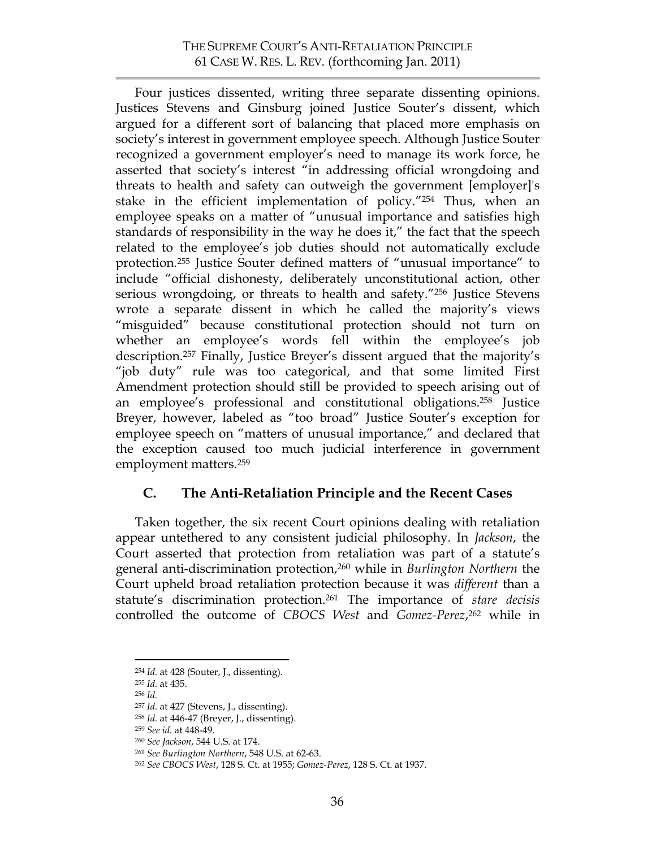Four justices dissented, writing three separate dissenting opinions. Justices Stevens and Ginsburg joined Justice Souter's dissent, which argued for a different sort of balancing that placed more emphasis on society's interest in government employee speech. Although Justice Souter recognized a government employer's need to manage its work force, he asserted that society's interest "in addressing official wrongdoing and threats to health and safety can outweigh the government [employer]'s stake in the efficient implementation of policy."254 Thus, when an employee speaks on a matter of "unusual importance and satisfies high standards of responsibility in the way he does it," the fact that the speech related to the employee's job duties should not automatically exclude protection.255 Justice Souter defined matters of "unusual importance" to include "official dishonesty, deliberately unconstitutional action, other serious wrongdoing, or threats to health and safety."<sup>256</sup> Justice Stevens wrote a separate dissent in which he called the majority's views "misguided" because constitutional protection should not turn on whether an employee's words fell within the employee's job description.257 Finally, Justice Breyer's dissent argued that the majority's "job duty" rule was too categorical, and that some limited First Amendment protection should still be provided to speech arising out of an employee's professional and constitutional obligations. <sup>258</sup> Justice Breyer, however, labeled as "too broad" Justice Souter's exception for employee speech on "matters of unusual importance," and declared that the exception caused too much judicial interference in government employment matters.259

## **C. The Anti-Retaliation Principle and the Recent Cases**

Taken together, the six recent Court opinions dealing with retaliation appear untethered to any consistent judicial philosophy. In *Jackson*, the Court asserted that protection from retaliation was part of a statute's general anti-discrimination protection,260 while in *Burlington Northern* the Court upheld broad retaliation protection because it was *different* than a statute's discrimination protection.261 The importance of *stare decisis* controlled the outcome of *CBOCS West* and *Gomez-Perez*, 262 while in

 <sup>254</sup> *Id.* at 428 (Souter, J., dissenting).

<sup>255</sup> *Id.* at 435.

<sup>256</sup> *Id.*

<sup>257</sup> *Id.* at 427 (Stevens, J., dissenting).

<sup>258</sup> *Id.* at 446-47 (Breyer, J., dissenting).

<sup>259</sup> *See id.* at 448-49.

<sup>260</sup> *See Jackson*, 544 U.S. at 174.

<sup>261</sup> *See Burlington Northern*, 548 U.S. at 62-63.

<sup>262</sup> *See CBOCS West*, 128 S. Ct. at 1955; *Gomez-Perez*, 128 S. Ct. at 1937.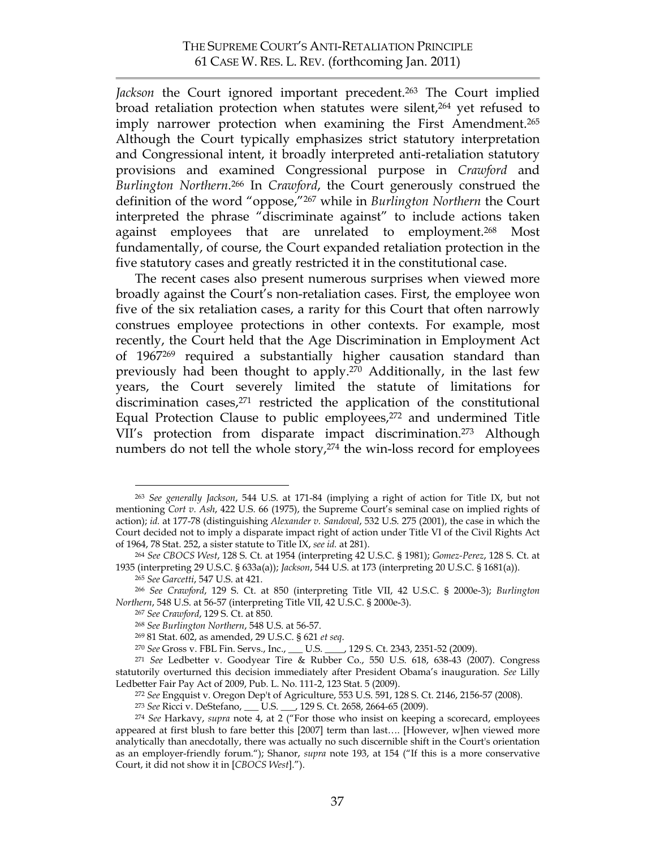Jackson the Court ignored important precedent.<sup>263</sup> The Court implied broad retaliation protection when statutes were silent,<sup>264</sup> yet refused to imply narrower protection when examining the First Amendment.<sup>265</sup> Although the Court typically emphasizes strict statutory interpretation and Congressional intent, it broadly interpreted anti-retaliation statutory provisions and examined Congressional purpose in *Crawford* and *Burlington Northern*. <sup>266</sup> In *Crawford*, the Court generously construed the definition of the word "oppose,"267 while in *Burlington Northern* the Court interpreted the phrase "discriminate against" to include actions taken against employees that are unrelated to employment.268 Most fundamentally, of course, the Court expanded retaliation protection in the five statutory cases and greatly restricted it in the constitutional case.

The recent cases also present numerous surprises when viewed more broadly against the Court's non-retaliation cases. First, the employee won five of the six retaliation cases, a rarity for this Court that often narrowly construes employee protections in other contexts. For example, most recently, the Court held that the Age Discrimination in Employment Act of 1967269 required a substantially higher causation standard than previously had been thought to apply.270 Additionally, in the last few years, the Court severely limited the statute of limitations for discrimination cases,<sup>271</sup> restricted the application of the constitutional Equal Protection Clause to public employees,<sup>272</sup> and undermined Title VII's protection from disparate impact discrimination. 273 Although numbers do not tell the whole story,<sup>274</sup> the win-loss record for employees

 <sup>263</sup> *See generally Jackson*, 544 U.S. at 171-84 (implying a right of action for Title IX, but not mentioning *Cort v. Ash*, 422 U.S. 66 (1975), the Supreme Court's seminal case on implied rights of action); *id.* at 177-78 (distinguishing *Alexander v. Sandoval*, 532 U.S. 275 (2001), the case in which the Court decided not to imply a disparate impact right of action under Title VI of the Civil Rights Act of 1964, 78 Stat. 252, a sister statute to Title IX, *see id.* at 281).

<sup>264</sup> *See CBOCS West*, 128 S. Ct. at 1954 (interpreting 42 U.S.C. § 1981); *Gomez-Perez*, 128 S. Ct. at 1935 (interpreting 29 U.S.C. § 633a(a)); *Jackson*, 544 U.S. at 173 (interpreting 20 U.S.C. § 1681(a)).

<sup>265</sup> *See Garcetti*, 547 U.S. at 421.

<sup>266</sup> *See Crawford*, 129 S. Ct. at 850 (interpreting Title VII, 42 U.S.C. § 2000e-3); *Burlington Northern*, 548 U.S. at 56-57 (interpreting Title VII, 42 U.S.C. § 2000e-3).

<sup>267</sup> *See Crawford*, 129 S. Ct. at 850.

<sup>268</sup> *See Burlington Northern*, 548 U.S. at 56-57.

<sup>269</sup> 81 Stat. 602, as amended, 29 U.S.C. § 621 *et seq*.

<sup>270</sup> *See* Gross v. FBL Fin. Servs., Inc., \_\_\_ U.S. \_\_\_\_, 129 S. Ct. 2343, 2351-52 (2009).

<sup>271</sup> *See* Ledbetter v. Goodyear Tire & Rubber Co., 550 U.S. 618, 638-43 (2007). Congress statutorily overturned this decision immediately after President Obama's inauguration. *See* Lilly Ledbetter Fair Pay Act of 2009, Pub. L. No. 111-2, 123 Stat. 5 (2009).

<sup>272</sup> *See* Engquist v. Oregon Dep't of Agriculture, 553 U.S. 591, 128 S. Ct. 2146, 2156-57 (2008).

<sup>273</sup> *See* Ricci v. DeStefano, \_\_\_ U.S. \_\_\_, 129 S. Ct. 2658, 2664-65 (2009).

<sup>274</sup> *See* Harkavy, *supra* note 4, at 2 ("For those who insist on keeping a scorecard, employees appeared at first blush to fare better this [2007] term than last…. [However, w]hen viewed more analytically than anecdotally, there was actually no such discernible shift in the Court's orientation as an employer-friendly forum."); Shanor, *supra* note 193, at 154 ("If this is a more conservative Court, it did not show it in [*CBOCS West*].").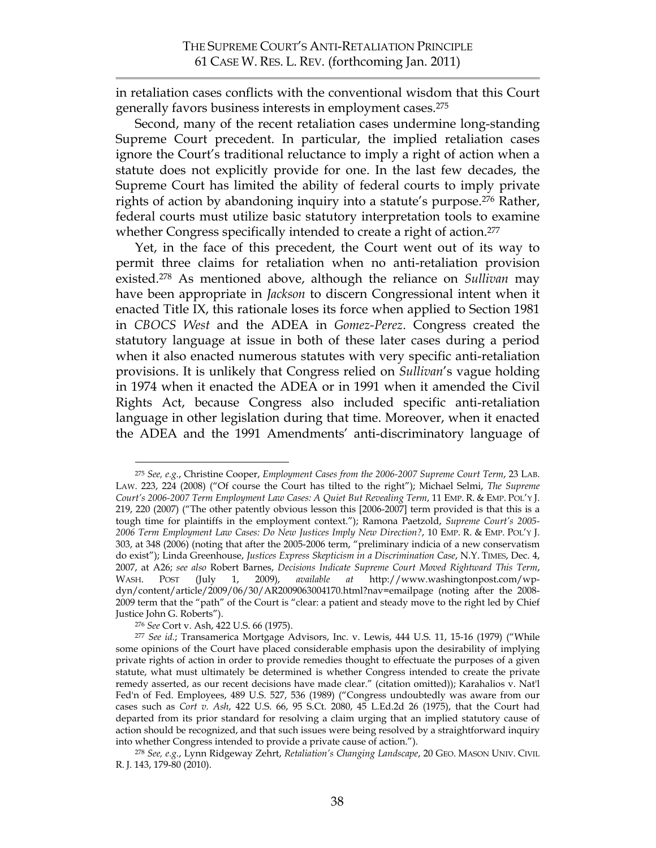in retaliation cases conflicts with the conventional wisdom that this Court generally favors business interests in employment cases.275

Second, many of the recent retaliation cases undermine long-standing Supreme Court precedent. In particular, the implied retaliation cases ignore the Court's traditional reluctance to imply a right of action when a statute does not explicitly provide for one. In the last few decades, the Supreme Court has limited the ability of federal courts to imply private rights of action by abandoning inquiry into a statute's purpose.<sup>276</sup> Rather, federal courts must utilize basic statutory interpretation tools to examine whether Congress specifically intended to create a right of action.<sup>277</sup>

Yet, in the face of this precedent, the Court went out of its way to permit three claims for retaliation when no anti-retaliation provision existed.278 As mentioned above, although the reliance on *Sullivan* may have been appropriate in *Jackson* to discern Congressional intent when it enacted Title IX, this rationale loses its force when applied to Section 1981 in *CBOCS West* and the ADEA in *Gomez-Perez*. Congress created the statutory language at issue in both of these later cases during a period when it also enacted numerous statutes with very specific anti-retaliation provisions. It is unlikely that Congress relied on *Sullivan*'s vague holding in 1974 when it enacted the ADEA or in 1991 when it amended the Civil Rights Act, because Congress also included specific anti-retaliation language in other legislation during that time. Moreover, when it enacted the ADEA and the 1991 Amendments' anti-discriminatory language of

 <sup>275</sup> *See, e.g.*, Christine Cooper, *Employment Cases from the 2006-2007 Supreme Court Term*, 23 LAB. LAW. 223, 224 (2008) ("Of course the Court has tilted to the right"); Michael Selmi, *The Supreme Court's 2006-2007 Term Employment Law Cases: A Quiet But Revealing Term*, 11 EMP. R. & EMP. POL'Y J. 219, 220 (2007) ("The other patently obvious lesson this [2006-2007] term provided is that this is a tough time for plaintiffs in the employment context."); Ramona Paetzold, *Supreme Court's 2005- 2006 Term Employment Law Cases: Do New Justices Imply New Direction?*, 10 EMP. R. & EMP. POL'Y J. 303, at 348 (2006) (noting that after the 2005-2006 term, "preliminary indicia of a new conservatism do exist"); Linda Greenhouse, *Justices Express Skepticism in a Discrimination Case*, N.Y. TIMES, Dec. 4, 2007, at A26; *see also* Robert Barnes, *Decisions Indicate Supreme Court Moved Rightward This Term*, WASH. POST (July 1, 2009), *available at* http://www.washingtonpost.com/wpdyn/content/article/2009/06/30/AR2009063004170.html?nav=emailpage (noting after the 2008- 2009 term that the "path" of the Court is "clear: a patient and steady move to the right led by Chief Justice John G. Roberts").

<sup>276</sup> *See* Cort v. Ash, 422 U.S. 66 (1975).

<sup>277</sup> *See id.*; Transamerica Mortgage Advisors, Inc. v. Lewis, 444 U.S. 11, 15-16 (1979) ("While some opinions of the Court have placed considerable emphasis upon the desirability of implying private rights of action in order to provide remedies thought to effectuate the purposes of a given statute, what must ultimately be determined is whether Congress intended to create the private remedy asserted, as our recent decisions have made clear." (citation omitted)); Karahalios v. Nat'l Fed'n of Fed. Employees, 489 U.S. 527, 536 (1989) ("Congress undoubtedly was aware from our cases such as *Cort v. Ash*, 422 U.S. 66, 95 S.Ct. 2080, 45 L.Ed.2d 26 (1975), that the Court had departed from its prior standard for resolving a claim urging that an implied statutory cause of action should be recognized, and that such issues were being resolved by a straightforward inquiry into whether Congress intended to provide a private cause of action.").

<sup>278</sup> *See, e.g.*, Lynn Ridgeway Zehrt, *Retaliation's Changing Landscape*, 20 GEO. MASON UNIV. CIVIL R. J. 143, 179-80 (2010).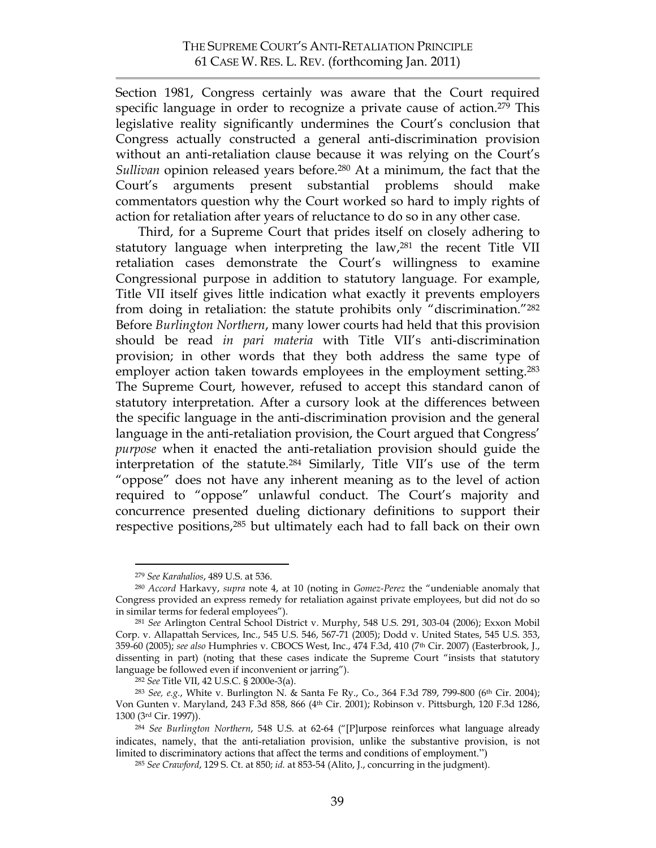Section 1981, Congress certainly was aware that the Court required specific language in order to recognize a private cause of action.<sup>279</sup> This legislative reality significantly undermines the Court's conclusion that Congress actually constructed a general anti-discrimination provision without an anti-retaliation clause because it was relying on the Court's *Sullivan* opinion released years before.280 At a minimum, the fact that the Court's arguments present substantial problems should make commentators question why the Court worked so hard to imply rights of action for retaliation after years of reluctance to do so in any other case.

Third, for a Supreme Court that prides itself on closely adhering to statutory language when interpreting the law,281 the recent Title VII retaliation cases demonstrate the Court's willingness to examine Congressional purpose in addition to statutory language. For example, Title VII itself gives little indication what exactly it prevents employers from doing in retaliation: the statute prohibits only "discrimination."282 Before *Burlington Northern*, many lower courts had held that this provision should be read *in pari materia* with Title VII's anti-discrimination provision; in other words that they both address the same type of employer action taken towards employees in the employment setting. 283 The Supreme Court, however, refused to accept this standard canon of statutory interpretation. After a cursory look at the differences between the specific language in the anti-discrimination provision and the general language in the anti-retaliation provision, the Court argued that Congress' *purpose* when it enacted the anti-retaliation provision should guide the interpretation of the statute.284 Similarly, Title VII's use of the term "oppose" does not have any inherent meaning as to the level of action required to "oppose" unlawful conduct. The Court's majority and concurrence presented dueling dictionary definitions to support their respective positions,285 but ultimately each had to fall back on their own

 <sup>279</sup> *See Karahalios*, 489 U.S. at 536.

<sup>280</sup> *Accord* Harkavy, *supra* note 4, at 10 (noting in *Gomez-Perez* the "undeniable anomaly that Congress provided an express remedy for retaliation against private employees, but did not do so in similar terms for federal employees").

<sup>281</sup> *See* Arlington Central School District v. Murphy, 548 U.S. 291, 303-04 (2006); Exxon Mobil Corp. v. Allapattah Services, Inc., 545 U.S. 546, 567-71 (2005); Dodd v. United States, 545 U.S. 353, 359-60 (2005); *see also* Humphries v. CBOCS West, Inc., 474 F.3d, 410 (7th Cir. 2007) (Easterbrook, J., dissenting in part) (noting that these cases indicate the Supreme Court "insists that statutory language be followed even if inconvenient or jarring").

<sup>282</sup> *See* Title VII, 42 U.S.C. § 2000e-3(a).

<sup>283</sup> *See, e.g.*, White v. Burlington N. & Santa Fe Ry., Co., 364 F.3d 789, 799-800 (6th Cir. 2004); Von Gunten v. Maryland, 243 F.3d 858, 866 (4th Cir. 2001); Robinson v. Pittsburgh, 120 F.3d 1286, 1300 (3rd Cir. 1997)).

<sup>284</sup> *See Burlington Northern*, 548 U.S. at 62-64 ("[P]urpose reinforces what language already indicates, namely, that the anti-retaliation provision, unlike the substantive provision, is not limited to discriminatory actions that affect the terms and conditions of employment.")

<sup>285</sup> *See Crawford*, 129 S. Ct. at 850; *id.* at 853-54 (Alito, J., concurring in the judgment).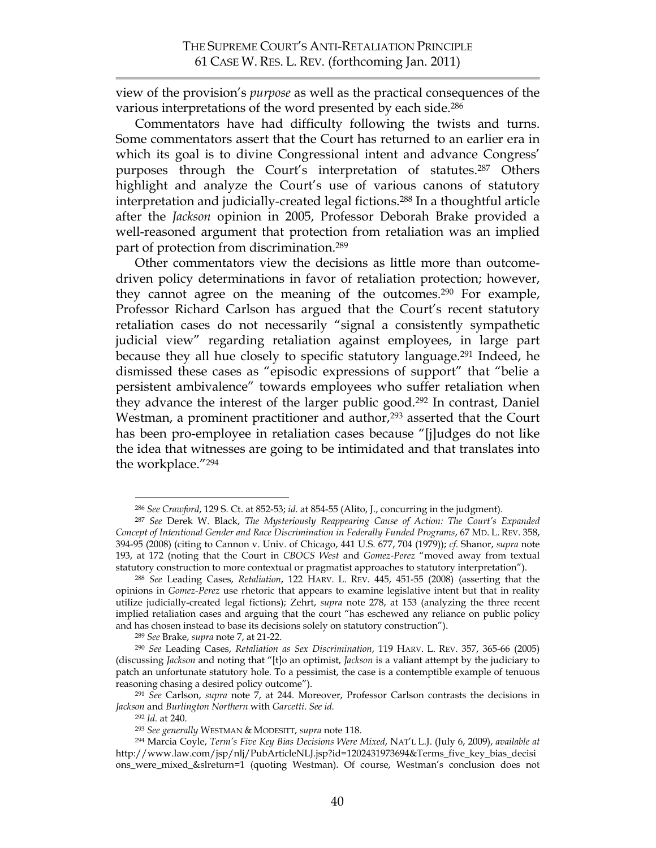view of the provision's *purpose* as well as the practical consequences of the various interpretations of the word presented by each side. 286

Commentators have had difficulty following the twists and turns. Some commentators assert that the Court has returned to an earlier era in which its goal is to divine Congressional intent and advance Congress' purposes through the Court's interpretation of statutes.287 Others highlight and analyze the Court's use of various canons of statutory interpretation and judicially-created legal fictions.288 In a thoughtful article after the *Jackson* opinion in 2005, Professor Deborah Brake provided a well-reasoned argument that protection from retaliation was an implied part of protection from discrimination.289

Other commentators view the decisions as little more than outcomedriven policy determinations in favor of retaliation protection; however, they cannot agree on the meaning of the outcomes. <sup>290</sup> For example, Professor Richard Carlson has argued that the Court's recent statutory retaliation cases do not necessarily "signal a consistently sympathetic judicial view" regarding retaliation against employees, in large part because they all hue closely to specific statutory language. <sup>291</sup> Indeed, he dismissed these cases as "episodic expressions of support" that "belie a persistent ambivalence" towards employees who suffer retaliation when they advance the interest of the larger public good. <sup>292</sup> In contrast, Daniel Westman, a prominent practitioner and author,<sup>293</sup> asserted that the Court has been pro-employee in retaliation cases because "[j]udges do not like the idea that witnesses are going to be intimidated and that translates into the workplace."294

 <sup>286</sup> *See Crawford*, 129 S. Ct. at 852-53; *id.* at 854-55 (Alito, J., concurring in the judgment).

<sup>287</sup> *See* Derek W. Black, *The Mysteriously Reappearing Cause of Action: The Court's Expanded Concept of Intentional Gender and Race Discrimination in Federally Funded Programs*, 67 MD. L. REV. 358, 394-95 (2008) (citing to Cannon v. Univ. of Chicago, 441 U.S. 677, 704 (1979)); *cf.* Shanor, *supra* note 193, at 172 (noting that the Court in *CBOCS West* and *Gomez-Perez* "moved away from textual statutory construction to more contextual or pragmatist approaches to statutory interpretation").

<sup>288</sup> *See* Leading Cases, *Retaliation*, 122 HARV. L. REV. 445, 451-55 (2008) (asserting that the opinions in *Gomez-Perez* use rhetoric that appears to examine legislative intent but that in reality utilize judicially-created legal fictions); Zehrt, *supra* note 278, at 153 (analyzing the three recent implied retaliation cases and arguing that the court "has eschewed any reliance on public policy and has chosen instead to base its decisions solely on statutory construction").

<sup>289</sup> *See* Brake, *supra* note 7, at 21-22. 290 *See* Leading Cases, *Retaliation as Sex Discrimination*, 119 HARV. L. REV. 357, 365-66 (2005) (discussing *Jackson* and noting that "[t]o an optimist, *Jackson* is a valiant attempt by the judiciary to patch an unfortunate statutory hole. To a pessimist, the case is a contemptible example of tenuous reasoning chasing a desired policy outcome").

<sup>291</sup> *See* Carlson, *supra* note 7, at 244. Moreover, Professor Carlson contrasts the decisions in *Jackson* and *Burlington Northern* with *Garcetti*. *See id.*

<sup>292</sup> *Id.* at 240.

<sup>293</sup> *See generally* WESTMAN & MODESITT, *supra* note 118.

<sup>294</sup> Marcia Coyle, *Term's Five Key Bias Decisions Were Mixed*, NAT'L L.J. (July 6, 2009), *available at* http://www.law.com/jsp/nlj/PubArticleNLJ.jsp?id=1202431973694&Terms\_five\_key\_bias\_decisi ons\_were\_mixed\_&slreturn=1 (quoting Westman). Of course, Westman's conclusion does not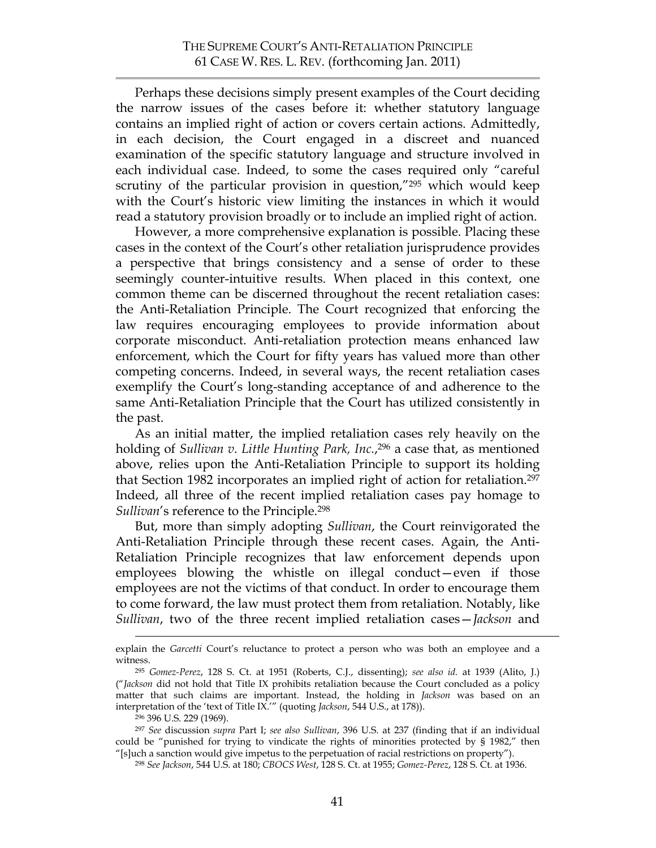Perhaps these decisions simply present examples of the Court deciding the narrow issues of the cases before it: whether statutory language contains an implied right of action or covers certain actions. Admittedly, in each decision, the Court engaged in a discreet and nuanced examination of the specific statutory language and structure involved in each individual case. Indeed, to some the cases required only "careful scrutiny of the particular provision in question,"<sup>295</sup> which would keep with the Court's historic view limiting the instances in which it would read a statutory provision broadly or to include an implied right of action.

However, a more comprehensive explanation is possible. Placing these cases in the context of the Court's other retaliation jurisprudence provides a perspective that brings consistency and a sense of order to these seemingly counter-intuitive results. When placed in this context, one common theme can be discerned throughout the recent retaliation cases: the Anti-Retaliation Principle. The Court recognized that enforcing the law requires encouraging employees to provide information about corporate misconduct. Anti-retaliation protection means enhanced law enforcement, which the Court for fifty years has valued more than other competing concerns. Indeed, in several ways, the recent retaliation cases exemplify the Court's long-standing acceptance of and adherence to the same Anti-Retaliation Principle that the Court has utilized consistently in the past.

As an initial matter, the implied retaliation cases rely heavily on the holding of *Sullivan v. Little Hunting Park, Inc.*, 296 a case that, as mentioned above, relies upon the Anti-Retaliation Principle to support its holding that Section 1982 incorporates an implied right of action for retaliation.<sup>297</sup> Indeed, all three of the recent implied retaliation cases pay homage to *Sullivan*'s reference to the Principle.298

But, more than simply adopting *Sullivan*, the Court reinvigorated the Anti-Retaliation Principle through these recent cases. Again, the Anti-Retaliation Principle recognizes that law enforcement depends upon employees blowing the whistle on illegal conduct—even if those employees are not the victims of that conduct. In order to encourage them to come forward, the law must protect them from retaliation. Notably, like *Sullivan*, two of the three recent implied retaliation cases—*Jackson* and

explain the *Garcetti* Court's reluctance to protect a person who was both an employee and a witness.

<sup>295</sup> *Gomez-Perez*, 128 S. Ct. at 1951 (Roberts, C.J., dissenting); *see also id.* at 1939 (Alito, J.) ("*Jackson* did not hold that Title IX prohibits retaliation because the Court concluded as a policy matter that such claims are important. Instead, the holding in *Jackson* was based on an interpretation of the 'text of Title IX.'" (quoting *Jackson*, 544 U.S., at 178)).

<sup>296 396</sup> U.S. 229 (1969).

<sup>297</sup> *See* discussion *supra* Part I; *see also Sullivan*, 396 U.S. at 237 (finding that if an individual could be "punished for trying to vindicate the rights of minorities protected by § 1982," then "[s]uch a sanction would give impetus to the perpetuation of racial restrictions on property").

<sup>298</sup> *See Jackson*, 544 U.S. at 180; *CBOCS West*, 128 S. Ct. at 1955; *Gomez-Perez*, 128 S. Ct. at 1936.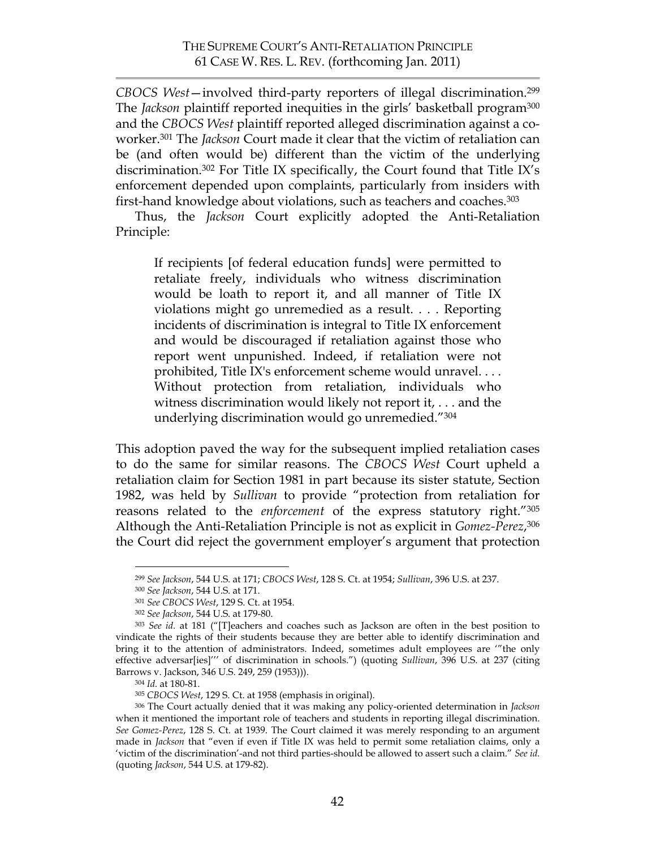*CBOCS West*—involved third-party reporters of illegal discrimination.299 The *Jackson* plaintiff reported inequities in the girls' basketball program<sup>300</sup> and the *CBOCS West* plaintiff reported alleged discrimination against a coworker.301 The *Jackson* Court made it clear that the victim of retaliation can be (and often would be) different than the victim of the underlying discrimination.302 For Title IX specifically, the Court found that Title IX's enforcement depended upon complaints, particularly from insiders with first-hand knowledge about violations, such as teachers and coaches.303

Thus, the *Jackson* Court explicitly adopted the Anti-Retaliation Principle:

If recipients [of federal education funds] were permitted to retaliate freely, individuals who witness discrimination would be loath to report it, and all manner of Title IX violations might go unremedied as a result. . . . Reporting incidents of discrimination is integral to Title IX enforcement and would be discouraged if retaliation against those who report went unpunished. Indeed, if retaliation were not prohibited, Title IX's enforcement scheme would unravel. . . . Without protection from retaliation, individuals who witness discrimination would likely not report it, . . . and the underlying discrimination would go unremedied."304

This adoption paved the way for the subsequent implied retaliation cases to do the same for similar reasons. The *CBOCS West* Court upheld a retaliation claim for Section 1981 in part because its sister statute, Section 1982, was held by *Sullivan* to provide "protection from retaliation for reasons related to the *enforcement* of the express statutory right."305 Although the Anti-Retaliation Principle is not as explicit in *Gomez-Perez*,306 the Court did reject the government employer's argument that protection

 <sup>299</sup> *See Jackson*, 544 U.S. at 171; *CBOCS West*, 128 S. Ct. at 1954; *Sullivan*, 396 U.S. at 237.

<sup>300</sup> *See Jackson*, 544 U.S. at 171.

<sup>301</sup> *See CBOCS West*, 129 S. Ct. at 1954.

<sup>302</sup> *See Jackson*, 544 U.S. at 179-80.

<sup>303</sup> *See id.* at 181 ("[T]eachers and coaches such as Jackson are often in the best position to vindicate the rights of their students because they are better able to identify discrimination and bring it to the attention of administrators. Indeed, sometimes adult employees are '"the only effective adversar[ies]''' of discrimination in schools.") (quoting *Sullivan*, 396 U.S. at 237 (citing Barrows v. Jackson, 346 U.S. 249, 259 (1953))).

<sup>304</sup> *Id.* at 180-81.

<sup>305</sup> *CBOCS West*, 129 S. Ct. at 1958 (emphasis in original).

<sup>306</sup> The Court actually denied that it was making any policy-oriented determination in *Jackson* when it mentioned the important role of teachers and students in reporting illegal discrimination. *See Gomez-Perez*, 128 S. Ct. at 1939. The Court claimed it was merely responding to an argument made in *Jackson* that "even if even if Title IX was held to permit some retaliation claims, only a 'victim of the discrimination'-and not third parties-should be allowed to assert such a claim." *See id.* (quoting *Jackson*, 544 U.S. at 179-82).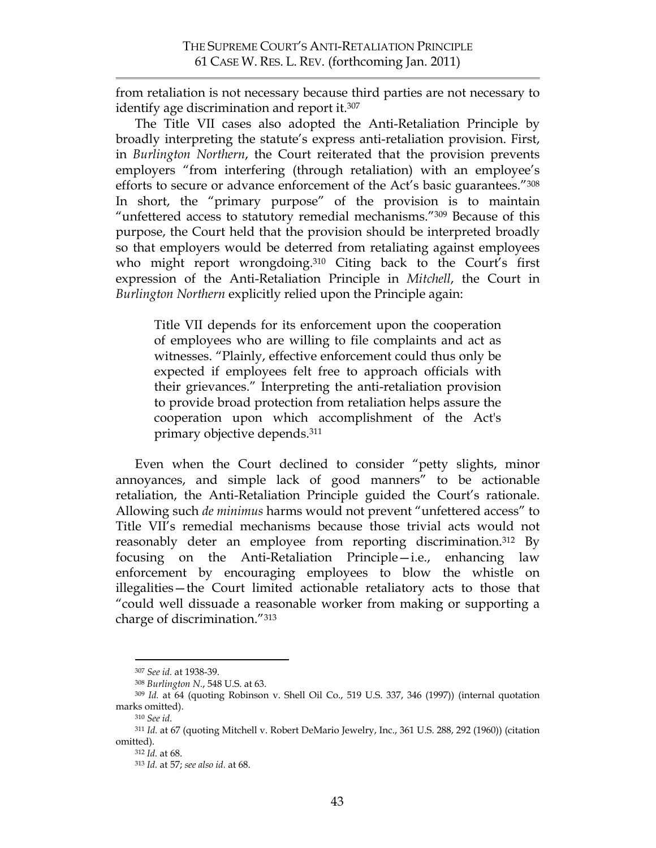from retaliation is not necessary because third parties are not necessary to identify age discrimination and report it.307

The Title VII cases also adopted the Anti-Retaliation Principle by broadly interpreting the statute's express anti-retaliation provision. First, in *Burlington Northern*, the Court reiterated that the provision prevents employers "from interfering (through retaliation) with an employee's efforts to secure or advance enforcement of the Act's basic guarantees."308 In short, the "primary purpose" of the provision is to maintain "unfettered access to statutory remedial mechanisms."309 Because of this purpose, the Court held that the provision should be interpreted broadly so that employers would be deterred from retaliating against employees who might report wrongdoing. <sup>310</sup> Citing back to the Court's first expression of the Anti-Retaliation Principle in *Mitchell*, the Court in *Burlington Northern* explicitly relied upon the Principle again:

Title VII depends for its enforcement upon the cooperation of employees who are willing to file complaints and act as witnesses. "Plainly, effective enforcement could thus only be expected if employees felt free to approach officials with their grievances." Interpreting the anti-retaliation provision to provide broad protection from retaliation helps assure the cooperation upon which accomplishment of the Act's primary objective depends. 311

Even when the Court declined to consider "petty slights, minor annoyances, and simple lack of good manners" to be actionable retaliation, the Anti-Retaliation Principle guided the Court's rationale. Allowing such *de minimus* harms would not prevent "unfettered access" to Title VII's remedial mechanisms because those trivial acts would not reasonably deter an employee from reporting discrimination.<sup>312</sup> By focusing on the Anti-Retaliation Principle—i.e., enhancing law enforcement by encouraging employees to blow the whistle on illegalities—the Court limited actionable retaliatory acts to those that "could well dissuade a reasonable worker from making or supporting a charge of discrimination."313

 <sup>307</sup> *See id.* at 1938-39.

<sup>308</sup> *Burlington N.*, 548 U.S. at 63.

<sup>309</sup> *Id.* at 64 (quoting Robinson v. Shell Oil Co., 519 U.S. 337, 346 (1997)) (internal quotation marks omitted). 310 *See id*.

<sup>311</sup> *Id.* at 67 (quoting Mitchell v. Robert DeMario Jewelry, Inc., 361 U.S. 288, 292 (1960)) (citation omitted).

<sup>312</sup> *Id.* at 68.

<sup>313</sup> *Id.* at 57; *see also id.* at 68.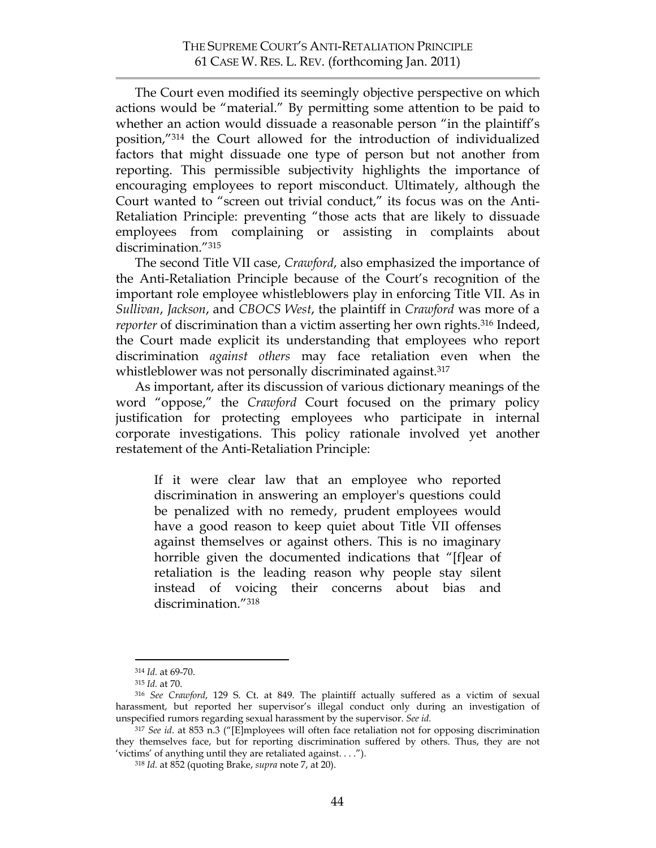The Court even modified its seemingly objective perspective on which actions would be "material." By permitting some attention to be paid to whether an action would dissuade a reasonable person "in the plaintiff's position,"314 the Court allowed for the introduction of individualized factors that might dissuade one type of person but not another from reporting. This permissible subjectivity highlights the importance of encouraging employees to report misconduct. Ultimately, although the Court wanted to "screen out trivial conduct," its focus was on the Anti-Retaliation Principle: preventing "those acts that are likely to dissuade employees from complaining or assisting in complaints about discrimination."315

The second Title VII case, *Crawford*, also emphasized the importance of the Anti-Retaliation Principle because of the Court's recognition of the important role employee whistleblowers play in enforcing Title VII. As in *Sullivan*, *Jackson*, and *CBOCS West*, the plaintiff in *Crawford* was more of a *reporter* of discrimination than a victim asserting her own rights. <sup>316</sup> Indeed, the Court made explicit its understanding that employees who report discrimination *against others* may face retaliation even when the whistleblower was not personally discriminated against.<sup>317</sup>

As important, after its discussion of various dictionary meanings of the word "oppose," the *Crawford* Court focused on the primary policy justification for protecting employees who participate in internal corporate investigations. This policy rationale involved yet another restatement of the Anti-Retaliation Principle:

If it were clear law that an employee who reported discrimination in answering an employer's questions could be penalized with no remedy, prudent employees would have a good reason to keep quiet about Title VII offenses against themselves or against others. This is no imaginary horrible given the documented indications that "[f]ear of retaliation is the leading reason why people stay silent instead of voicing their concerns about bias and discrimination."318

 <sup>314</sup> *Id.* at 69-70.

<sup>315</sup> *Id.* at 70.

<sup>316</sup> *See Crawford*, 129 S. Ct. at 849. The plaintiff actually suffered as a victim of sexual harassment, but reported her supervisor's illegal conduct only during an investigation of unspecified rumors regarding sexual harassment by the supervisor. *See id.*

<sup>317</sup> *See id*. at 853 n.3 ("[E]mployees will often face retaliation not for opposing discrimination they themselves face, but for reporting discrimination suffered by others. Thus, they are not 'victims' of anything until they are retaliated against. . . .").

<sup>318</sup> *Id.* at 852 (quoting Brake, *supra* note 7, at 20).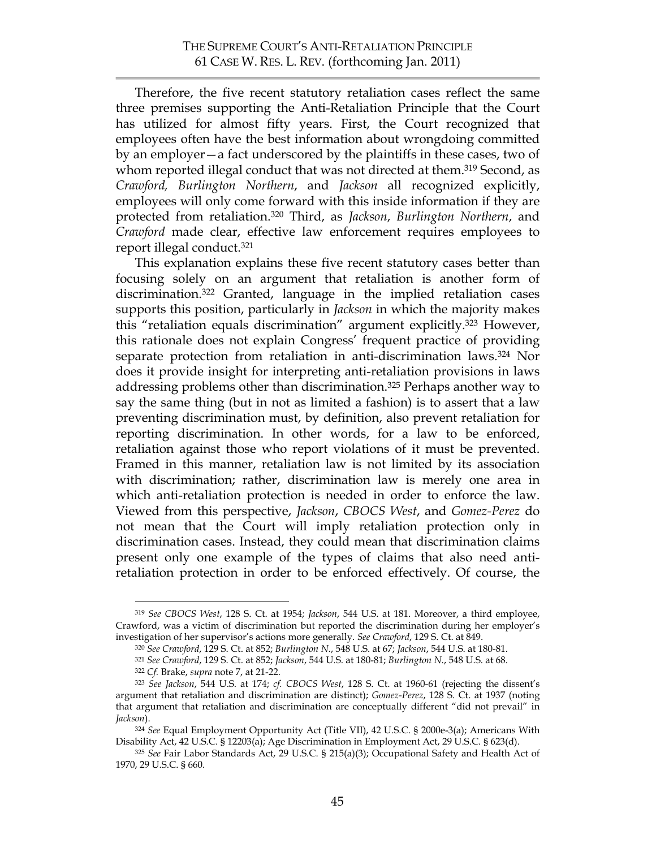Therefore, the five recent statutory retaliation cases reflect the same three premises supporting the Anti-Retaliation Principle that the Court has utilized for almost fifty years. First, the Court recognized that employees often have the best information about wrongdoing committed by an employer—a fact underscored by the plaintiffs in these cases, two of whom reported illegal conduct that was not directed at them. 319 Second, as *Crawford, Burlington Northern*, and *Jackson* all recognized explicitly, employees will only come forward with this inside information if they are protected from retaliation.320 Third, as *Jackson*, *Burlington Northern*, and *Crawford* made clear, effective law enforcement requires employees to report illegal conduct.321

This explanation explains these five recent statutory cases better than focusing solely on an argument that retaliation is another form of discrimination.322 Granted, language in the implied retaliation cases supports this position, particularly in *Jackson* in which the majority makes this "retaliation equals discrimination" argument explicitly. <sup>323</sup> However, this rationale does not explain Congress' frequent practice of providing separate protection from retaliation in anti-discrimination laws.324 Nor does it provide insight for interpreting anti-retaliation provisions in laws addressing problems other than discrimination.325 Perhaps another way to say the same thing (but in not as limited a fashion) is to assert that a law preventing discrimination must, by definition, also prevent retaliation for reporting discrimination. In other words, for a law to be enforced, retaliation against those who report violations of it must be prevented. Framed in this manner, retaliation law is not limited by its association with discrimination; rather, discrimination law is merely one area in which anti-retaliation protection is needed in order to enforce the law. Viewed from this perspective, *Jackson*, *CBOCS West*, and *Gomez-Perez* do not mean that the Court will imply retaliation protection only in discrimination cases. Instead, they could mean that discrimination claims present only one example of the types of claims that also need antiretaliation protection in order to be enforced effectively. Of course, the

 <sup>319</sup> *See CBOCS West*, 128 S. Ct. at 1954; *Jackson*, 544 U.S. at 181. Moreover, a third employee, Crawford, was a victim of discrimination but reported the discrimination during her employer's investigation of her supervisor's actions more generally. *See Crawford*, 129 S. Ct. at 849.

<sup>320</sup> *See Crawford*, 129 S. Ct. at 852; *Burlington N.*, 548 U.S. at 67; *Jackson*, 544 U.S. at 180-81.

<sup>321</sup> *See Crawford*, 129 S. Ct. at 852; *Jackson*, 544 U.S. at 180-81; *Burlington N.*, 548 U.S. at 68.

<sup>322</sup> *Cf.* Brake, *supra* note 7, at 21-22.

<sup>323</sup> *See Jackson*, 544 U.S. at 174; *cf. CBOCS West*, 128 S. Ct. at 1960-61 (rejecting the dissent's argument that retaliation and discrimination are distinct); *Gomez-Perez*, 128 S. Ct. at 1937 (noting that argument that retaliation and discrimination are conceptually different "did not prevail" in *Jackson*).

<sup>324</sup> *See* Equal Employment Opportunity Act (Title VII), 42 U.S.C. § 2000e-3(a); Americans With Disability Act, 42 U.S.C. § 12203(a); Age Discrimination in Employment Act, 29 U.S.C. § 623(d).

<sup>325</sup> *See* Fair Labor Standards Act, 29 U.S.C. § 215(a)(3); Occupational Safety and Health Act of 1970, 29 U.S.C. § 660.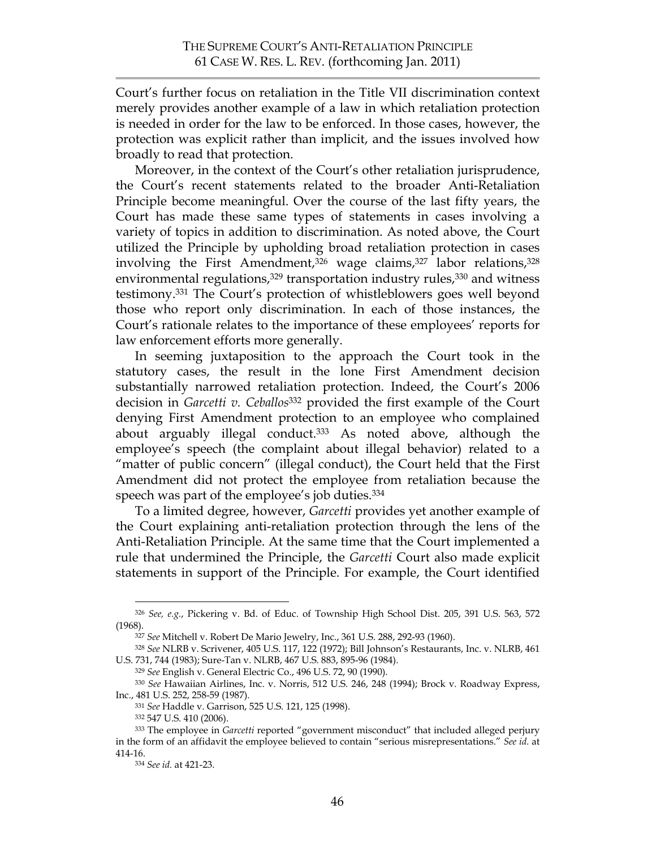Court's further focus on retaliation in the Title VII discrimination context merely provides another example of a law in which retaliation protection is needed in order for the law to be enforced. In those cases, however, the protection was explicit rather than implicit, and the issues involved how broadly to read that protection.

Moreover, in the context of the Court's other retaliation jurisprudence, the Court's recent statements related to the broader Anti-Retaliation Principle become meaningful. Over the course of the last fifty years, the Court has made these same types of statements in cases involving a variety of topics in addition to discrimination. As noted above, the Court utilized the Principle by upholding broad retaliation protection in cases involving the First Amendment,<sup>326</sup> wage claims,<sup>327</sup> labor relations,<sup>328</sup> environmental regulations,<sup>329</sup> transportation industry rules,<sup>330</sup> and witness testimony.331 The Court's protection of whistleblowers goes well beyond those who report only discrimination. In each of those instances, the Court's rationale relates to the importance of these employees' reports for law enforcement efforts more generally.

In seeming juxtaposition to the approach the Court took in the statutory cases, the result in the lone First Amendment decision substantially narrowed retaliation protection. Indeed, the Court's 2006 decision in *Garcetti v. Ceballos*<sup>332</sup> provided the first example of the Court denying First Amendment protection to an employee who complained about arguably illegal conduct. <sup>333</sup> As noted above, although the employee's speech (the complaint about illegal behavior) related to a "matter of public concern" (illegal conduct), the Court held that the First Amendment did not protect the employee from retaliation because the speech was part of the employee's job duties.<sup>334</sup>

To a limited degree, however, *Garcetti* provides yet another example of the Court explaining anti-retaliation protection through the lens of the Anti-Retaliation Principle. At the same time that the Court implemented a rule that undermined the Principle, the *Garcetti* Court also made explicit statements in support of the Principle. For example, the Court identified

 <sup>326</sup> *See, e.g.*, Pickering v. Bd. of Educ. of Township High School Dist. 205, 391 U.S. 563, 572 (1968).

<sup>327</sup> *See* Mitchell v. Robert De Mario Jewelry, Inc., 361 U.S. 288, 292-93 (1960).

<sup>328</sup> *See* NLRB v. Scrivener, 405 U.S. 117, 122 (1972); Bill Johnson's Restaurants, Inc. v. NLRB, 461 U.S. 731, 744 (1983); Sure-Tan v. NLRB, 467 U.S. 883, 895-96 (1984).

<sup>329</sup> *See* English v. General Electric Co., 496 U.S. 72, 90 (1990).

<sup>330</sup> *See* Hawaiian Airlines, Inc. v. Norris, 512 U.S. 246, 248 (1994); Brock v. Roadway Express, Inc., 481 U.S. 252, 258-59 (1987).

<sup>331</sup> *See* Haddle v. Garrison, 525 U.S. 121, 125 (1998).

<sup>332 547</sup> U.S. 410 (2006).

<sup>333</sup> The employee in *Garcetti* reported "government misconduct" that included alleged perjury in the form of an affidavit the employee believed to contain "serious misrepresentations." *See id.* at 414-16.

<sup>334</sup> *See id.* at 421-23.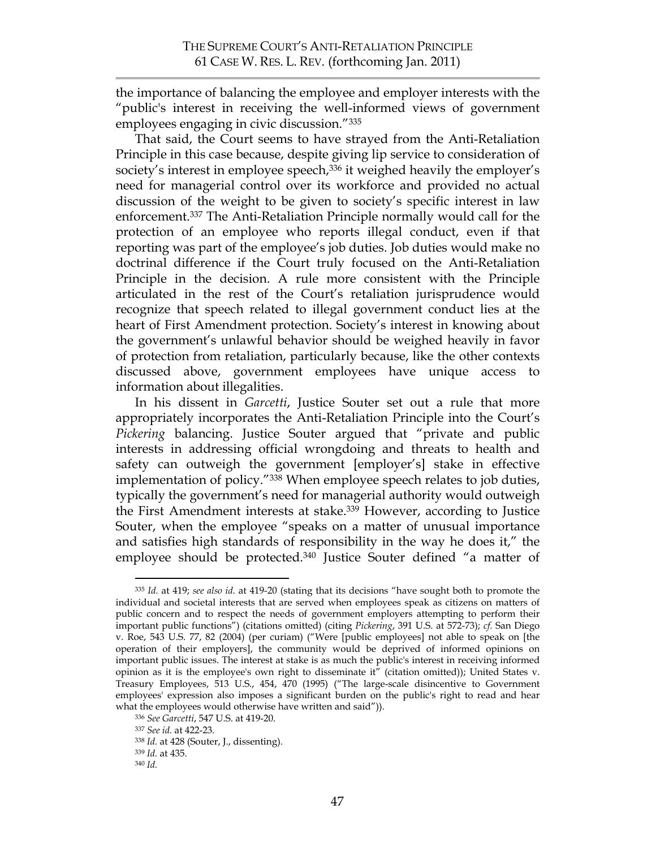the importance of balancing the employee and employer interests with the "public's interest in receiving the well-informed views of government employees engaging in civic discussion."335

That said, the Court seems to have strayed from the Anti-Retaliation Principle in this case because, despite giving lip service to consideration of society's interest in employee speech,<sup>336</sup> it weighed heavily the employer's need for managerial control over its workforce and provided no actual discussion of the weight to be given to society's specific interest in law enforcement.337 The Anti-Retaliation Principle normally would call for the protection of an employee who reports illegal conduct, even if that reporting was part of the employee's job duties. Job duties would make no doctrinal difference if the Court truly focused on the Anti-Retaliation Principle in the decision. A rule more consistent with the Principle articulated in the rest of the Court's retaliation jurisprudence would recognize that speech related to illegal government conduct lies at the heart of First Amendment protection. Society's interest in knowing about the government's unlawful behavior should be weighed heavily in favor of protection from retaliation, particularly because, like the other contexts discussed above, government employees have unique access to information about illegalities.

In his dissent in *Garcetti*, Justice Souter set out a rule that more appropriately incorporates the Anti-Retaliation Principle into the Court's *Pickering* balancing. Justice Souter argued that "private and public interests in addressing official wrongdoing and threats to health and safety can outweigh the government [employer's] stake in effective implementation of policy."338 When employee speech relates to job duties, typically the government's need for managerial authority would outweigh the First Amendment interests at stake.339 However, according to Justice Souter, when the employee "speaks on a matter of unusual importance and satisfies high standards of responsibility in the way he does it," the employee should be protected. 340 Justice Souter defined "a matter of

 <sup>335</sup> *Id.* at 419; *see also id.* at 419-20 (stating that its decisions "have sought both to promote the individual and societal interests that are served when employees speak as citizens on matters of public concern and to respect the needs of government employers attempting to perform their important public functions") (citations omitted) (citing *Pickering*, 391 U.S. at 572-73); *cf.* San Diego v. Roe, 543 U.S. 77, 82 (2004) (per curiam) ("Were [public employees] not able to speak on [the operation of their employers], the community would be deprived of informed opinions on important public issues. The interest at stake is as much the public's interest in receiving informed opinion as it is the employee's own right to disseminate it" (citation omitted)); United States v. Treasury Employees, 513 U.S., 454, 470 (1995) ("The large-scale disincentive to Government employees' expression also imposes a significant burden on the public's right to read and hear what the employees would otherwise have written and said")).

<sup>336</sup> *See Garcetti*, 547 U.S. at 419-20.

<sup>337</sup> *See id.* at 422-23.

<sup>338</sup> *Id.* at 428 (Souter, J., dissenting).

<sup>339</sup> *Id.* at 435.

<sup>340</sup> *Id.*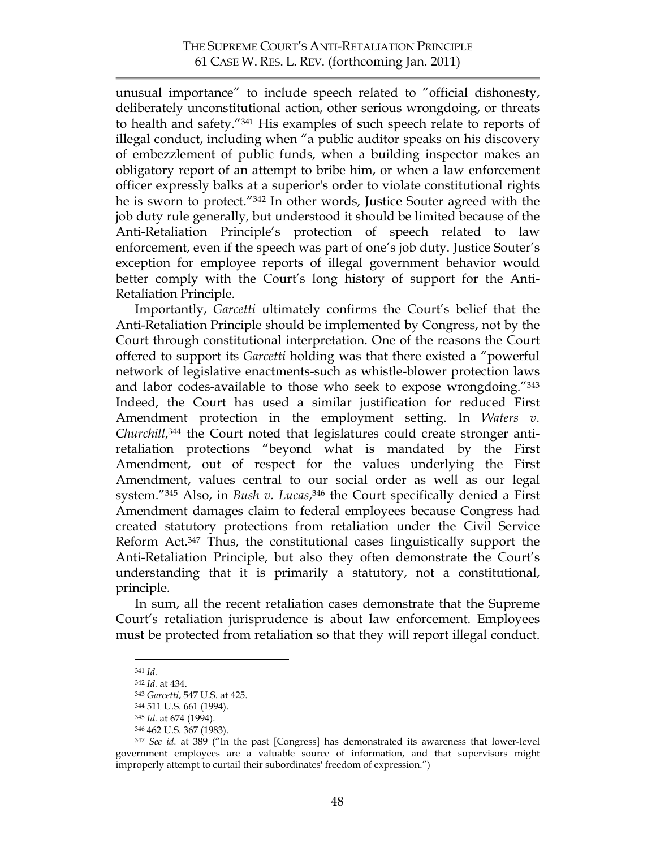unusual importance" to include speech related to "official dishonesty, deliberately unconstitutional action, other serious wrongdoing, or threats to health and safety."341 His examples of such speech relate to reports of illegal conduct, including when "a public auditor speaks on his discovery of embezzlement of public funds, when a building inspector makes an obligatory report of an attempt to bribe him, or when a law enforcement officer expressly balks at a superior's order to violate constitutional rights he is sworn to protect."342 In other words, Justice Souter agreed with the job duty rule generally, but understood it should be limited because of the Anti-Retaliation Principle's protection of speech related to law enforcement, even if the speech was part of one's job duty. Justice Souter's exception for employee reports of illegal government behavior would better comply with the Court's long history of support for the Anti-Retaliation Principle.

Importantly, *Garcetti* ultimately confirms the Court's belief that the Anti-Retaliation Principle should be implemented by Congress, not by the Court through constitutional interpretation. One of the reasons the Court offered to support its *Garcetti* holding was that there existed a "powerful network of legislative enactments-such as whistle-blower protection laws and labor codes-available to those who seek to expose wrongdoing."343 Indeed, the Court has used a similar justification for reduced First Amendment protection in the employment setting. In *Waters v. Churchill*, 344 the Court noted that legislatures could create stronger antiretaliation protections "beyond what is mandated by the First Amendment, out of respect for the values underlying the First Amendment, values central to our social order as well as our legal system."345 Also, in *Bush v. Lucas*, 346 the Court specifically denied a First Amendment damages claim to federal employees because Congress had created statutory protections from retaliation under the Civil Service Reform Act. <sup>347</sup> Thus, the constitutional cases linguistically support the Anti-Retaliation Principle, but also they often demonstrate the Court's understanding that it is primarily a statutory, not a constitutional, principle.

In sum, all the recent retaliation cases demonstrate that the Supreme Court's retaliation jurisprudence is about law enforcement. Employees must be protected from retaliation so that they will report illegal conduct.

 <sup>341</sup> *Id.*

<sup>342</sup> *Id.* at 434.

<sup>343</sup> *Garcetti*, 547 U.S. at 425.

<sup>344 511</sup> U.S. 661 (1994).

<sup>345</sup> *Id.* at 674 (1994).

<sup>346 462</sup> U.S. 367 (1983).

<sup>347</sup> *See id.* at 389 ("In the past [Congress] has demonstrated its awareness that lower-level government employees are a valuable source of information, and that supervisors might improperly attempt to curtail their subordinates' freedom of expression.")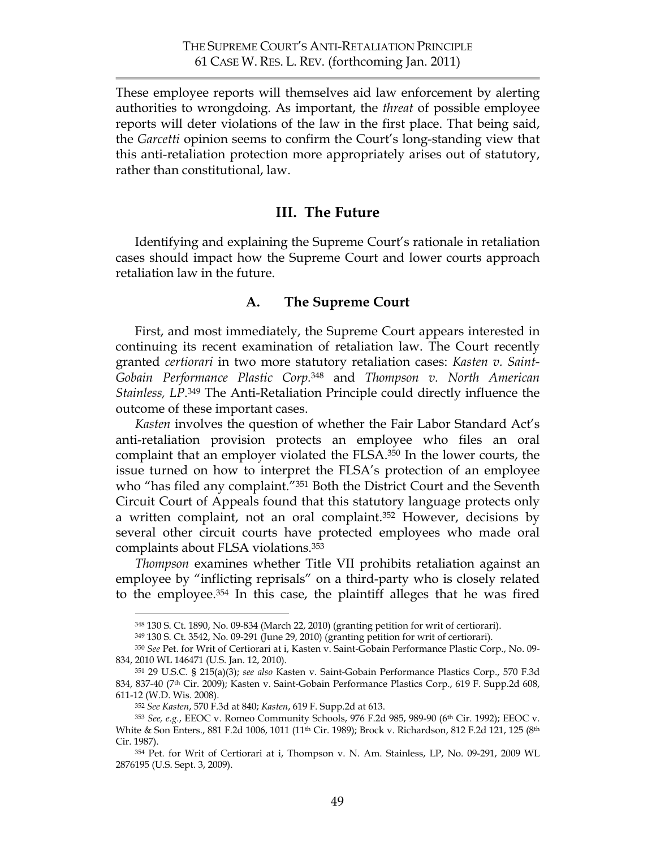These employee reports will themselves aid law enforcement by alerting authorities to wrongdoing. As important, the *threat* of possible employee reports will deter violations of the law in the first place. That being said, the *Garcetti* opinion seems to confirm the Court's long-standing view that this anti-retaliation protection more appropriately arises out of statutory, rather than constitutional, law.

### **III. The Future**

Identifying and explaining the Supreme Court's rationale in retaliation cases should impact how the Supreme Court and lower courts approach retaliation law in the future.

#### **A. The Supreme Court**

First, and most immediately, the Supreme Court appears interested in continuing its recent examination of retaliation law. The Court recently granted *certiorari* in two more statutory retaliation cases: *Kasten v. Saint-Gobain Performance Plastic Corp.* 348 and *Thompson v. North American Stainless, LP*. <sup>349</sup> The Anti-Retaliation Principle could directly influence the outcome of these important cases.

*Kasten* involves the question of whether the Fair Labor Standard Act's anti-retaliation provision protects an employee who files an oral complaint that an employer violated the FLSA. <sup>350</sup> In the lower courts, the issue turned on how to interpret the FLSA's protection of an employee who "has filed any complaint."<sup>351</sup> Both the District Court and the Seventh Circuit Court of Appeals found that this statutory language protects only a written complaint, not an oral complaint.352 However, decisions by several other circuit courts have protected employees who made oral complaints about FLSA violations.353

*Thompson* examines whether Title VII prohibits retaliation against an employee by "inflicting reprisals" on a third-party who is closely related to the employee.354 In this case, the plaintiff alleges that he was fired

 <sup>348 130</sup> S. Ct. 1890, No. 09-834 (March 22, 2010) (granting petition for writ of certiorari).

<sup>349 130</sup> S. Ct. 3542, No. 09-291 (June 29, 2010) (granting petition for writ of certiorari).

<sup>350</sup> *See* Pet. for Writ of Certiorari at i, Kasten v. Saint-Gobain Performance Plastic Corp., No. 09- 834, 2010 WL 146471 (U.S. Jan. 12, 2010).

<sup>351 29</sup> U.S.C. § 215(a)(3); *see also* Kasten v. Saint-Gobain Performance Plastics Corp., 570 F.3d 834, 837-40 (7<sup>th</sup> Cir. 2009); Kasten v. Saint-Gobain Performance Plastics Corp., 619 F. Supp.2d 608, 611-12 (W.D. Wis. 2008).

<sup>352</sup> *See Kasten*, 570 F.3d at 840; *Kasten*, 619 F. Supp.2d at 613.

<sup>353</sup> *See, e.g.*, EEOC v. Romeo Community Schools, 976 F.2d 985, 989-90 (6th Cir. 1992); EEOC v. White & Son Enters., 881 F.2d 1006, 1011 (11<sup>th</sup> Cir. 1989); Brock v. Richardson, 812 F.2d 121, 125 (8<sup>th</sup> Cir. 1987).

<sup>354</sup> Pet. for Writ of Certiorari at i, Thompson v. N. Am. Stainless, LP, No. 09-291, 2009 WL 2876195 (U.S. Sept. 3, 2009).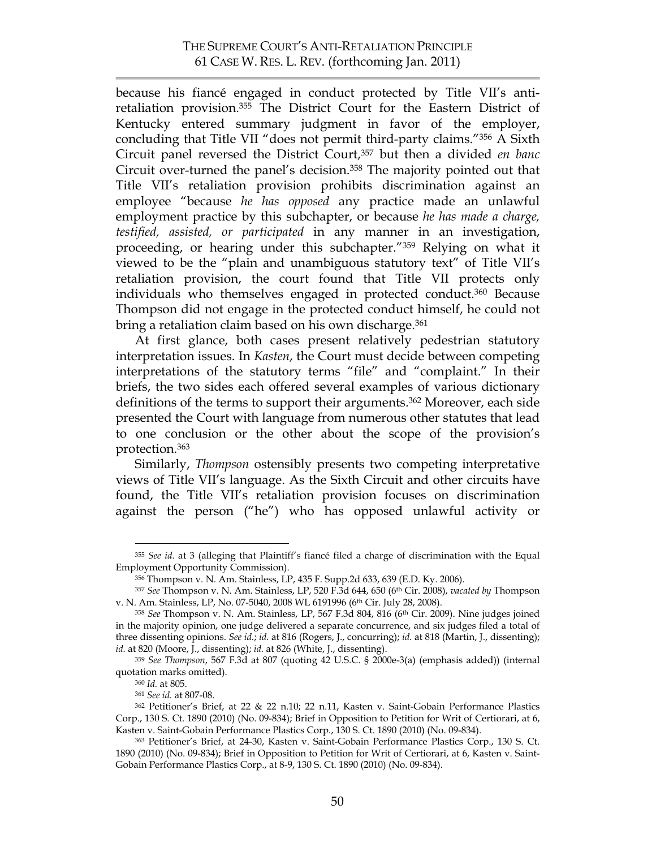because his fiancé engaged in conduct protected by Title VII's antiretaliation provision. 355 The District Court for the Eastern District of Kentucky entered summary judgment in favor of the employer, concluding that Title VII "does not permit third-party claims."356 A Sixth Circuit panel reversed the District Court,357 but then a divided *en banc* Circuit over-turned the panel's decision.358 The majority pointed out that Title VII's retaliation provision prohibits discrimination against an employee "because *he has opposed* any practice made an unlawful employment practice by this subchapter, or because *he has made a charge, testified, assisted, or participated* in any manner in an investigation, proceeding, or hearing under this subchapter."359 Relying on what it viewed to be the "plain and unambiguous statutory text" of Title VII's retaliation provision, the court found that Title VII protects only individuals who themselves engaged in protected conduct.360 Because Thompson did not engage in the protected conduct himself, he could not bring a retaliation claim based on his own discharge.<sup>361</sup>

At first glance, both cases present relatively pedestrian statutory interpretation issues. In *Kasten*, the Court must decide between competing interpretations of the statutory terms "file" and "complaint." In their briefs, the two sides each offered several examples of various dictionary definitions of the terms to support their arguments. 362 Moreover, each side presented the Court with language from numerous other statutes that lead to one conclusion or the other about the scope of the provision's protection.363

Similarly, *Thompson* ostensibly presents two competing interpretative views of Title VII's language. As the Sixth Circuit and other circuits have found, the Title VII's retaliation provision focuses on discrimination against the person ("he") who has opposed unlawful activity or

 <sup>355</sup> *See id.* at 3 (alleging that Plaintiff's fiancé filed a charge of discrimination with the Equal Employment Opportunity Commission).

<sup>356</sup> Thompson v. N. Am. Stainless, LP, 435 F. Supp.2d 633, 639 (E.D. Ky. 2006).

<sup>357</sup> *See* Thompson v. N. Am. Stainless, LP, 520 F.3d 644, 650 (6th Cir. 2008), *vacated by* Thompson v. N. Am. Stainless, LP, No. 07-5040, 2008 WL 6191996 (6th Cir. July 28, 2008).

<sup>358</sup> *See* Thompson v. N. Am. Stainless, LP, 567 F.3d 804, 816 (6th Cir. 2009). Nine judges joined in the majority opinion, one judge delivered a separate concurrence, and six judges filed a total of three dissenting opinions. *See id.*; *id.* at 816 (Rogers, J., concurring); *id.* at 818 (Martin, J., dissenting); *id.* at 820 (Moore, J., dissenting); *id.* at 826 (White, J., dissenting).

<sup>359</sup> *See Thompson*, 567 F.3d at 807 (quoting 42 U.S.C. § 2000e-3(a) (emphasis added)) (internal quotation marks omitted).

<sup>360</sup> *Id.* at 805.

<sup>361</sup> *See id.* at 807-08.

<sup>362</sup> Petitioner's Brief, at 22 & 22 n.10; 22 n.11, Kasten v. Saint-Gobain Performance Plastics Corp., 130 S. Ct. 1890 (2010) (No. 09-834); Brief in Opposition to Petition for Writ of Certiorari, at 6, Kasten v. Saint-Gobain Performance Plastics Corp., 130 S. Ct. 1890 (2010) (No. 09-834).

<sup>363</sup> Petitioner's Brief, at 24-30, Kasten v. Saint-Gobain Performance Plastics Corp., 130 S. Ct. 1890 (2010) (No. 09-834); Brief in Opposition to Petition for Writ of Certiorari, at 6, Kasten v. Saint-Gobain Performance Plastics Corp., at 8-9, 130 S. Ct. 1890 (2010) (No. 09-834).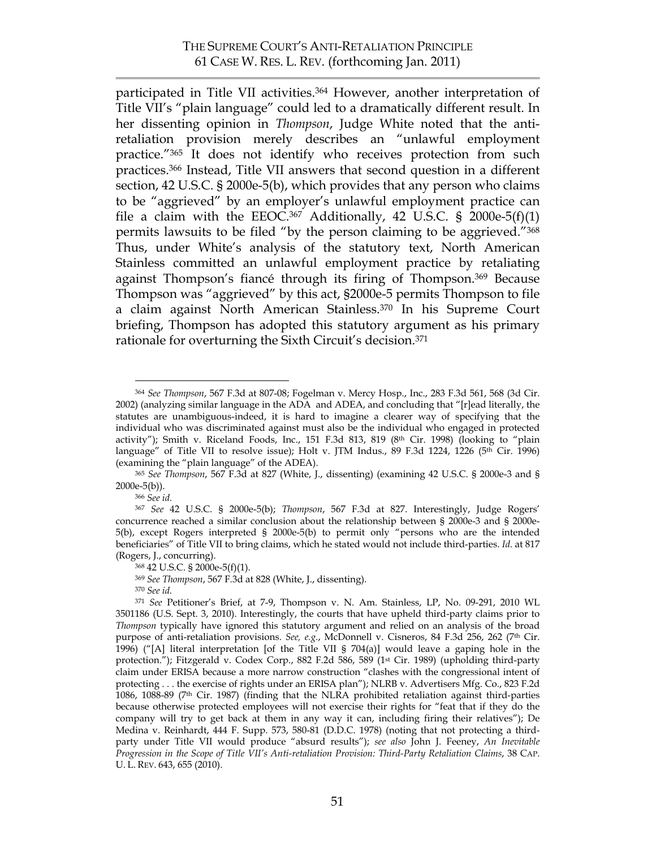participated in Title VII activities.364 However, another interpretation of Title VII's "plain language" could led to a dramatically different result. In her dissenting opinion in *Thompson*, Judge White noted that the antiretaliation provision merely describes an "unlawful employment practice."365 It does not identify who receives protection from such practices. 366 Instead, Title VII answers that second question in a different section, 42 U.S.C. § 2000e-5(b), which provides that any person who claims to be "aggrieved" by an employer's unlawful employment practice can file a claim with the  $EEOC<sup>367</sup>$  Additionally, 42 U.S.C. § 2000e-5(f)(1) permits lawsuits to be filed "by the person claiming to be aggrieved."368 Thus, under White's analysis of the statutory text, North American Stainless committed an unlawful employment practice by retaliating against Thompson's fiancé through its firing of Thompson.369 Because Thompson was "aggrieved" by this act, §2000e-5 permits Thompson to file a claim against North American Stainless. 370 In his Supreme Court briefing, Thompson has adopted this statutory argument as his primary rationale for overturning the Sixth Circuit's decision. 371

<sup>366</sup> *See id.*

 <sup>364</sup> *See Thompson*, 567 F.3d at 807-08; Fogelman v. Mercy Hosp., Inc., 283 F.3d 561, 568 (3d Cir. 2002) (analyzing similar language in the ADA and ADEA, and concluding that "[r]ead literally, the statutes are unambiguous-indeed, it is hard to imagine a clearer way of specifying that the individual who was discriminated against must also be the individual who engaged in protected activity"); Smith v. Riceland Foods, Inc., 151 F.3d 813, 819 (8<sup>th</sup> Cir. 1998) (looking to "plain language" of Title VII to resolve issue); Holt v. JTM Indus., 89 F.3d 1224, 1226 (5<sup>th</sup> Cir. 1996) (examining the "plain language" of the ADEA).

<sup>365</sup> *See Thompson*, 567 F.3d at 827 (White, J., dissenting) (examining 42 U.S.C. § 2000e-3 and § 2000e-5(b)).

<sup>367</sup> *See* 42 U.S.C. § 2000e-5(b); *Thompson*, 567 F.3d at 827. Interestingly, Judge Rogers' concurrence reached a similar conclusion about the relationship between § 2000e-3 and § 2000e-5(b), except Rogers interpreted § 2000e-5(b) to permit only "persons who are the intended beneficiaries" of Title VII to bring claims, which he stated would not include third-parties. *Id.* at 817 (Rogers, J., concurring).

<sup>368 42</sup> U.S.C. § 2000e-5(f)(1).

<sup>369</sup> *See Thompson*, 567 F.3d at 828 (White, J., dissenting).

<sup>370</sup> *See id.*

<sup>371</sup> *See* Petitioner's Brief, at 7-9, Thompson v. N. Am. Stainless, LP, No. 09-291, 2010 WL 3501186 (U.S. Sept. 3, 2010). Interestingly, the courts that have upheld third-party claims prior to *Thompson* typically have ignored this statutory argument and relied on an analysis of the broad purpose of anti-retaliation provisions. *See, e.g.*, McDonnell v. Cisneros, 84 F.3d 256, 262 (7th Cir. 1996) ("[A] literal interpretation [of the Title VII § 704(a)] would leave a gaping hole in the protection."); Fitzgerald v. Codex Corp., 882 F.2d 586, 589 (1st Cir. 1989) (upholding third-party claim under ERISA because a more narrow construction "clashes with the congressional intent of protecting . . . the exercise of rights under an ERISA plan"); NLRB v. Advertisers Mfg. Co., 823 F.2d 1086, 1088-89 (7th Cir. 1987) (finding that the NLRA prohibited retaliation against third-parties because otherwise protected employees will not exercise their rights for "feat that if they do the company will try to get back at them in any way it can, including firing their relatives"); De Medina v. Reinhardt, 444 F. Supp. 573, 580-81 (D.D.C. 1978) (noting that not protecting a thirdparty under Title VII would produce "absurd results"); *see also* John J. Feeney, *An Inevitable Progression in the Scope of Title VII's Anti-retaliation Provision: Third-Party Retaliation Claims*, 38 CAP. U. L. REV. 643, 655 (2010).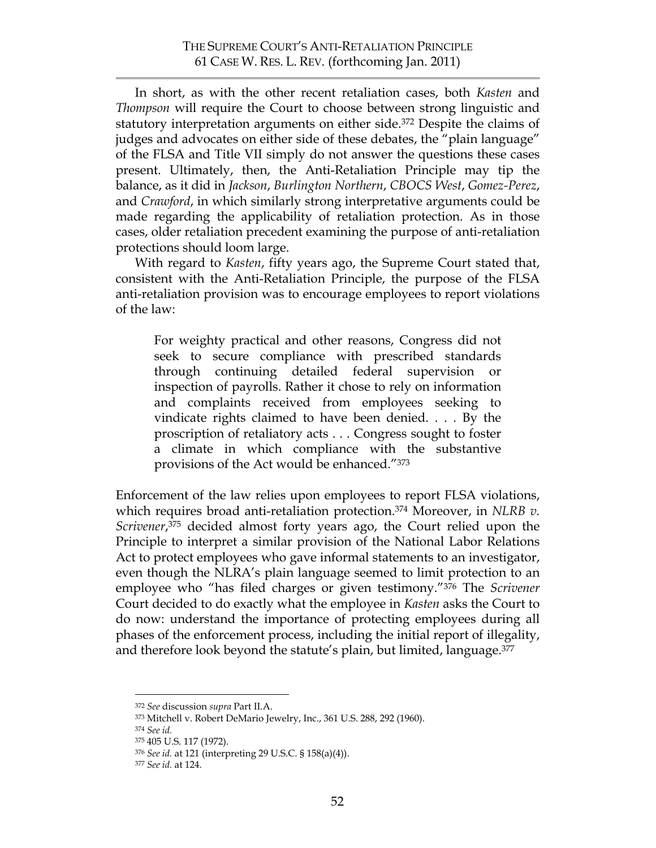In short, as with the other recent retaliation cases, both *Kasten* and *Thompson* will require the Court to choose between strong linguistic and statutory interpretation arguments on either side.372 Despite the claims of judges and advocates on either side of these debates, the "plain language" of the FLSA and Title VII simply do not answer the questions these cases present. Ultimately, then, the Anti-Retaliation Principle may tip the balance, as it did in *Jackson*, *Burlington Northern*, *CBOCS West*, *Gomez-Perez*, and *Crawford*, in which similarly strong interpretative arguments could be made regarding the applicability of retaliation protection. As in those cases, older retaliation precedent examining the purpose of anti-retaliation protections should loom large.

With regard to *Kasten*, fifty years ago, the Supreme Court stated that, consistent with the Anti-Retaliation Principle, the purpose of the FLSA anti-retaliation provision was to encourage employees to report violations of the law:

For weighty practical and other reasons, Congress did not seek to secure compliance with prescribed standards through continuing detailed federal supervision or inspection of payrolls. Rather it chose to rely on information and complaints received from employees seeking to vindicate rights claimed to have been denied. . . . By the proscription of retaliatory acts . . . Congress sought to foster a climate in which compliance with the substantive provisions of the Act would be enhanced."373

Enforcement of the law relies upon employees to report FLSA violations, which requires broad anti-retaliation protection.374 Moreover, in *NLRB v. Scrivener*, 375 decided almost forty years ago, the Court relied upon the Principle to interpret a similar provision of the National Labor Relations Act to protect employees who gave informal statements to an investigator, even though the NLRA's plain language seemed to limit protection to an employee who "has filed charges or given testimony."376 The *Scrivener* Court decided to do exactly what the employee in *Kasten* asks the Court to do now: understand the importance of protecting employees during all phases of the enforcement process, including the initial report of illegality, and therefore look beyond the statute's plain, but limited, language. 377

 <sup>372</sup> *See* discussion *supra* Part II.A.

<sup>373</sup> Mitchell v. Robert DeMario Jewelry, Inc., 361 U.S. 288, 292 (1960).

<sup>374</sup> *See id.*

<sup>375 405</sup> U.S. 117 (1972).

<sup>376</sup> *See id.* at 121 (interpreting 29 U.S.C. § 158(a)(4)). 377 *See id.* at 124.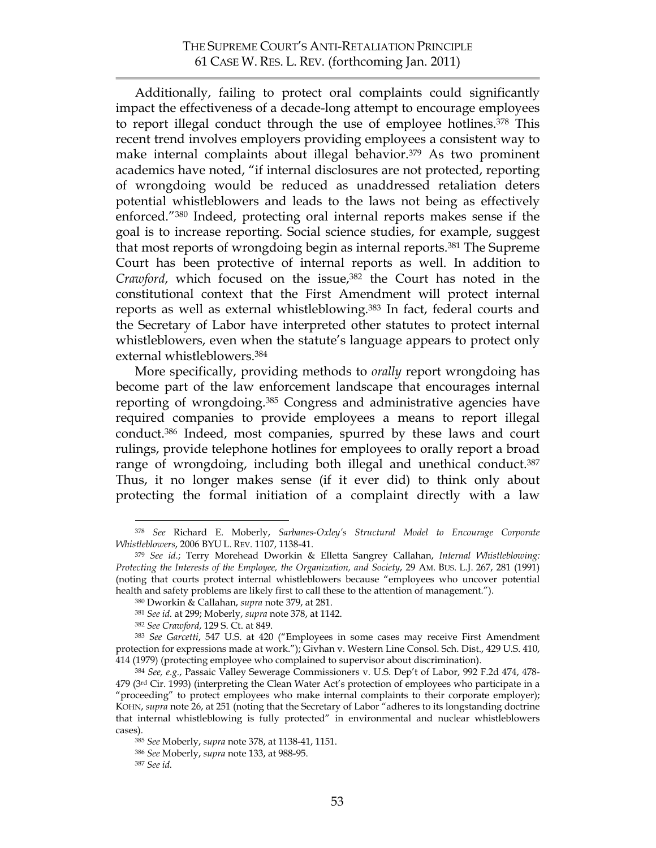Additionally, failing to protect oral complaints could significantly impact the effectiveness of a decade-long attempt to encourage employees to report illegal conduct through the use of employee hotlines. <sup>378</sup> This recent trend involves employers providing employees a consistent way to make internal complaints about illegal behavior.<sup>379</sup> As two prominent academics have noted, "if internal disclosures are not protected, reporting of wrongdoing would be reduced as unaddressed retaliation deters potential whistleblowers and leads to the laws not being as effectively enforced."380 Indeed, protecting oral internal reports makes sense if the goal is to increase reporting. Social science studies, for example, suggest that most reports of wrongdoing begin as internal reports.381 The Supreme Court has been protective of internal reports as well. In addition to Crawford, which focused on the issue,<sup>382</sup> the Court has noted in the constitutional context that the First Amendment will protect internal reports as well as external whistleblowing.<sup>383</sup> In fact, federal courts and the Secretary of Labor have interpreted other statutes to protect internal whistleblowers, even when the statute's language appears to protect only external whistleblowers.384

More specifically, providing methods to *orally* report wrongdoing has become part of the law enforcement landscape that encourages internal reporting of wrongdoing. 385 Congress and administrative agencies have required companies to provide employees a means to report illegal conduct.386 Indeed, most companies, spurred by these laws and court rulings, provide telephone hotlines for employees to orally report a broad range of wrongdoing, including both illegal and unethical conduct.<sup>387</sup> Thus, it no longer makes sense (if it ever did) to think only about protecting the formal initiation of a complaint directly with a law

 <sup>378</sup> *See* Richard E. Moberly, *Sarbanes-Oxley's Structural Model to Encourage Corporate Whistleblowers*, 2006 BYU L. REV. 1107, 1138-41.

<sup>379</sup> *See id.*; Terry Morehead Dworkin & Elletta Sangrey Callahan, *Internal Whistleblowing: Protecting the Interests of the Employee, the Organization, and Society*, 29 AM. BUS. L.J. 267, 281 (1991) (noting that courts protect internal whistleblowers because "employees who uncover potential health and safety problems are likely first to call these to the attention of management.").

<sup>380</sup> Dworkin & Callahan, *supra* note 379, at 281.

<sup>381</sup> *See id.* at 299; Moberly, *supra* note 378, at 1142.

<sup>382</sup> *See Crawford*, 129 S. Ct. at 849.

<sup>383</sup> *See Garcetti*, 547 U.S. at 420 ("Employees in some cases may receive First Amendment protection for expressions made at work."); Givhan v. Western Line Consol. Sch. Dist., 429 U.S. 410, 414 (1979) (protecting employee who complained to supervisor about discrimination).

<sup>384</sup> *See, e.g.*, Passaic Valley Sewerage Commissioners v. U.S. Dep't of Labor, 992 F.2d 474, 478-  $479$  ( $3<sup>rd</sup>$  Cir. 1993) (interpreting the Clean Water Act's protection of employees who participate in a "proceeding" to protect employees who make internal complaints to their corporate employer); KOHN, *supra* note 26, at 251 (noting that the Secretary of Labor "adheres to its longstanding doctrine that internal whistleblowing is fully protected" in environmental and nuclear whistleblowers cases).

<sup>385</sup> *See* Moberly, *supra* note 378, at 1138-41, 1151.

<sup>386</sup> *See* Moberly, *supra* note 133, at 988-95.

<sup>387</sup> *See id.*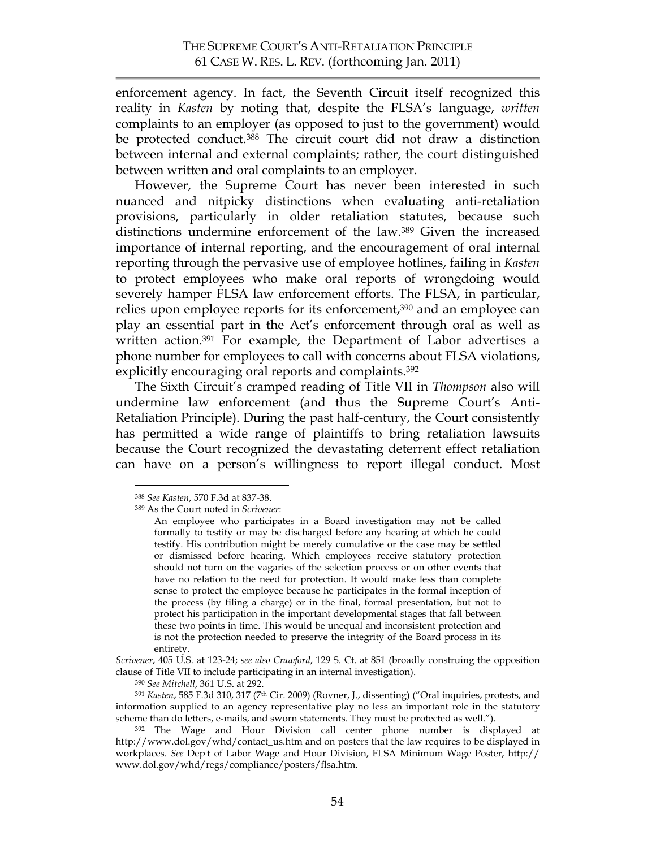enforcement agency. In fact, the Seventh Circuit itself recognized this reality in *Kasten* by noting that, despite the FLSA's language, *written* complaints to an employer (as opposed to just to the government) would be protected conduct.<sup>388</sup> The circuit court did not draw a distinction between internal and external complaints; rather, the court distinguished between written and oral complaints to an employer.

However, the Supreme Court has never been interested in such nuanced and nitpicky distinctions when evaluating anti-retaliation provisions, particularly in older retaliation statutes, because such distinctions undermine enforcement of the law. <sup>389</sup> Given the increased importance of internal reporting, and the encouragement of oral internal reporting through the pervasive use of employee hotlines, failing in *Kasten* to protect employees who make oral reports of wrongdoing would severely hamper FLSA law enforcement efforts. The FLSA, in particular, relies upon employee reports for its enforcement,<sup>390</sup> and an employee can play an essential part in the Act's enforcement through oral as well as written action.<sup>391</sup> For example, the Department of Labor advertises a phone number for employees to call with concerns about FLSA violations, explicitly encouraging oral reports and complaints.<sup>392</sup>

The Sixth Circuit's cramped reading of Title VII in *Thompson* also will undermine law enforcement (and thus the Supreme Court's Anti-Retaliation Principle). During the past half-century, the Court consistently has permitted a wide range of plaintiffs to bring retaliation lawsuits because the Court recognized the devastating deterrent effect retaliation can have on a person's willingness to report illegal conduct. Most

<sup>391</sup> *Kasten*, 585 F.3d 310, 317 (7th Cir. 2009) (Rovner, J., dissenting) ("Oral inquiries, protests, and information supplied to an agency representative play no less an important role in the statutory scheme than do letters, e-mails, and sworn statements. They must be protected as well.").

 <sup>388</sup> *See Kasten*, 570 F.3d at 837-38.

<sup>389</sup> As the Court noted in *Scrivener*:

An employee who participates in a Board investigation may not be called formally to testify or may be discharged before any hearing at which he could testify. His contribution might be merely cumulative or the case may be settled or dismissed before hearing. Which employees receive statutory protection should not turn on the vagaries of the selection process or on other events that have no relation to the need for protection. It would make less than complete sense to protect the employee because he participates in the formal inception of the process (by filing a charge) or in the final, formal presentation, but not to protect his participation in the important developmental stages that fall between these two points in time. This would be unequal and inconsistent protection and is not the protection needed to preserve the integrity of the Board process in its entirety.

*Scrivener*, 405 U.S. at 123-24; *see also Crawford*, 129 S. Ct. at 851 (broadly construing the opposition clause of Title VII to include participating in an internal investigation).

<sup>390</sup> *See Mitchell*, 361 U.S. at 292.

<sup>392</sup> The Wage and Hour Division call center phone number is displayed at http://www.dol.gov/whd/contact\_us.htm and on posters that the law requires to be displayed in workplaces. *See* Dep't of Labor Wage and Hour Division, FLSA Minimum Wage Poster, http:// www.dol.gov/whd/regs/compliance/posters/flsa.htm.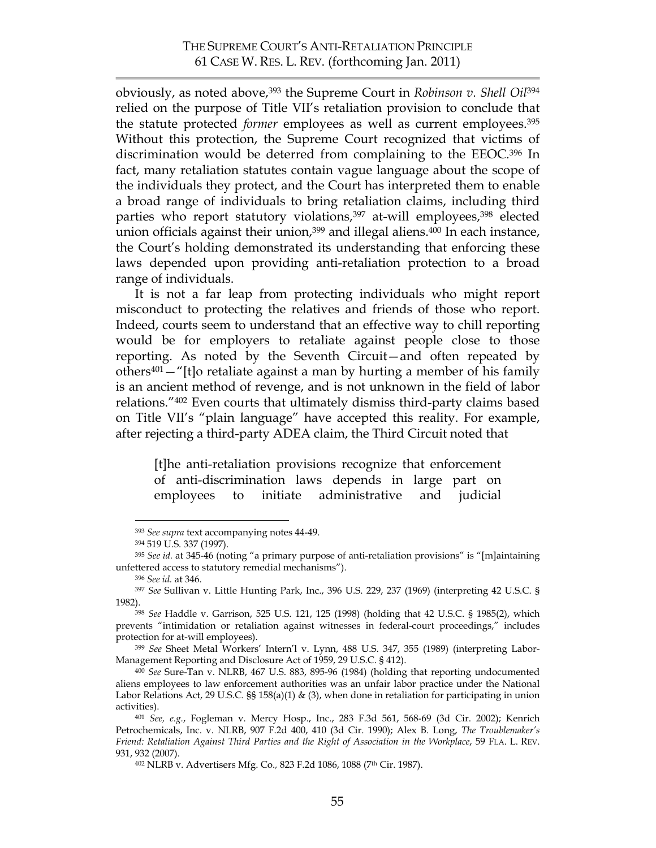obviously, as noted above, 393 the Supreme Court in *Robinson v. Shell Oil*<sup>394</sup> relied on the purpose of Title VII's retaliation provision to conclude that the statute protected *former* employees as well as current employees.395 Without this protection, the Supreme Court recognized that victims of discrimination would be deterred from complaining to the EEOC.396 In fact, many retaliation statutes contain vague language about the scope of the individuals they protect, and the Court has interpreted them to enable a broad range of individuals to bring retaliation claims, including third parties who report statutory violations,<sup>397</sup> at-will employees,<sup>398</sup> elected union officials against their union,<sup>399</sup> and illegal aliens.<sup>400</sup> In each instance, the Court's holding demonstrated its understanding that enforcing these laws depended upon providing anti-retaliation protection to a broad range of individuals.

It is not a far leap from protecting individuals who might report misconduct to protecting the relatives and friends of those who report. Indeed, courts seem to understand that an effective way to chill reporting would be for employers to retaliate against people close to those reporting. As noted by the Seventh Circuit—and often repeated by others<sup>401</sup>  $-$  "[t]o retaliate against a man by hurting a member of his family is an ancient method of revenge, and is not unknown in the field of labor relations."402 Even courts that ultimately dismiss third-party claims based on Title VII's "plain language" have accepted this reality. For example, after rejecting a third-party ADEA claim, the Third Circuit noted that

[t]he anti-retaliation provisions recognize that enforcement of anti-discrimination laws depends in large part on employees to initiate administrative and judicial

 <sup>393</sup> *See supra* text accompanying notes 44-49.

<sup>394 519</sup> U.S. 337 (1997).

<sup>395</sup> *See id.* at 345-46 (noting "a primary purpose of anti-retaliation provisions" is "[m]aintaining unfettered access to statutory remedial mechanisms"). 396 *See id.* at 346.

<sup>397</sup> *See* Sullivan v. Little Hunting Park, Inc., 396 U.S. 229, 237 (1969) (interpreting 42 U.S.C. § 1982).398 *See* Haddle v. Garrison, 525 U.S. 121, 125 (1998) (holding that 42 U.S.C. § 1985(2), which

prevents "intimidation or retaliation against witnesses in federal-court proceedings," includes protection for at-will employees).

<sup>399</sup> *See* Sheet Metal Workers' Intern'l v. Lynn, 488 U.S. 347, 355 (1989) (interpreting Labor-Management Reporting and Disclosure Act of 1959, 29 U.S.C. § 412).

<sup>400</sup> *See* Sure-Tan v. NLRB, 467 U.S. 883, 895-96 (1984) (holding that reporting undocumented aliens employees to law enforcement authorities was an unfair labor practice under the National Labor Relations Act, 29 U.S.C. §§ 158(a)(1) & (3), when done in retaliation for participating in union activities).

<sup>401</sup> *See, e.g.*, Fogleman v. Mercy Hosp., Inc., 283 F.3d 561, 568-69 (3d Cir. 2002); Kenrich Petrochemicals, Inc. v. NLRB, 907 F.2d 400, 410 (3d Cir. 1990); Alex B. Long, *The Troublemaker's Friend: Retaliation Against Third Parties and the Right of Association in the Workplace*, 59 FLA. L. REV. 931, 932 (2007).

<sup>402</sup> NLRB v. Advertisers Mfg. Co.*,* 823 F.2d 1086, 1088 (7th Cir. 1987).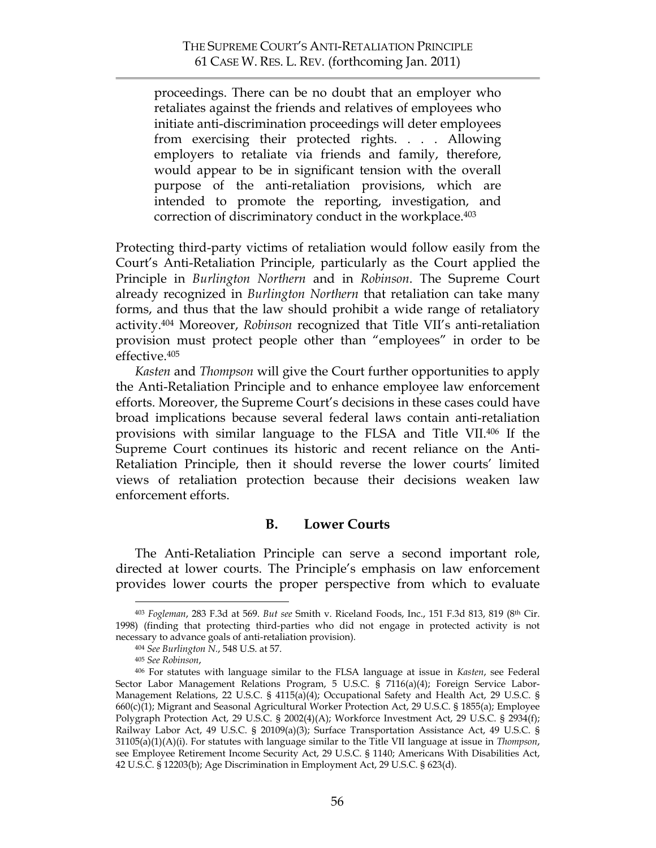proceedings. There can be no doubt that an employer who retaliates against the friends and relatives of employees who initiate anti-discrimination proceedings will deter employees from exercising their protected rights. . . . Allowing employers to retaliate via friends and family, therefore, would appear to be in significant tension with the overall purpose of the anti-retaliation provisions, which are intended to promote the reporting, investigation, and correction of discriminatory conduct in the workplace. 403

Protecting third-party victims of retaliation would follow easily from the Court's Anti-Retaliation Principle, particularly as the Court applied the Principle in *Burlington Northern* and in *Robinson*. The Supreme Court already recognized in *Burlington Northern* that retaliation can take many forms, and thus that the law should prohibit a wide range of retaliatory activity.404 Moreover, *Robinson* recognized that Title VII's anti-retaliation provision must protect people other than "employees" in order to be effective.405

*Kasten* and *Thompson* will give the Court further opportunities to apply the Anti-Retaliation Principle and to enhance employee law enforcement efforts. Moreover, the Supreme Court's decisions in these cases could have broad implications because several federal laws contain anti-retaliation provisions with similar language to the FLSA and Title VII.406 If the Supreme Court continues its historic and recent reliance on the Anti-Retaliation Principle, then it should reverse the lower courts' limited views of retaliation protection because their decisions weaken law enforcement efforts.

## **B. Lower Courts**

The Anti-Retaliation Principle can serve a second important role, directed at lower courts. The Principle's emphasis on law enforcement provides lower courts the proper perspective from which to evaluate

 <sup>403</sup> *Fogleman*, 283 F.3d at 569. *But see* Smith v. Riceland Foods, Inc., 151 F.3d 813, 819 (8th Cir. 1998) (finding that protecting third-parties who did not engage in protected activity is not necessary to advance goals of anti-retaliation provision).

<sup>404</sup> *See Burlington N.*, 548 U.S. at 57.

<sup>405</sup> *See Robinson*, 406 For statutes with language similar to the FLSA language at issue in *Kasten*, see Federal Sector Labor Management Relations Program, 5 U.S.C. § 7116(a)(4); Foreign Service Labor-Management Relations, 22 U.S.C. § 4115(a)(4); Occupational Safety and Health Act, 29 U.S.C. § 660(c)(1); Migrant and Seasonal Agricultural Worker Protection Act, 29 U.S.C. § 1855(a); Employee Polygraph Protection Act, 29 U.S.C. § 2002(4)(A); Workforce Investment Act, 29 U.S.C. § 2934(f); Railway Labor Act, 49 U.S.C. § 20109(a)(3); Surface Transportation Assistance Act, 49 U.S.C. § 31105(a)(1)(A)(i). For statutes with language similar to the Title VII language at issue in *Thompson*, see Employee Retirement Income Security Act, 29 U.S.C. § 1140; Americans With Disabilities Act, 42 U.S.C. § 12203(b); Age Discrimination in Employment Act, 29 U.S.C. § 623(d).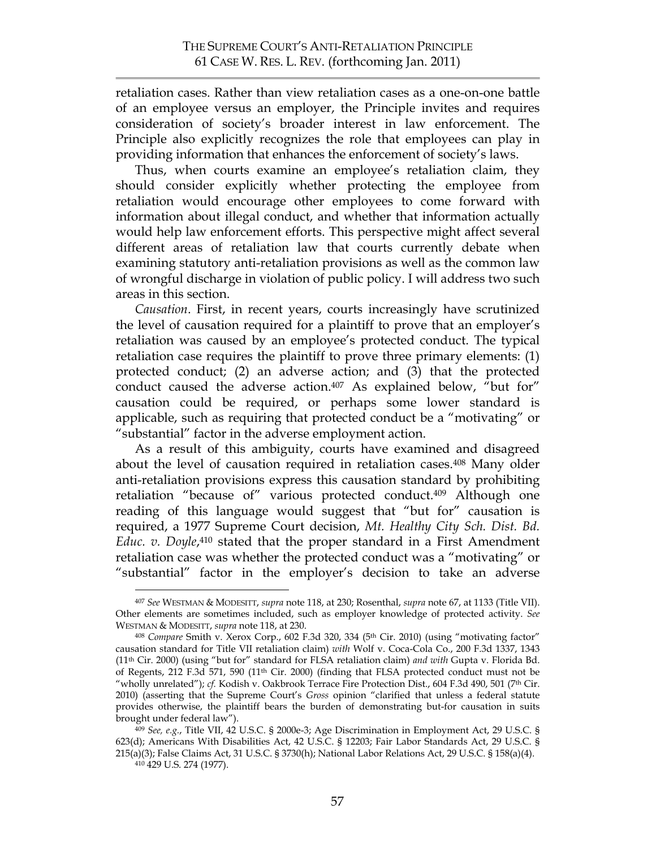retaliation cases. Rather than view retaliation cases as a one-on-one battle of an employee versus an employer, the Principle invites and requires consideration of society's broader interest in law enforcement. The Principle also explicitly recognizes the role that employees can play in providing information that enhances the enforcement of society's laws.

Thus, when courts examine an employee's retaliation claim, they should consider explicitly whether protecting the employee from retaliation would encourage other employees to come forward with information about illegal conduct, and whether that information actually would help law enforcement efforts. This perspective might affect several different areas of retaliation law that courts currently debate when examining statutory anti-retaliation provisions as well as the common law of wrongful discharge in violation of public policy. I will address two such areas in this section.

*Causation*. First, in recent years, courts increasingly have scrutinized the level of causation required for a plaintiff to prove that an employer's retaliation was caused by an employee's protected conduct. The typical retaliation case requires the plaintiff to prove three primary elements: (1) protected conduct; (2) an adverse action; and (3) that the protected conduct caused the adverse action. <sup>407</sup> As explained below, "but for" causation could be required, or perhaps some lower standard is applicable, such as requiring that protected conduct be a "motivating" or "substantial" factor in the adverse employment action.

As a result of this ambiguity, courts have examined and disagreed about the level of causation required in retaliation cases.408 Many older anti-retaliation provisions express this causation standard by prohibiting retaliation "because of" various protected conduct.<sup>409</sup> Although one reading of this language would suggest that "but for" causation is required, a 1977 Supreme Court decision, *Mt. Healthy City Sch. Dist. Bd. Educ. v. Doyle*, 410 stated that the proper standard in a First Amendment retaliation case was whether the protected conduct was a "motivating" or "substantial" factor in the employer's decision to take an adverse

 <sup>407</sup> *See* WESTMAN & MODESITT, *supra* note 118, at 230; Rosenthal, *supra* note 67, at 1133 (Title VII). Other elements are sometimes included, such as employer knowledge of protected activity. *See* WESTMAN & MODESITT, *supra* note 118, at 230.

<sup>408</sup> *Compare* Smith v. Xerox Corp., 602 F.3d 320, 334 (5th Cir. 2010) (using "motivating factor" causation standard for Title VII retaliation claim) *with* Wolf v. Coca-Cola Co., 200 F.3d 1337, 1343 (11th Cir. 2000) (using "but for" standard for FLSA retaliation claim) *and with* Gupta v. Florida Bd. of Regents, 212 F.3d 571, 590 (11th Cir. 2000) (finding that FLSA protected conduct must not be "wholly unrelated"); *cf.* Kodish v. Oakbrook Terrace Fire Protection Dist., 604 F.3d 490, 501 (7th Cir. 2010) (asserting that the Supreme Court's *Gross* opinion "clarified that unless a federal statute provides otherwise, the plaintiff bears the burden of demonstrating but-for causation in suits brought under federal law").

<sup>409</sup> *See, e.g.*, Title VII, 42 U.S.C. § 2000e-3; Age Discrimination in Employment Act, 29 U.S.C. § 623(d); Americans With Disabilities Act, 42 U.S.C. § 12203; Fair Labor Standards Act, 29 U.S.C. § 215(a)(3); False Claims Act, 31 U.S.C. § 3730(h); National Labor Relations Act, 29 U.S.C. § 158(a)(4).

<sup>410 429</sup> U.S. 274 (1977).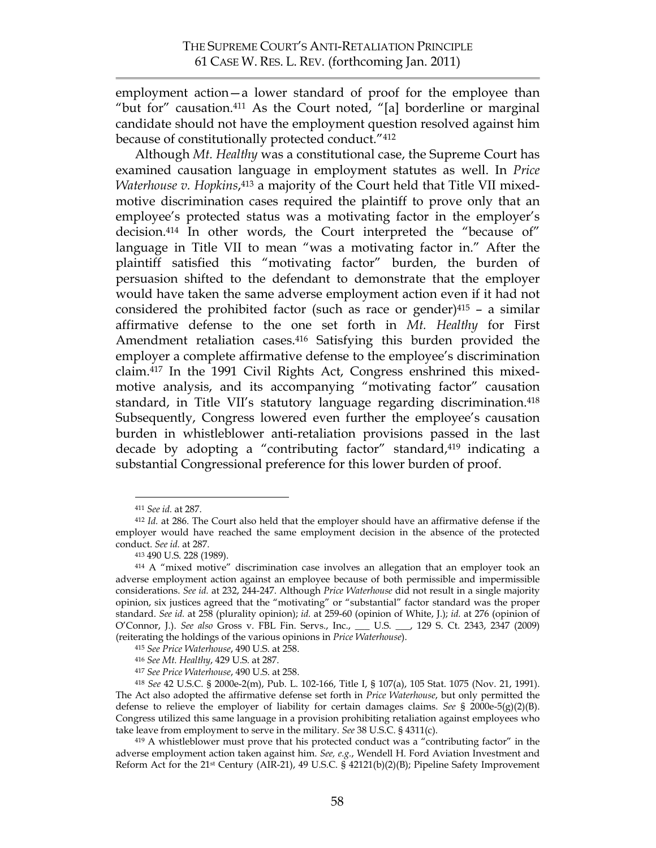employment action—a lower standard of proof for the employee than "but for" causation.411 As the Court noted, "[a] borderline or marginal candidate should not have the employment question resolved against him because of constitutionally protected conduct."412

Although *Mt. Healthy* was a constitutional case, the Supreme Court has examined causation language in employment statutes as well. In *Price Waterhouse v. Hopkins*,<sup>413</sup> a majority of the Court held that Title VII mixedmotive discrimination cases required the plaintiff to prove only that an employee's protected status was a motivating factor in the employer's decision.414 In other words, the Court interpreted the "because of" language in Title VII to mean "was a motivating factor in." After the plaintiff satisfied this "motivating factor" burden, the burden of persuasion shifted to the defendant to demonstrate that the employer would have taken the same adverse employment action even if it had not considered the prohibited factor (such as race or gender) $415 - a \sinh ar$ affirmative defense to the one set forth in *Mt. Healthy* for First Amendment retaliation cases. <sup>416</sup> Satisfying this burden provided the employer a complete affirmative defense to the employee's discrimination claim.417 In the 1991 Civil Rights Act, Congress enshrined this mixedmotive analysis, and its accompanying "motivating factor" causation standard, in Title VII's statutory language regarding discrimination.<sup>418</sup> Subsequently, Congress lowered even further the employee's causation burden in whistleblower anti-retaliation provisions passed in the last decade by adopting a "contributing factor" standard,<sup>419</sup> indicating a substantial Congressional preference for this lower burden of proof.

adverse employment action taken against him. *See, e.g.*, Wendell H. Ford Aviation Investment and Reform Act for the 21st Century (AIR-21), 49 U.S.C. § 42121(b)(2)(B); Pipeline Safety Improvement

 <sup>411</sup> *See id.* at 287.

<sup>412</sup> *Id.* at 286. The Court also held that the employer should have an affirmative defense if the employer would have reached the same employment decision in the absence of the protected conduct. *See id.* at 287.

<sup>413 490</sup> U.S. 228 (1989).

<sup>414</sup> A "mixed motive" discrimination case involves an allegation that an employer took an adverse employment action against an employee because of both permissible and impermissible considerations. *See id.* at 232, 244-247. Although *Price Waterhouse* did not result in a single majority opinion, six justices agreed that the "motivating" or "substantial" factor standard was the proper standard. *See id.* at 258 (plurality opinion); *id.* at 259-60 (opinion of White, J.); *id.* at 276 (opinion of O'Connor, J.). *See also* Gross v. FBL Fin. Servs., Inc., \_\_\_ U.S. \_\_\_, 129 S. Ct. 2343, 2347 (2009) (reiterating the holdings of the various opinions in *Price Waterhouse*).

<sup>415</sup> *See Price Waterhouse*, 490 U.S. at 258.

<sup>416</sup> *See Mt. Healthy*, 429 U.S. at 287.

<sup>417</sup> *See Price Waterhouse*, 490 U.S. at 258.

<sup>418</sup> *See* 42 U.S.C. § 2000e-2(m), Pub. L. 102-166, Title I, § 107(a), 105 Stat. 1075 (Nov. 21, 1991). The Act also adopted the affirmative defense set forth in *Price Waterhouse*, but only permitted the defense to relieve the employer of liability for certain damages claims. *See* § 2000e-5(g)(2)(B). Congress utilized this same language in a provision prohibiting retaliation against employees who take leave from employment to serve in the military. *See* 38 U.S.C. § 4311(c).<br><sup>419</sup> A whistleblower must prove that his protected conduct was a "contributing factor" in the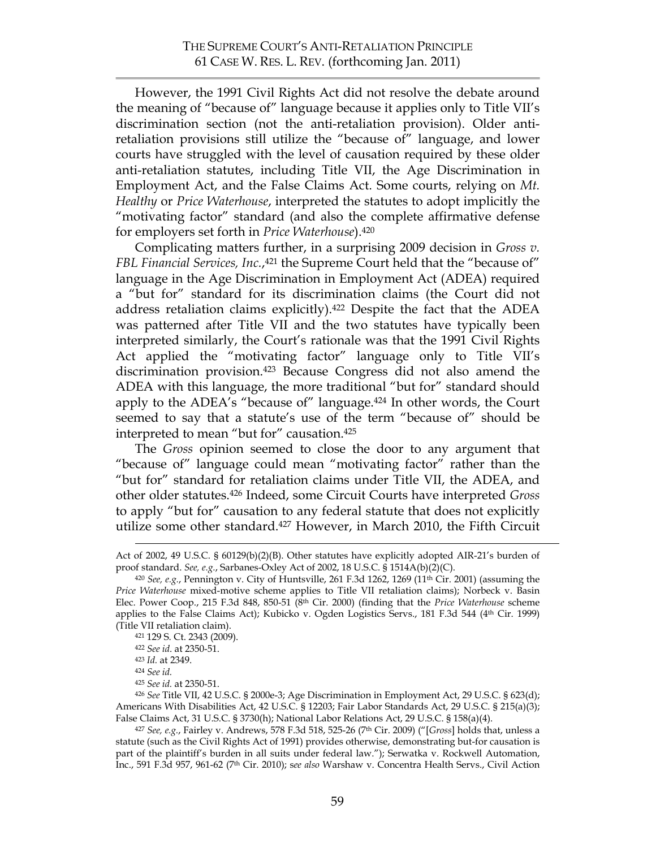However, the 1991 Civil Rights Act did not resolve the debate around the meaning of "because of" language because it applies only to Title VII's discrimination section (not the anti-retaliation provision). Older antiretaliation provisions still utilize the "because of" language, and lower courts have struggled with the level of causation required by these older anti-retaliation statutes, including Title VII, the Age Discrimination in Employment Act, and the False Claims Act. Some courts, relying on *Mt. Healthy* or *Price Waterhouse*, interpreted the statutes to adopt implicitly the "motivating factor" standard (and also the complete affirmative defense for employers set forth in *Price Waterhouse*).420

Complicating matters further, in a surprising 2009 decision in *Gross v. FBL Financial Services, Inc.*,421 the Supreme Court held that the "because of" language in the Age Discrimination in Employment Act (ADEA) required a "but for" standard for its discrimination claims (the Court did not address retaliation claims explicitly).422 Despite the fact that the ADEA was patterned after Title VII and the two statutes have typically been interpreted similarly, the Court's rationale was that the 1991 Civil Rights Act applied the "motivating factor" language only to Title VII's discrimination provision.423 Because Congress did not also amend the ADEA with this language, the more traditional "but for" standard should apply to the ADEA's "because of" language. 424 In other words, the Court seemed to say that a statute's use of the term "because of" should be interpreted to mean "but for" causation. 425

The *Gross* opinion seemed to close the door to any argument that "because of" language could mean "motivating factor" rather than the "but for" standard for retaliation claims under Title VII, the ADEA, and other older statutes.426 Indeed, some Circuit Courts have interpreted *Gross* to apply "but for" causation to any federal statute that does not explicitly utilize some other standard.427 However, in March 2010, the Fifth Circuit

<sup>426</sup> *See* Title VII, 42 U.S.C. § 2000e-3; Age Discrimination in Employment Act, 29 U.S.C. § 623(d); Americans With Disabilities Act, 42 U.S.C. § 12203; Fair Labor Standards Act, 29 U.S.C. § 215(a)(3); False Claims Act, 31 U.S.C. § 3730(h); National Labor Relations Act, 29 U.S.C. § 158(a)(4).

Act of 2002, 49 U.S.C. § 60129(b)(2)(B). Other statutes have explicitly adopted AIR-21's burden of proof standard. *See, e.g.*, Sarbanes-Oxley Act of 2002, 18 U.S.C. § 1514A(b)(2)(C).

<sup>420</sup> *See, e.g.*, Pennington v. City of Huntsville, 261 F.3d 1262, 1269 (11th Cir. 2001) (assuming the *Price Waterhouse* mixed-motive scheme applies to Title VII retaliation claims); Norbeck v. Basin Elec. Power Coop., 215 F.3d 848, 850-51 (8th Cir. 2000) (finding that the *Price Waterhouse* scheme applies to the False Claims Act); Kubicko v. Ogden Logistics Servs., 181 F.3d 544 (4th Cir. 1999) (Title VII retaliation claim).

<sup>421 129</sup> S. Ct. 2343 (2009).

<sup>422</sup> *See id*. at 2350-51.

<sup>423</sup> *Id.* at 2349.

<sup>424</sup> *See id.*

<sup>425</sup> *See id.* at 2350-51.

<sup>427</sup> *See, e.g.*, Fairley v. Andrews, 578 F.3d 518, 525-26 (7th Cir. 2009) ("[*Gross*] holds that, unless a statute (such as the Civil Rights Act of 1991) provides otherwise, demonstrating but-for causation is part of the plaintiff's burden in all suits under federal law."); Serwatka v. Rockwell Automation, Inc., 591 F.3d 957, 961-62 (7th Cir. 2010); s*ee also* Warshaw v. Concentra Health Servs., Civil Action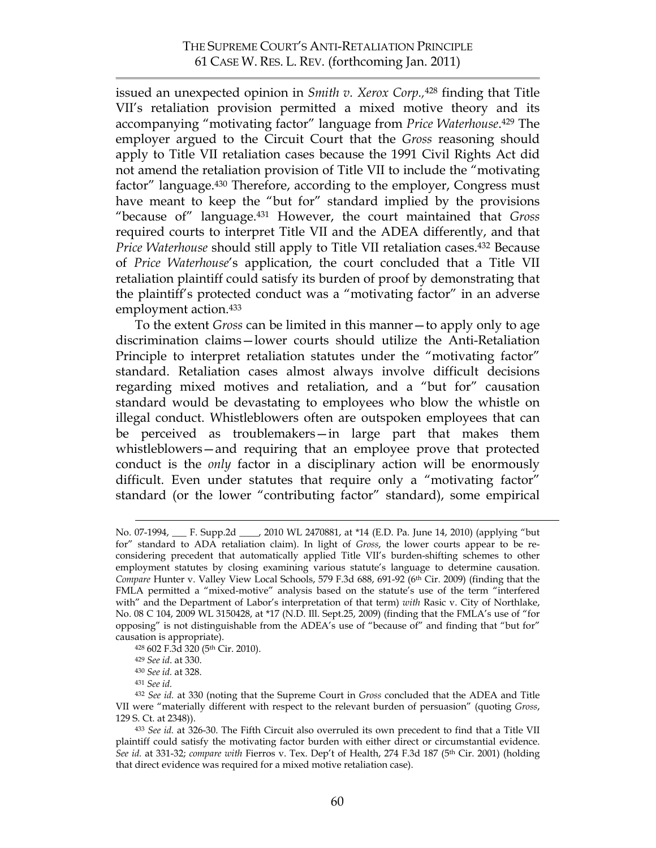issued an unexpected opinion in *Smith v. Xerox Corp.,*<sup>428</sup> finding that Title VII's retaliation provision permitted a mixed motive theory and its accompanying "motivating factor" language from *Price Waterhouse*.429 The employer argued to the Circuit Court that the *Gross* reasoning should apply to Title VII retaliation cases because the 1991 Civil Rights Act did not amend the retaliation provision of Title VII to include the "motivating factor" language. 430 Therefore, according to the employer, Congress must have meant to keep the "but for" standard implied by the provisions "because of" language. 431 However, the court maintained that *Gross* required courts to interpret Title VII and the ADEA differently, and that *Price Waterhouse* should still apply to Title VII retaliation cases. 432 Because of *Price Waterhouse*'s application, the court concluded that a Title VII retaliation plaintiff could satisfy its burden of proof by demonstrating that the plaintiff's protected conduct was a "motivating factor" in an adverse employment action. 433

To the extent *Gross* can be limited in this manner—to apply only to age discrimination claims—lower courts should utilize the Anti-Retaliation Principle to interpret retaliation statutes under the "motivating factor" standard. Retaliation cases almost always involve difficult decisions regarding mixed motives and retaliation, and a "but for" causation standard would be devastating to employees who blow the whistle on illegal conduct. Whistleblowers often are outspoken employees that can be perceived as troublemakers—in large part that makes them whistleblowers—and requiring that an employee prove that protected conduct is the *only* factor in a disciplinary action will be enormously difficult. Even under statutes that require only a "motivating factor" standard (or the lower "contributing factor" standard), some empirical

No. 07-1994, \_\_\_ F. Supp.2d \_\_\_\_, 2010 WL 2470881, at \*14 (E.D. Pa. June 14, 2010) (applying "but for" standard to ADA retaliation claim). In light of *Gross*, the lower courts appear to be reconsidering precedent that automatically applied Title VII's burden-shifting schemes to other employment statutes by closing examining various statute's language to determine causation. *Compare* Hunter v. Valley View Local Schools, 579 F.3d 688, 691-92 (6th Cir. 2009) (finding that the FMLA permitted a "mixed-motive" analysis based on the statute's use of the term "interfered with" and the Department of Labor's interpretation of that term) *with* Rasic v. City of Northlake, No. 08 C 104, 2009 WL 3150428, at \*17 (N.D. Ill. Sept.25, 2009) (finding that the FMLA's use of "for opposing" is not distinguishable from the ADEA's use of "because of" and finding that "but for" causation is appropriate).

<sup>428 602</sup> F.3d 320 (5th Cir. 2010). 429 *See id*. at 330.

<sup>430</sup> *See id.* at 328.

<sup>431</sup> *See id.*

<sup>432</sup> *See id.* at 330 (noting that the Supreme Court in *Gross* concluded that the ADEA and Title VII were "materially different with respect to the relevant burden of persuasion" (quoting *Gross*, 129 S. Ct. at 2348)).

<sup>433</sup> *See id.* at 326-30. The Fifth Circuit also overruled its own precedent to find that a Title VII plaintiff could satisfy the motivating factor burden with either direct or circumstantial evidence. See id. at 331-32; compare with Fierros v. Tex. Dep't of Health, 274 F.3d 187 (5<sup>th</sup> Cir. 2001) (holding that direct evidence was required for a mixed motive retaliation case).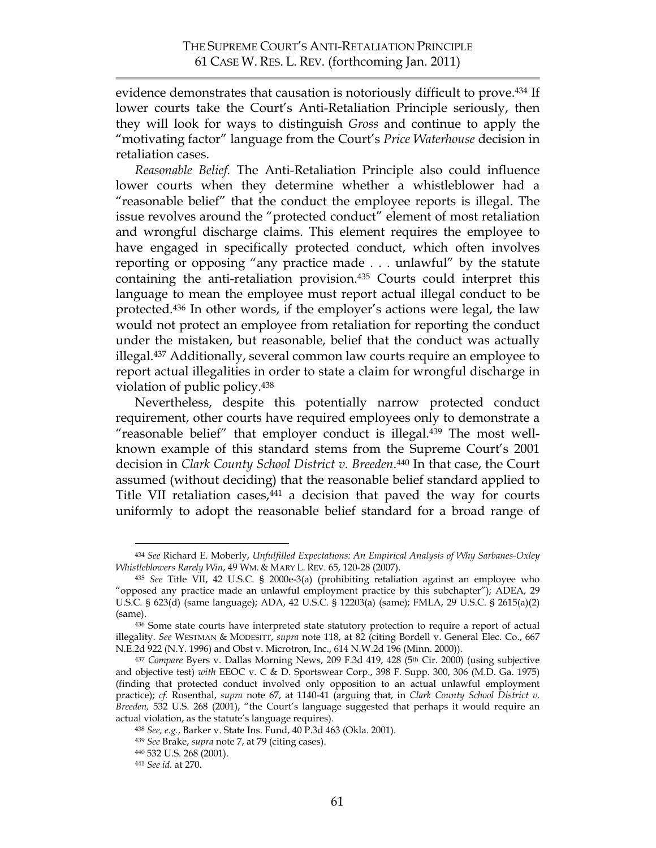evidence demonstrates that causation is notoriously difficult to prove. <sup>434</sup> If lower courts take the Court's Anti-Retaliation Principle seriously, then they will look for ways to distinguish *Gross* and continue to apply the "motivating factor" language from the Court's *Price Waterhouse* decision in retaliation cases.

*Reasonable Belief.* The Anti-Retaliation Principle also could influence lower courts when they determine whether a whistleblower had a "reasonable belief" that the conduct the employee reports is illegal. The issue revolves around the "protected conduct" element of most retaliation and wrongful discharge claims. This element requires the employee to have engaged in specifically protected conduct, which often involves reporting or opposing "any practice made . . . unlawful" by the statute containing the anti-retaliation provision.435 Courts could interpret this language to mean the employee must report actual illegal conduct to be protected.436 In other words, if the employer's actions were legal, the law would not protect an employee from retaliation for reporting the conduct under the mistaken, but reasonable, belief that the conduct was actually illegal.437 Additionally, several common law courts require an employee to report actual illegalities in order to state a claim for wrongful discharge in violation of public policy.438

Nevertheless, despite this potentially narrow protected conduct requirement, other courts have required employees only to demonstrate a "reasonable belief" that employer conduct is illegal.439 The most wellknown example of this standard stems from the Supreme Court's 2001 decision in *Clark County School District v. Breeden*.440 In that case, the Court assumed (without deciding) that the reasonable belief standard applied to Title VII retaliation cases,<sup>441</sup> a decision that paved the way for courts uniformly to adopt the reasonable belief standard for a broad range of

 <sup>434</sup> *See* Richard E. Moberly, *Unfulfilled Expectations: An Empirical Analysis of Why Sarbanes-Oxley Whistleblowers Rarely Win*, 49 WM. & MARY L. REV. 65, 120-28 (2007).

<sup>435</sup> *See* Title VII, 42 U.S.C. § 2000e-3(a) (prohibiting retaliation against an employee who "opposed any practice made an unlawful employment practice by this subchapter"); ADEA, 29 U.S.C. § 623(d) (same language); ADA, 42 U.S.C. § 12203(a) (same); FMLA, 29 U.S.C. § 2615(a)(2) (same).

<sup>436</sup> Some state courts have interpreted state statutory protection to require a report of actual illegality. *See* WESTMAN & MODESITT, *supra* note 118, at 82 (citing Bordell v. General Elec. Co., 667 N.E.2d 922 (N.Y. 1996) and Obst v. Microtron, Inc., 614 N.W.2d 196 (Minn. 2000)).

<sup>437</sup> *Compare* Byers v. Dallas Morning News, 209 F.3d 419, 428 (5th Cir. 2000) (using subjective and objective test) *with* EEOC v. C & D. Sportswear Corp., 398 F. Supp. 300, 306 (M.D. Ga. 1975) (finding that protected conduct involved only opposition to an actual unlawful employment practice); *cf.* Rosenthal, *supra* note 67, at 1140-41 (arguing that, in *Clark County School District v. Breeden,* 532 U.S. 268 (2001), "the Court's language suggested that perhaps it would require an actual violation, as the statute's language requires).

<sup>438</sup> *See, e.g.*, Barker v. State Ins. Fund, 40 P.3d 463 (Okla. 2001).

<sup>439</sup> *See* Brake, *supra* note 7, at 79 (citing cases).

<sup>440 532</sup> U.S. 268 (2001).

<sup>441</sup> *See id.* at 270.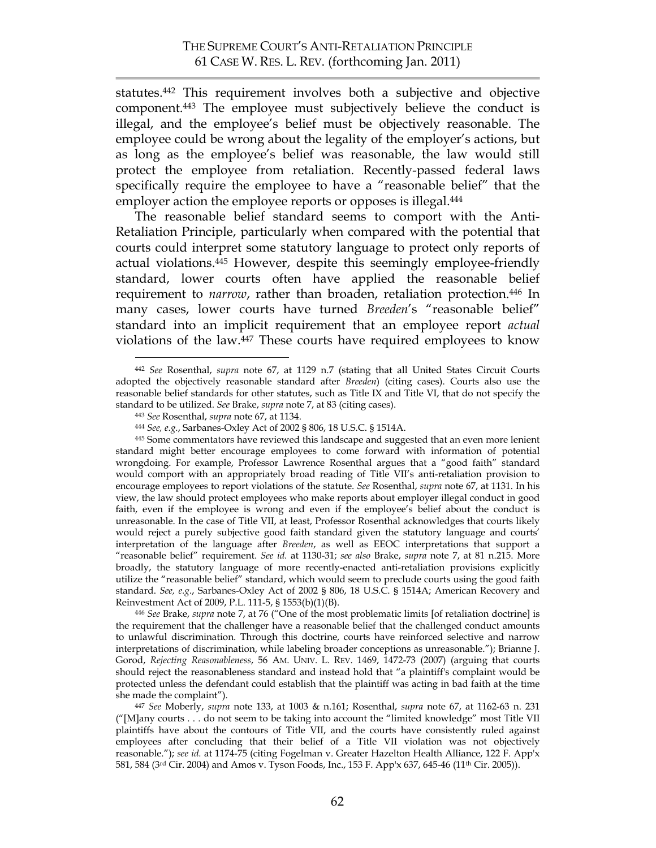statutes.442 This requirement involves both a subjective and objective component.443 The employee must subjectively believe the conduct is illegal, and the employee's belief must be objectively reasonable. The employee could be wrong about the legality of the employer's actions, but as long as the employee's belief was reasonable, the law would still protect the employee from retaliation. Recently-passed federal laws specifically require the employee to have a "reasonable belief" that the employer action the employee reports or opposes is illegal. 444

The reasonable belief standard seems to comport with the Anti-Retaliation Principle, particularly when compared with the potential that courts could interpret some statutory language to protect only reports of actual violations.445 However, despite this seemingly employee-friendly standard, lower courts often have applied the reasonable belief requirement to *narrow*, rather than broaden, retaliation protection.<sup>446</sup> In many cases, lower courts have turned *Breeden*'s "reasonable belief" standard into an implicit requirement that an employee report *actual* violations of the law.447 These courts have required employees to know

the requirement that the challenger have a reasonable belief that the challenged conduct amounts to unlawful discrimination. Through this doctrine, courts have reinforced selective and narrow interpretations of discrimination, while labeling broader conceptions as unreasonable."); Brianne J. Gorod, *Rejecting Reasonableness*, 56 AM. UNIV. L. REV. 1469, 1472-73 (2007) (arguing that courts should reject the reasonableness standard and instead hold that "a plaintiff's complaint would be protected unless the defendant could establish that the plaintiff was acting in bad faith at the time she made the complaint").

 <sup>442</sup> *See* Rosenthal, *supra* note 67, at 1129 n.7 (stating that all United States Circuit Courts adopted the objectively reasonable standard after *Breeden*) (citing cases). Courts also use the reasonable belief standards for other statutes, such as Title IX and Title VI, that do not specify the standard to be utilized. *See* Brake, *supra* note 7, at 83 (citing cases).

<sup>443</sup> *See* Rosenthal, *supra* note 67, at 1134.

<sup>444</sup> *See, e.g.*, Sarbanes-Oxley Act of 2002 § 806, 18 U.S.C. § 1514A.

<sup>445</sup> Some commentators have reviewed this landscape and suggested that an even more lenient standard might better encourage employees to come forward with information of potential wrongdoing. For example, Professor Lawrence Rosenthal argues that a "good faith" standard would comport with an appropriately broad reading of Title VII's anti-retaliation provision to encourage employees to report violations of the statute. *See* Rosenthal, *supra* note 67, at 1131. In his view, the law should protect employees who make reports about employer illegal conduct in good faith, even if the employee is wrong and even if the employee's belief about the conduct is unreasonable. In the case of Title VII, at least, Professor Rosenthal acknowledges that courts likely would reject a purely subjective good faith standard given the statutory language and courts' interpretation of the language after *Breeden*, as well as EEOC interpretations that support a "reasonable belief" requirement. *See id.* at 1130-31; *see also* Brake, *supra* note 7, at 81 n.215. More broadly, the statutory language of more recently-enacted anti-retaliation provisions explicitly utilize the "reasonable belief" standard, which would seem to preclude courts using the good faith standard. *See, e.g.*, Sarbanes-Oxley Act of 2002 § 806, 18 U.S.C. § 1514A; American Recovery and Reinvestment Act of 2009, P.L. 111-5, § 1553(b)(1)(B).<br><sup>446</sup> *See* Brake, *supra* note 7, at 76 ("One of the most problematic limits [of retaliation doctrine] is

<sup>447</sup> *See* Moberly, *supra* note 133, at 1003 & n.161; Rosenthal, *supra* note 67, at 1162-63 n. 231 ("[M]any courts . . . do not seem to be taking into account the "limited knowledge" most Title VII plaintiffs have about the contours of Title VII, and the courts have consistently ruled against employees after concluding that their belief of a Title VII violation was not objectively reasonable."); *see id.* at 1174-75 (citing Fogelman v. Greater Hazelton Health Alliance, 122 F. App'x 581, 584 (3rd Cir. 2004) and Amos v. Tyson Foods, Inc., 153 F. App'x 637, 645-46 (11th Cir. 2005)).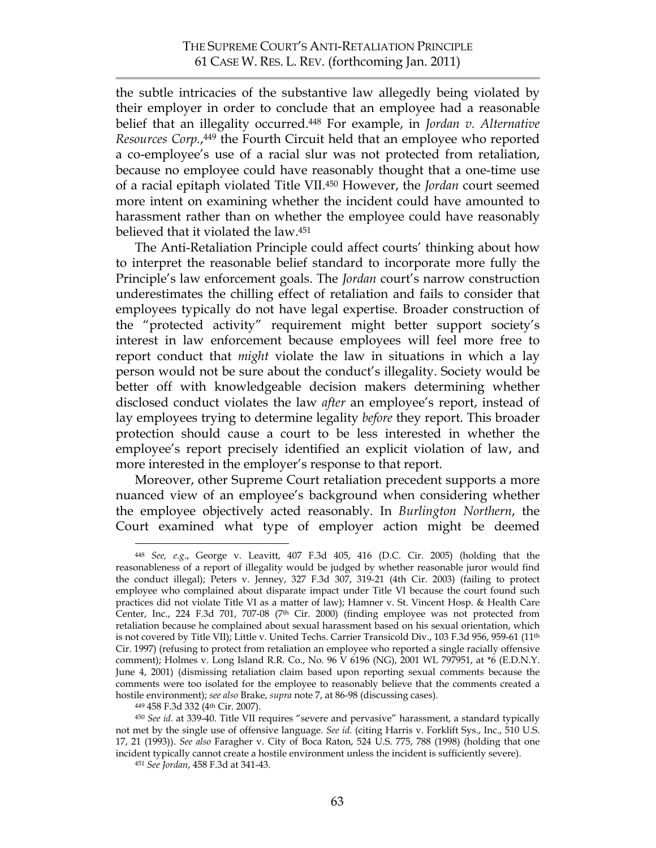the subtle intricacies of the substantive law allegedly being violated by their employer in order to conclude that an employee had a reasonable belief that an illegality occurred. <sup>448</sup> For example, in *Jordan v. Alternative Resources Corp.*, 449 the Fourth Circuit held that an employee who reported a co-employee's use of a racial slur was not protected from retaliation, because no employee could have reasonably thought that a one-time use of a racial epitaph violated Title VII. 450 However, the *Jordan* court seemed more intent on examining whether the incident could have amounted to harassment rather than on whether the employee could have reasonably believed that it violated the law. 451

The Anti-Retaliation Principle could affect courts' thinking about how to interpret the reasonable belief standard to incorporate more fully the Principle's law enforcement goals. The *Jordan* court's narrow construction underestimates the chilling effect of retaliation and fails to consider that employees typically do not have legal expertise. Broader construction of the "protected activity" requirement might better support society's interest in law enforcement because employees will feel more free to report conduct that *might* violate the law in situations in which a lay person would not be sure about the conduct's illegality. Society would be better off with knowledgeable decision makers determining whether disclosed conduct violates the law *after* an employee's report, instead of lay employees trying to determine legality *before* they report. This broader protection should cause a court to be less interested in whether the employee's report precisely identified an explicit violation of law, and more interested in the employer's response to that report.

Moreover, other Supreme Court retaliation precedent supports a more nuanced view of an employee's background when considering whether the employee objectively acted reasonably. In *Burlington Northern*, the Court examined what type of employer action might be deemed

 <sup>448</sup> *See, e.g*., George v. Leavitt, 407 F.3d 405, 416 (D.C. Cir. 2005) (holding that the reasonableness of a report of illegality would be judged by whether reasonable juror would find the conduct illegal); Peters v. Jenney, 327 F.3d 307, 319-21 (4th Cir. 2003) (failing to protect employee who complained about disparate impact under Title VI because the court found such practices did not violate Title VI as a matter of law); Hamner v. St. Vincent Hosp. & Health Care Center, Inc., 224 F.3d 701, 707-08 (7<sup>th</sup> Cir. 2000) (finding employee was not protected from retaliation because he complained about sexual harassment based on his sexual orientation, which is not covered by Title VII); Little v. United Techs. Carrier Transicold Div., 103 F.3d 956, 959-61 (11<sup>th</sup> Cir. 1997) (refusing to protect from retaliation an employee who reported a single racially offensive comment); Holmes v. Long Island R.R. Co., No. 96 V 6196 (NG), 2001 WL 797951, at \*6 (E.D.N.Y. June 4, 2001) (dismissing retaliation claim based upon reporting sexual comments because the comments were too isolated for the employee to reasonably believe that the comments created a hostile environment); *see also* Brake, *supra* note 7, at 86-98 (discussing cases).

<sup>449 458</sup> F.3d 332 (4th Cir. 2007). 450 *See id.* at 339-40. Title VII requires "severe and pervasive" harassment, a standard typically not met by the single use of offensive language. *See id.* (citing Harris v. Forklift Sys., Inc., 510 U.S. 17, 21 (1993)). *See also* Faragher v. City of Boca Raton, 524 U.S. 775, 788 (1998) (holding that one incident typically cannot create a hostile environment unless the incident is sufficiently severe).

<sup>451</sup> *See Jordan*, 458 F.3d at 341-43.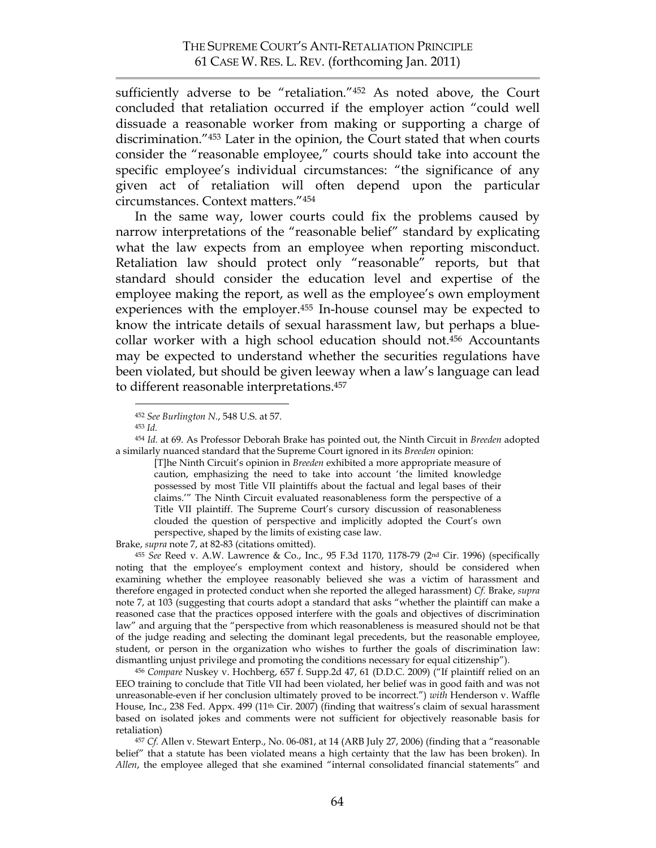sufficiently adverse to be "retaliation."452 As noted above, the Court concluded that retaliation occurred if the employer action "could well dissuade a reasonable worker from making or supporting a charge of discrimination."453 Later in the opinion, the Court stated that when courts consider the "reasonable employee," courts should take into account the specific employee's individual circumstances: "the significance of any given act of retaliation will often depend upon the particular circumstances. Context matters."454

In the same way, lower courts could fix the problems caused by narrow interpretations of the "reasonable belief" standard by explicating what the law expects from an employee when reporting misconduct. Retaliation law should protect only "reasonable" reports, but that standard should consider the education level and expertise of the employee making the report, as well as the employee's own employment experiences with the employer.<sup>455</sup> In-house counsel may be expected to know the intricate details of sexual harassment law, but perhaps a bluecollar worker with a high school education should not. <sup>456</sup> Accountants may be expected to understand whether the securities regulations have been violated, but should be given leeway when a law's language can lead to different reasonable interpretations. 457

<sup>454</sup> *Id.* at 69. As Professor Deborah Brake has pointed out, the Ninth Circuit in *Breeden* adopted a similarly nuanced standard that the Supreme Court ignored in its *Breeden* opinion:

[T]he Ninth Circuit's opinion in *Breeden* exhibited a more appropriate measure of caution, emphasizing the need to take into account 'the limited knowledge possessed by most Title VII plaintiffs about the factual and legal bases of their claims.'" The Ninth Circuit evaluated reasonableness form the perspective of a Title VII plaintiff. The Supreme Court's cursory discussion of reasonableness clouded the question of perspective and implicitly adopted the Court's own perspective, shaped by the limits of existing case law.

Brake, *supra* note 7, at 82-83 (citations omitted).

<sup>455</sup> *See* Reed v. A.W. Lawrence & Co., Inc., 95 F.3d 1170, 1178-79 (2nd Cir. 1996) (specifically noting that the employee's employment context and history, should be considered when examining whether the employee reasonably believed she was a victim of harassment and therefore engaged in protected conduct when she reported the alleged harassment) *Cf.* Brake, *supra* note 7, at 103 (suggesting that courts adopt a standard that asks "whether the plaintiff can make a reasoned case that the practices opposed interfere with the goals and objectives of discrimination law" and arguing that the "perspective from which reasonableness is measured should not be that of the judge reading and selecting the dominant legal precedents, but the reasonable employee, student, or person in the organization who wishes to further the goals of discrimination law: dismantling unjust privilege and promoting the conditions necessary for equal citizenship").

<sup>456</sup> *Compare* Nuskey v. Hochberg, 657 f. Supp.2d 47, 61 (D.D.C. 2009) ("If plaintiff relied on an EEO training to conclude that Title VII had been violated, her belief was in good faith and was not unreasonable-even if her conclusion ultimately proved to be incorrect.") *with* Henderson v. Waffle House, Inc., 238 Fed. Appx. 499 (11<sup>th</sup> Cir. 2007) (finding that waitress's claim of sexual harassment based on isolated jokes and comments were not sufficient for objectively reasonable basis for retaliation)

<sup>457</sup> *Cf.* Allen v. Stewart Enterp., No. 06-081, at 14 (ARB July 27, 2006) (finding that a "reasonable belief" that a statute has been violated means a high certainty that the law has been broken). In *Allen*, the employee alleged that she examined "internal consolidated financial statements" and

 <sup>452</sup> *See Burlington N.*, 548 U.S. at 57.

<sup>453</sup> *Id.*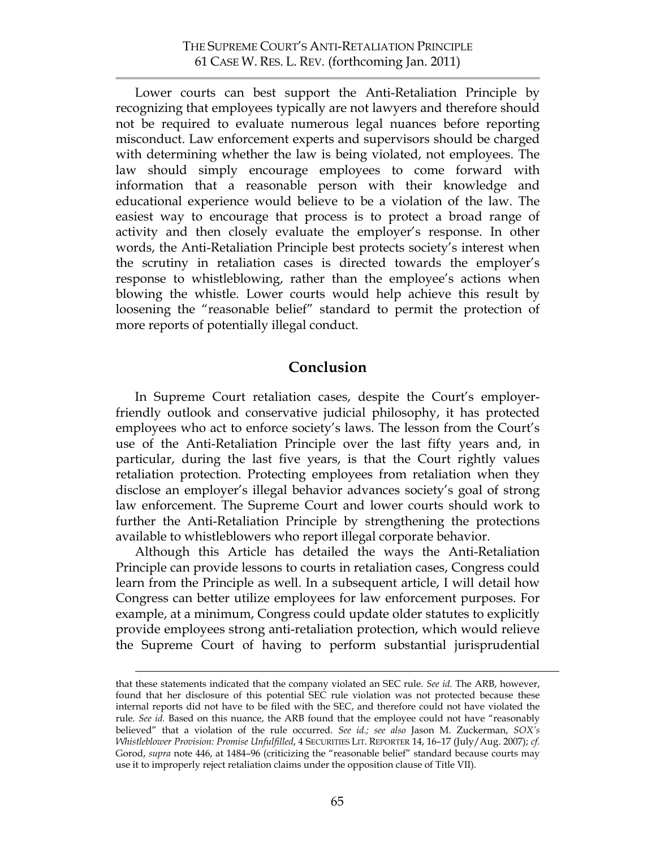Lower courts can best support the Anti-Retaliation Principle by recognizing that employees typically are not lawyers and therefore should not be required to evaluate numerous legal nuances before reporting misconduct. Law enforcement experts and supervisors should be charged with determining whether the law is being violated, not employees. The law should simply encourage employees to come forward with information that a reasonable person with their knowledge and educational experience would believe to be a violation of the law. The easiest way to encourage that process is to protect a broad range of activity and then closely evaluate the employer's response. In other words, the Anti-Retaliation Principle best protects society's interest when the scrutiny in retaliation cases is directed towards the employer's response to whistleblowing, rather than the employee's actions when blowing the whistle. Lower courts would help achieve this result by loosening the "reasonable belief" standard to permit the protection of more reports of potentially illegal conduct.

## **Conclusion**

In Supreme Court retaliation cases, despite the Court's employerfriendly outlook and conservative judicial philosophy, it has protected employees who act to enforce society's laws. The lesson from the Court's use of the Anti-Retaliation Principle over the last fifty years and, in particular, during the last five years, is that the Court rightly values retaliation protection. Protecting employees from retaliation when they disclose an employer's illegal behavior advances society's goal of strong law enforcement. The Supreme Court and lower courts should work to further the Anti-Retaliation Principle by strengthening the protections available to whistleblowers who report illegal corporate behavior.

Although this Article has detailed the ways the Anti-Retaliation Principle can provide lessons to courts in retaliation cases, Congress could learn from the Principle as well. In a subsequent article, I will detail how Congress can better utilize employees for law enforcement purposes. For example, at a minimum, Congress could update older statutes to explicitly provide employees strong anti-retaliation protection, which would relieve the Supreme Court of having to perform substantial jurisprudential

that these statements indicated that the company violated an SEC rule. *See id.* The ARB, however, found that her disclosure of this potential SEC rule violation was not protected because these internal reports did not have to be filed with the SEC, and therefore could not have violated the rule. *See id.* Based on this nuance, the ARB found that the employee could not have "reasonably believed" that a violation of the rule occurred. *See id.; see also* Jason M. Zuckerman, *SOX's Whistleblower Provision: Promise Unfulfilled*, 4 SECURITIES LIT. REPORTER 14, 16–17 (July/Aug. 2007); *cf.* Gorod, *supra* note 446, at 1484–96 (criticizing the "reasonable belief" standard because courts may use it to improperly reject retaliation claims under the opposition clause of Title VII).